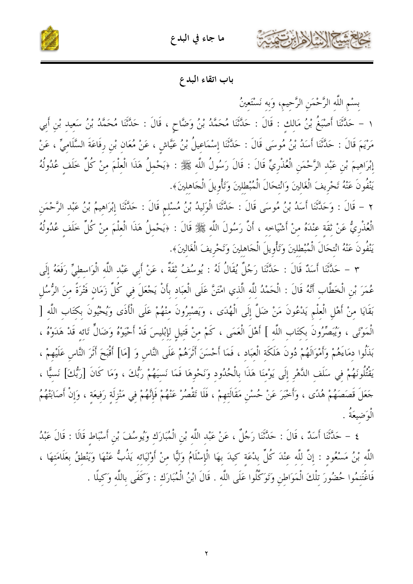



#### باب اتقاء البدع

بسْم اللَّه الرَّحْمَنِ الرَّحيمِ، وَبه نَسْتَعينُ

١ – حَلَّتْنَا أَصْبَغُ بْنُ مَالِكٍ : قَالَ : حَلَّتْنَا مُحَمَّدُ بْنُ وَضَّاحٍ ، قَالَ : حَلَّتْنَا مُحَمَّدُ بْنُ سَعِيد بْنِ أَبِي مَرْيَمَ قَالَ : حَدَّثَنَا أَسَدُ بْنُ مُوسَى قَالَ : حَدَّثَنَا إِسْمَاعِيلُ بْنُ عَيَّاشٍ ، عَنْ مُعَانِ بْنِ رِفَاعَةَ السَّلَامِيِّ ، عَنْ إِبْرَاهِيمَ بْنِ عَبْدِ الرَّحْمَنِ الْعُذْرِيِّ قَالَ : قَالَ رَسُولُ اللَّهِ ﷺ : ﴿يَحْمِلُ هَذَا الْعِلْمَ مِنْ كُلِّ خَلَفٍ عُدُولُهُ يَنْفُونَ عَنْهُ تَحْرِيفَ الْغَالينَ وَانْتحَالَ الْمُبْطلينَ وَتَأْوِيلَ الْجَاهلينَ﴾.

٢ – قَالَ : وَحَلَّتْنَا أَسَدُ بْنُ مُوسَى قَالَ : حَلَّتْنَا الْوَلِيدُ بْنُ مُسْلِمٍ قَالَ : حَلَّتْنَا إِبْرَاهِيمُ بْنُ عَبْدِ الرَّحْمَنِ الْعُذْرِيُّ عَنْ ثَقَة عِنْدَهُ منْ أَشْيَاحِه ، أَنَّ رَسُولَ اللَّهِ ﷺ قَالَ : ﴿يَحْمِلُ هَذَا الْعِلْمَ مِنْ كُلِّ خَلَفٍ عُدُولُهُ يَنْفُونَ عَنْهُ انْتِحَالَ الْمُبْطِلِينَ وَتَأْوِيلَ الْجَاهِلِينَ وَتَحْرِيفَ الْغَالِينَ﴾.

٣ – حَدَّثَنَا أَسَدٌ قَالَ : حَدَّثَنَا رَجُلٌ يُقَالُ لَهُ : يُوسُفُ ثَقَةٌ ، عَنْ أَبِي عَبْد اللّه الْوَاسطيّ رَفَعَهُ إلَى عُمَرَ بْنِ الْخَطَّابِ أَنَّهُ قَالَ : الْحَمْدُ للَّه الَّذي امْتَنَّ عَلَى الْعبَاد بأَنْ يَجْعَلَ في كُلِّ زَمَان فَتْرَةً منَ الرُّسُل بَقَايَا مِنْ أَهْلِ الْعِلْمِ يَدْعُونَ مَنْ ضَلَّ إِلَى الْهُدَى ، وَيَصْبِرُونَ مِنْهُمْ عَلَى الْأَذَى وَيُحْيُونَ بِكتَابِ اللَّهِ [ الْمَوْتَى ، وَيُبَصِّرُونَ بِكِتَابِ اللَّهِ ] أَهْلَ الْعَمَى ، كَمْ منْ قَتيلِ لِإِبْليسَ قَدْ أَحْيَوْهُ وَضَالٍّ تَائِه قَدْ هَدَوْهُ ، بَذَلُوا دمَاءَهُمْ وَأَمْوَالَهُمْ دُونَ هَلَكَة الْعَبَاد ، فَمَا أَحْسَنَ أَتَرَهُمْ عَلَى النَّاسِ وَ [مَا] أَقْبَحَ أَثَرَ النَّاسِ عَلَيْهِمْ ، يَقْتُلُونَهُمْ فِي سَلَفِ الدَّهْرِ إِلَى يَوْمِنَا هَذَا بِالْحُدُودِ وَنَحْوِهَا فَمَا نَسيَهُمْ رَبُّكَ ، وَمَا كَانَ [رَبُّكَ] نَسيًّا ، حَعَلَ قَصَصَهُمْ هُدًى ، وَأَخْبَرَ عَنْ حُسْنِ مَقَالَتِهِمْ ، فَلَا تَقْصُرْ عَنْهُمْ فَإِنَّهُمْ في مَنْزِلَة رَفِيعَة ، وَإِنْ أَصَابَتْهُمُ الْوَضِيعَةُ .

٤ – حَدَّثَنَا أَسَدٌ ، قَالَ : حَدَّثَنَا رَجُلٌ ، عَنْ عَبْد اللَّه بْنِ الْمُبَارَك وَيُوسُفَ بْنِ أَسْبَاط قَالَا : قَالَ عَبْدُ اللَّه بْنُ مَسْعُود : إنَّ للَّه عنْدَ كُلِّ بلْعَة كيدَ بهَا الْإِسْلَامُ وَليًّا منْ أَوْليَائه يَذُبُّ عَنْهَا وَيَنْطقُ بعَلَامَتهَا ، فَاغْتَنِمُوا حُضُورَ تِلْكَ الْمَوَاطِنِ وَتَوَكَّلُوا عَلَى اللَّهِ . قَالَ ابْنُ الْمُبَارَكِ : وَكَفَى باللَّهِ وَكِيلًا .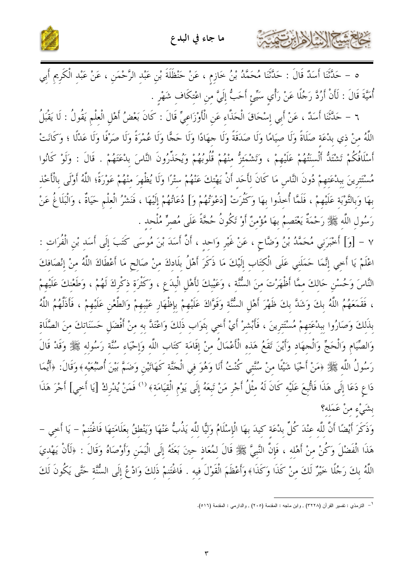

ه – حَدَّثَنَا أَسَدٌ قَالَ : حَدَّثَنَا مُحَمَّدُ بْنُ خَازِمٍ ، عَنْ حَنْظَلَةَ بْنِ عَبْدِ الرَّحْمَنِ ، عَنْ عَبْدِ الْكَرِيمِ أَبِي أُمَّيَّةَ قَالَ : لَأَنْ أَرُدَّ رَجُلًا عَنْ رَأْيِ سَيِّئِ أَحَبُّ إِلَيَّ مِنِ اعْتِكَافٍ شَهْرٍ .

٦ – حَدَّثَنا أَسَدٌ ، عَنْ أَبي إسْحَاقَ الْحَذَّاء عَن الْأَوْزَاعيِّ قَالَ : كَانَ بَعْضُ أَهْلِ الْعلْم يَقُولُ : لَا يَقْبَلُ اللَّهُ منْ ذي بدْعَة صَلَاةً وَلَا صِيَامًا وَلَا صَدَقَةً وَلَا حِهَادًا وَلَا حَجًّا وَلَا عُمْرَةً وَلَا صَرْفًا وَلَا عَدْلًا ؛ وَكَانَتْ أَسْلَافُكُمْ تَشْتَلُّ أَلْسَنَتُهُمْ عَلَيْهِمْ ، وَتَشْمَئزُّ منْهُمْ قُلُوبُهُمْ وَيُحَذِّرُونَ النَّاسَ بِدْعَتَهُمْ . قَالَ : وَلَوْ كَانُوا مُسْتَترينَ ببدْعَتهمْ دُونَ النَّاس مَا كَانَ لأَحَد أَنْ يَهْتكَ عَنْهُمْ ستْرًا وَلَا يُظْهِرَ منْهُمْ عَوْرَةً؛ اللَّهُ أَوْلَى بالْأَخْذ بهَا وَبِالتَّوْبَة عَلَيْهِمْ ، فَلَمَّا أُخذُوا بهَا وَكَثُرَتْ [دَعْوَتُهُمْ وَ] دُعَاتُهُمْ إِلَيْهَا ، فَنشْرُ الْعِلْم حَيَاةٌ ، وَالْبَلَاغُ عَنْ رَسُولِ اللَّهِ ﷺ رَحْمَةٌ يَعْتَصِمُ بِهَا مُؤْمِنٌ أَوْ تَكُونُ حُجَّةً عَلَى مُصرٍّ مُلْحِد .

٧ – [وَ] أَخْبَرَنِي مُحَمَّدُ بْنُ وَضَّاحٍ ، عَنْ غَيْرِ وَاحِدٍ ، أَنَّ أَسَدَ بْنَ مُوسَى كَتَبَ إلَى أَسَد بْن الْفُرَات : اعْلَمْ يَا أَخِي إنَّمَا حَمَلَني عَلَى الْكَتَاب إِلَيْكَ مَا ذَكَرَ أَهْلُ بِلَادكَ منْ صَالحٍ مَا أَعْطَاكَ اللَّهُ منْ إنْصَافكَ النَّاسَ وَحُسْنِ حَالكَ ممَّا أَظْهَرْتَ منَ السُّنَّة ، وَعَيْبكَ لأَهْلِ الْبدَعِ ، وَكَثْرَة ذكْركَ لَهُمْ ، وَطَعْنكَ عَلَيْهِمْ ، فَقَمَعَهُمُ اللَّهُ بِكَ وَشَدَّ بِكَ ظَهْرَ أَهْلِ السُّنَّةِ وَقَوَّاكَ عَلَيْهِمْ بِإِظْهَارِ عَيْبهمْ وَالطَّعْنِ عَلَيْهِمْ ، فَأَذَلَّهُمُ اللَّهُ بذَلكَ وَصَارُوا بِبدْعَتِهِمْ مُسْتَتِرِينَ ، فَأَبْشِرْ أَيْ أَحِي بِتَوَابٍ ذَلكَ وَاعْتَدَّ بِهِ منْ أَفْضَلِ حَسَنَاتكَ منَ الصَّلَاة وَالصِّيَامِ وَالْحَجِّ وَالْجهَادِ وَأَيْنَ تَقَعُ هَذِهِ الْأَعْمَالُ مِنْ إِقَامَةِ كِتَابِ اللَّهِ وَإِحْيَاءِ سُنَّة رَسُولِهِ ﷺ وَقَدْ قَالَ رَسُولُ اللَّه ﷺ ﴿مَنْ أَحْيَا شَيْئًا مِنْ سُنَّتِي كُنْتُ أَنَا وَهُوَ فِي الْجَنَّةِ كَهَاتَيْنِ وَضَمَّ بَيْنَ أُصْبُعَيْهِ﴾وَقَالَ: ﴿أَيُّمَا دَاعِ دَعَا إِلَى هَذَا فَاتُّبِعَ عَلَيْهِ كَانَ لَهُ مِثْلُ أَجْرِ مَنْ تَبِعَهُ إِلَى يَوْمِ الْقِيَامَةِ﴾ '' فَمَنْ يُدْرِكْ [يَا أَخِي] أَجْرَ هَذَا بشَيْءِ منْ عَمَله؟

وَذَكَرَ أَيْضًا أَنَّ للَّه عنْدَ كُلِّ بدْعَة كيدَ بهَا الْإِسْلَامُ وَلَيًّا للَّه يَذُبُّ عَنْهَا وَيَنْطقُ بعَلَامَتهَا فَاغْتَنمْ – يَا أَخي – هَذَا الْفَضْلَ وَكُنْ منْ أَهْله ، فَإِنَّ النَّبيَّ ﷺ قَالَ لمُعَاذ حينَ بَعَثَهُ إِلَى الْيَمَنِ وَأَوْصَاهُ وَقَالَ : ﴿لَأَنْ يَهْديَ اللَّهُ بكَ رَجُلًا خَيْرٌ لَكَ منْ كَذَا وَكَذَا﴾وأَعْظَمَ الْقَوْلَ فِيهِ . فَاغْتَنِمْ ذَلِكَ وَادْعُ إِلَى السُّنَّةِ حَتَّى يَكُونَ لَكَ

<sup>&</sup>lt;sup>1</sup> – التزمذي : تفسير القرآن (٣٢٢٨) , وابن ماجه : المقدمة (٢٠٥) , والدارمي : المقدمة (٥١٦).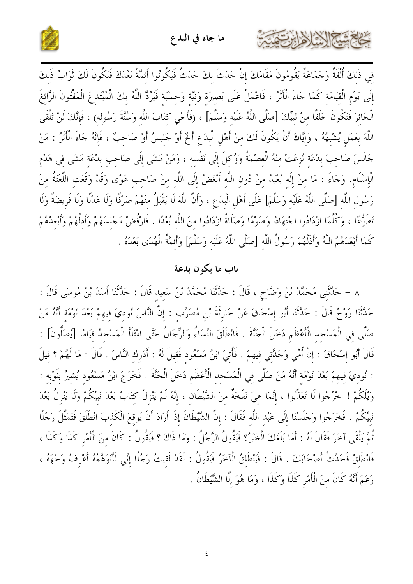



في ذَلكَ أُلْفَةٌ وَجَمَاعَةٌ يَقُومُونَ مَقَامَكَ إنْ حَدَثَ بكَ حَدَثٌ فَيَكُونُوا أَئمَّةً بَعْدَكَ فَيَكُونَ لَكَ ثَوَابُ ذَلكَ إِلَى يَوْمِ الْقِيَامَةِ كَمَا حَاءَ الْأَثْرُ ، فَاعْمَلْ عَلَى بَصِيرَةٍ وَنِيَّةٍ وَحِسْبَةٍ فَيَرُدَّ اللَّهُ بِكَ الْمُبْتَدِعَ الْمَفْتُونَ الزَّائِغَ الْحَائِرَ فَتَكُونَ خَلَفًا مِنْ نَبِيِّكَ [صَلَّى اللَّهُ عَلَيْهِ وَسَلَّمَ] ، (فَأَحْيِ كِتَابَ اللَّهِ وَسُنَّةَ رَسُوله) ، فَإِنَّكَ لَنْ تَلْقَى اللَّهَ بعَمَلٍ يُشْبِهُهُ ، وَإِيَّاكَ أَنْ يَكُونَ لَكَ منْ أَهْلِ الْبِدَعِ أَخٌ أَوْ جَليسٌ أَوْ صَاحبٌ ، فَإِنَّهُ جَاءَ الْأَثَرُ : مَنْ حَالَسَ صَاحِبَ بِدْعَة نُزِعَتْ مِنْهُ الْعصْمَةُ وَوُكِلَ إِلَى نَفْسِهِ ، وَمَنْ مَشَى إِلَى صَاحب بِدْعَة مَشَى فِي هَدْم الْإِسْلَامِ. وَجَاءَ : مَا مِنْ إِلَه يُعْبَدُ مِنْ دُونِ اللَّهِ أَبْغَضُ إِلَى اللَّهِ مِنْ صَاحِب هَوًى وَقَدْ وَقَعَتِ اللَّغْنَةُ مِنْ رَسُولِ اللَّهِ [صَلَّى اللَّهُ عَلَيْهِ وَسَلَّمَ] عَلَى أَهْلِ الْبِدَعِ ، وَأَنَّ اللَّهَ لَا يَقْبَلُ منْهُمْ صَرْفًا وَلَا عَدْلًا وَلَا فَريضَةً وَلَا تَطَوُّعًا ، وَكُلَّمَا ازْدَادُوا اجْتِهَادًا وَصَوْمًا وَصَلَاةً ازْدَادُوا مِنَ اللَّهِ بُعْدًا . فَارْفُضْ مَجْلِسَهُمْ وَأَذِلَّهُمْ وَأَبْعِدْهُمْ كَمَا أَبْعَدَهُمُ اللَّهُ وَأَذَلَّهُمْ رَسُولُ اللَّهِ [صَلَّى اللَّهُ عَلَيْهِ وَسَلَّمَ] وَأَئِمَّةُ الْهُدَى بَعْدَهُ .

# باب ما يكون بدعة

٨ – حَلَّتْني مُحَمَّدُ بْنُ وَضَّاحٍ ، قَالَ : حَلَّتْنَا مُحَمَّدُ بْنُ سَعِيدِ قَالَ : حَلَّتْنَا أَسَدُ بْنُ مُوسَى قَالَ : حَلَّتْنَا رَوْحٌ قَالَ : حَلَّتْنَا أَبُو إسْحَاقَ عَنْ حَارِثَةَ بْنِ مُضَرِّبٍ : إنَّ النَّاسَ نُوديَ فيهمْ بَعْدَ نَوْمَة أَنَّهُ مَنْ صَلَّى في الْمَسْحِد الْأَعْظَم دَخَلَ الْحَنَّةَ . فَانْطَلَقَ النِّسَاءُ وَالرِّجَالُ حَتَّى امْتَلَأ الْمَسْحِدُ قيَامًا [يُصَلُّونَ] : قَالَ أَبُو إِسْحَاقَ : إِنَّ أُمِّي وَحَدَّتِي فِيهِمْ . فَأُتِيَ ابْنُ مَسْعُودٍ فَقِيلَ لَهُ : أَدْرِك النَّاسَ . قَالَ : مَا لَهُمْ ؟ قِيلَ : نُودِيَ فِيهِمْ بَعْدَ نَوْمَةِ أَنَّهُ مَنْ صَلَّى فِي الْمَسْجِدِ الْأَعْظَمِ دَخَلَ الْجَنَّةَ . فَخَرَجَ ابْنُ مَسْعُود يُشِيرُ بِثَوْبِهِ : وَيْلَكُمْ ! اخْرُجُوا لَا تُعَذَّبُوا ، إِنَّمَا هِيَ نَفْخَةٌ مِنَ الشَّيْطَانِ ، إِنَّهُ لَمْ يَنْزِلْ كِتَابٌ بَعْدَ نَبِيِّكُمْ وَلَا يَنْزِلُ بَعْدَ نَبِيِّكُمْ . فَخَرَجُوا وَجَلَسْنَا إِلَى عَبْد اللَّه فَقَالَ : إِنَّ الشَّيْطَانَ إِذَا أَرَادَ أَنْ يُوقعَ الْكَذبَ انْطَلَقَ فَتَمَثَّلَ رَجُلًا نُمَّ يَلْقَى آخَرَ فَقَالَ لَهُ : أَمَا بَلَغَكَ الْخَبَرُ؟ فَيَقُولُ الرَّجُلُ : وَمَا ذَاكَ ؟ فَيَقُولُ : كَانَ منَ الْأَمْرِ كَذَا وَكَذَا ، فَانْطَلقْ فَحَدِّثْ أَصْحَابَكَ . قَالَ : فَيَنْطَلقُ الْآخَرُ فَيَقُولُ : لَقَدْ لَقِيتُ رَجُلًا إِنِّي لَأَتَوَهَّمُهُ أَعْرِفُ وَجْهَهُ ، زَعَمَ أَنَّهُ كَانَ منَ الْأَمْرِ كَذَا وَكَذَا ، وَمَا هُوَ إِلَّا الشَّيْطَانُ .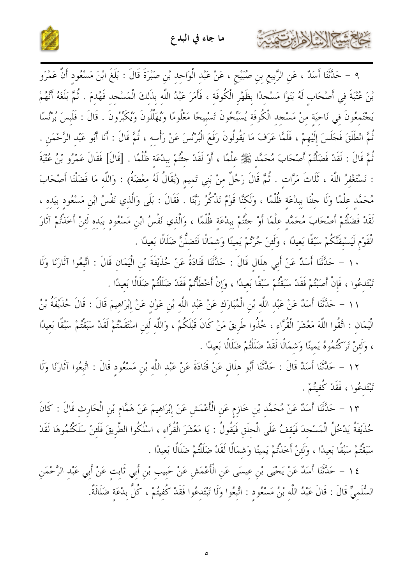



٩ – حَدَّثَنَا أَسَدٌ ، عَنِ الرَّبِيعِ بنِ صُبَيْحٍ ، عَنْ عَبْدِ الْوَاحِدِ بْنِ صَبْرَةَ قَالَ : بَلَغَ ابْنَ مَسْعُودِ أَنَّ عَمْرَو بْنَ عُتْبَةَ في أَصْحَاب لَهُ بَنَوْا مَسْحِدًا بظَهْرِ الْكُوفَة ، فَأَمَرَ عَبْدُ اللَّه بذَلكَ الْمَسْجد فَهُدمَ . ثُمَّ بَلَغَهُ أَنَّهُمْ يَجْتَمعُونَ في نَاحيَة منْ مَسْجد الْكُوفَة يُسَبِّحُونَ تَسْبِيحًا مَعْلُومًا وَيُهَلِّلُونَ وَيُكَبِّرُونَ . قَالَ : فَلَبسَ بُرْنُسًا ثُمَّ انْطَلَقَ فَجَلَسَ إِلَيْهِمْ ، فَلَمَّا عَرَفَ مَا يَقُولُونَ رَفَعَ الْبُرْنُسَ عَنْ رَأْسه ، ثُمَّ قَالَ : أَنَا أَبُو عَبْد الرَّحْمَن . ثُمَّ قَالَ : لَقَدْ فَضَلْتُمْ أَصْحَابَ مُحَمَّد ﷺ علْمًا ، أَوْ لَقَدْ حثُّمْ ببدْعَة ظُلْمًا . [قَالَ] فَقَالَ عَمْرُو بْنُ عُتْبَةَ : نَسْتَغْفِرُ اللَّهَ ، ثَلَاتَ مَرَّات . ثُمَّ قَالَ رَجُلٌ مِنْ بَنِي تَمِيمِ (يُقَالُ لَهُ مِعْضَةُ) : وَاللَّهِ مَا فَضَلْنَا أَصْحَابَ مُحَمَّد علْمًا وَلَا حثْنَا ببدْعَة ظُلْمًا ، وَلَكنَّا قَوْمٌ نَذْكُرُ رَبَّنَا . فَقَالَ : بَلَى وَالَّذي نَفْسُ ابْن مَسْعُود بيَده ، لَقَدْ فَضَلْتُمْ أَصْحَابَ مُحَمَّد علْمًا أَوْ حثَّتُمْ ببدْعَة ظُلْمًا ، وَالَّذي نَفْسُ ابْن مَسْعُود بيَده لَئنْ أخَذْتُمْ آثَارَ الْقَوْمِ لَيَسْبِقَنَّكُمْ سَبْقًا بَعِيدًا ، وَلَئِنْ جُرْتُمْ يَمِينًا وَشِمَالًا لَتَضِلُّنَّ ضَلَالًا بَعِيدًا .

١٠ – حَدَّثَنَا أَسَدٌ عَنْ أَبِي هلَال قَالَ : حَدَّثَنَا قَتَادَةُ عَنْ حُذَيْفَةَ بْنِ الْيَمَانِ قَالَ : اتَّبعُوا آثَارَنَا وَلَا تَبْتَدعُوا ، فَإِنْ أَصَبْتُمْ فَقَدْ سَبَقْتُمْ سَبْقًا بَعيدًا ، وَإِنْ أَخْطَأْتُمْ فَقَدْ ضَلَلْتُمْ ضَلَالًا بَعيدًا .

١١ – حَدَّثَنَا أَسَدٌ عَنْ عَبْد اللَّه بْن الْمُبَارَك عَنْ عَبْد اللَّه بْن عَوْن عَنْ إبْرَاهيمَ قَالَ : قَالَ حُذَيْفَةُ بْنُ الْيَمَان : اتَّقُوا اللَّهَ مَعْشَرَ الْقُرَّاء ، خُذُوا طَريقَ مَنْ كَانَ قَبْلَكُمْ ، وَاللَّه لَئن اسْتَقَمْتُمْ لَقَدْ سَبَقْتُمْ سَبْقًا بَعيدًا ، وَلَئنْ تَرَكْتُمُوهُ يَمينًا وَشمَالًا لَقَدْ ضَلَلْتُمْ ضَلَالًا بَعيدًا .

١٢ – حَدَّثَنَا أَسَدٌ قَالَ : حَدَّثَنَا أَبُو هِلَالٍ عَنْ قَتَادَةَ عَنْ عَبْدِ اللَّهِ بْنِ مَسْعُودٍ قَالَ : اتَّبِعُوا آثَارَنَا وَلَا تَبْتَدعُوا ، فَقَلْ كُفِيتُمْ .

١٣ – حَلَّتْنَا أَسَلٌ عَنْ مُحَمَّدٍ بْنِ خَازِمٍ عَنِ الْأَعْمَشِ عَنْ إِبْرَاهِيمَ عَنْ هَمَّامٍ بْنِ الْحَارِثِ قَالَ : كَانَ حُذَيْفَةُ يَدْخُلُ الْمَسْحِدَ فَيَقفُ عَلَى الْحلَق فَيَقُولُ : يَا مَعْشَرَ الْقُرَّاء ، اسْلُكُوا الطَّريقَ فَلَئنْ سَلَكْتُمُوهَا لَقَدْ سَبَقْتُمْ سَبْقًا بَعِيدًا ، وَلَئِنْ أَخَذْتُمْ يَمينًا وَشِمَالًا لَقَدْ ضَلَلْتُمْ ضَلَالًا بَعيدًا .

١٤ - حَلَّتْنَا أَسَلًا عَنْ يَحْيَى بْنِ عِيسَى عَنِ الْأَعْمَشِ عَنْ حَبِيبِ بْنِ أَبِي ثَابِتٍ عَنْ أَبِي عَبْدِ الرَّحْمَنِ السُّلَمِيِّ قَالَ : قَالَ عَبْدُ اللَّهِ بْنُ مَسْعُودٍ : اتَّبِعُوا وَلَا تَبْتَدِعُوا فَقَدْ كُفِيتُمْ ، كُلُّ بِدْعَةِ ضَلَالَةٌ.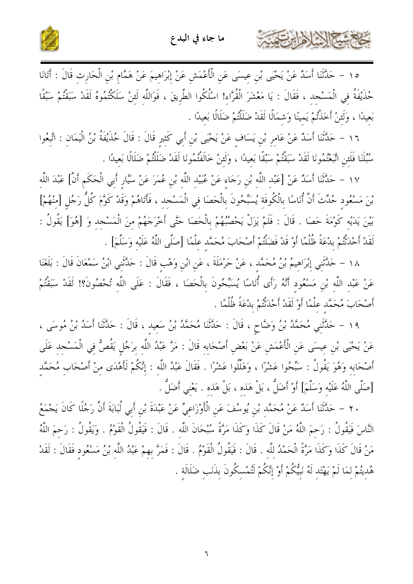

بحاحمته الأزلاذارتق



١٥ – حَلَّتْنَا أَسَلٌ عَنْ يَحْيَى بْنِ عِيسَى عَنِ الْأَعْمَشِ عَنْ إِبْرَاهِيمَ عَنْ هَمَّامٍ بْنِ الْحَارِثِ قَالَ : أَتَانَا حُذَيْفَةُ فِي الْمَسْجِدِ ، فَقَالَ : يَا مَعْشَرَ الْقُرَّاءِ! اسْلُكُوا الطَّرِيقَ ، فَوَاللَّهِ لَئِنْ سَلَكْتُمُوهُ لَقَدْ سَبَقْتُمْ سَنْقًا بَعِيدًا ، وَلَئِنْ أَحَذْتُمْ يَمِينًا وَشَمَالًا لَقَدْ ضَلَلْتُمْ ضَلَالًا بَعيدًا .

١٦ – حَلَّتْنَا أَسَلٌ عَنْ عَامِرٍ بْنِ يَسَافٍ عَنْ يَحْيَى بْنِ أَبِي كَثِيرٍ قَالَ : قَالَ حُذَيْفَةُ بْنُ الْيَمَانِ : اتَّبِعُوا سُبُلَنَا فَلَئِنِ اتَّبَعْتُمُونَا لَقَدْ سَبَقْتُمْ سَبْقًا بَعِيدًا ، وَلَئِنْ خَالَفْتُمُونَا لَقَدْ ضَلَلْتُمْ ضَلَالًا بَعيدًا .

١٧ – حَلَّتْنَا أَسَلٌ عَنْ [عَبْد اللَّه بْنِ رَجَاءِ عَنْ عُبَيْد اللَّه بْنِ عُمَرَ عَنْ سَيَّارٍ أَبي الْحَكَمِ أَنَّ] عَبْدَ اللَّه بْنَ مَسْعُود حُدِّثَ أَنَّ أُنَاسًا بِالْكُوفَة يُسَبِّحُونَ بِالْحَصَا في الْمَسْجد ، فَأَتَاهُمْ وَقَدْ كَوَّمَ كُلُّ رَجُل [منْهُمْ] بَيْنَ يَدَيْه كَوْمَةَ حَصَا . قَالَ : فَلَمْ يَزَلْ يَحْصُبُهُمْ بِالْحَصَا حَتَّى أَخْرَجَهُمْ منَ الْمَسْجد وَ [هُوَ] يَقُولُ : لَقَدْ أَحْدَثْتُمْ بِدْعَةً ظُلْمًا أَوْ قَدْ فَضَلْتُمْ أَصْحَابَ مُحَمَّدٍ عِلْمًا [صَلَّى اللَّهُ عَلَيْه وَسَلَّمَ] .

١٨ – حَدَّثَني إِبْرَاهِيمُ بْنُ مُحَمَّدٍ ، عَنْ حَرْمَلَةَ ، عَنِ ابْنِ وَهْبٍ قَالَ : حَدَّثَنِي ابْنُ سَمْعَانَ قَالَ : بَلَغَنَا عَنْ عَبْد اللَّه بْنِ مَسْعُود أَنَّهُ رَأَى أُنَاسًا يُسَبِّحُونَ بِالْحَصَا ، فَقَالَ : عَلَى اللَّه تُحْصُونَ؟! لَقَدْ سَبَقْتُمْ أَصْحَابَ مُحَمَّد علْمًا أَوْ لَقَدْ أَحْدَثْتُمْ بِدْعَةً ظُلْمًا .

١٩ – حَلَّتْني مُحَمَّدُ بْنُ وَضَّاحٍ ، قَالَ : حَلَّتْنَا مُحَمَّدُ بْنُ سَعيد ، قَالَ : حَلَّتْنَا أَسَدُ بْنُ مُوسَى ، عَنْ يَحْيَى بْنِ عِيسَى عَنِ الْأَعْمَشِ عَنْ بَعْضٍ أَصْحَابِهِ قَالَ : مَرَّ عَبْدُ اللَّهِ بِرَجُلٍ يَقُصُّ فِي الْمَسْجِدِ عَلَى أَصْحَابه وَهُوَ يَقُولُ : سَبِّحُوا عَشْرًا ، وَهَلِّلُوا عَشْرًا . فَقَالَ عَبْدُ اللَّه : إنَّكُمْ لَأَهْدَى منْ أَصْحَاب مُحَمَّد [صَلَّى اللَّهُ عَلَيْه وَسَلَّمَ] أَوْ أَضَلُّ ، بَلْ هَذه ، بَلْ هَذه . يَعْني أَضَلُّ .

٢٠ – حَلَّتْنَا أَسَلُهُ عَنْ مُحَمَّدٍ بْنِ يُوسُفَ عَنِ الْأَوْزَاعِيِّ عَنْ عَبْدَةَ بْنِ أَبِي لُبَابَةَ أَنَّ رَجُلًا كَانَ يَجْمَعُ النَّاسَ فَيَقُولُ : رَحمَ اللَّهُ مَنْ قَالَ كَذَا وَكَذَا مَرَّةً سُبْحَانَ اللَّه . قَالَ : فَيَقُولُ الْقَوْمُ . وَيَقُولُ : رَحمَ اللَّهُ مَنْ قَالَ كَذَا وَكَذَا مَرَّةً الْحَمْدُ للَّه . قَالَ : فَيَقُولُ الْقَوْمُ . قَالَ : فَمَرَّ بهمْ عَبْدُ اللَّه بْنُ مَسْعُود فَقَالَ : لَقَدْ هُديتُمْ لمَا لَمْ يَهْتَد لَهُ نَبِيُّكُمْ أَوْ إِنَّكُمْ لَتُمْسكُونَ بذَنَب ضَلَالَة .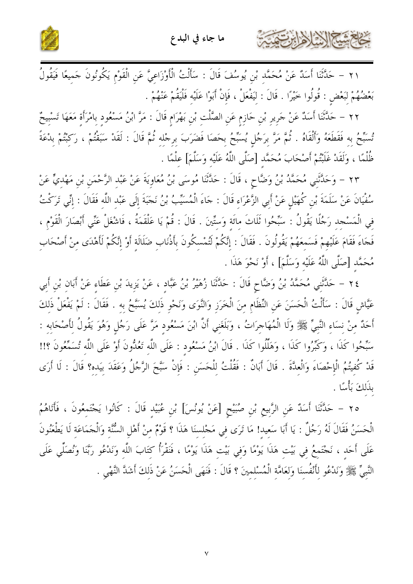حَاجَمَتْنَجَ الْذَارَ هَابِرَتْهَتَ



٢١ – حَلَّتْنَا أَسَلٌ عَنْ مُحَمَّدٍ بْنِ يُوسُفَ قَالَ : سَأَلْتُ الْأَوْزَاعِيَّ عَنِ الْقَوْمِ يَكُونُونَ حَميعًا فَيَقُولُ بَعْضُهُمْ لِبَعْضِ : قُولُوا خَيْرًا . قَالَ : لِيَفْعَلْ ، فَإِنْ أَبَوْا عَلَيْهِ فَلْيَقُمْ عَنْهُمْ .

٢٢ – حَلَّتَنَا أَسَلٌ عَنْ جَرِيرٍ بْنِ حَازِمٍ عَنِ الصَّلْتِ بْنِ بَهْرَامٍ قَالَ : مَرَّ ابْنُ مَسْعُود بامْرَأَة مَعَهَا تَسْبِيحٌ تُسَبِّحُ بِهِ فَقَطَعَهُ وَأَلْقَاهُ . ثُمَّ مَرَّ بِرَجُلٍ يُسَبِّحُ بِحَصَا فَضَرَبَ بِرِجْلِهِ ثُمَّ قَالَ : لَقَدْ سَبَقْتُمْ ، رَكِبْتُمْ بِدْعَةً ظُلْمًا ، وَلَقَدْ غَلَبْتُمْ أَصْحَابَ مُحَمَّد [صَلَّى اللَّهُ عَلَيْه وَسَلَّمَ] علْمًا .

٢٣ - وَحَلَّتْنِي مُحَمَّدُ بْنُ وَضَّاحٍ ، قَالَ : حَلَّتْنَا مُوسَى بْنُ مُعَاوِيَةَ عَنْ عَبْدِ الرَّحْمَنِ بْنِ مَهْديٍّ عَنْ سُفْيَانَ عَنْ سَلَمَةَ بْنِ كُهَيْلِ عَنْ أَبِي الزَّعْرَاءِ قَالَ : جَاءَ الْمُسَيِّبُ بْنُ نَجَبَةَ إلَى عَبْد اللَّه فَقَالَ : إنِّي تَرَكْتُ فِي الْمَسْجِدِ رَجُلًا يَقُولُ : سَبِّحُوا ثَلَاثَ مائَة وَستِّينَ . قَالَ : قُمْ يَا عَلْقَمَةُ ، فَاشْغَلْ عَنِّي أَبْصَارَ الْقَوْم ، فَجَاءَ فَقَامَ عَلَيْهِمْ فَسَمعَهُمْ يَقُولُونَ . فَقَالَ : إِنَّكُمْ لَتُمْسكُونَ بِأَذْنَابِ ضَلَالَة أَوْ إِنَّكُمْ لَأَهْدَى مِنْ أَصْحَابِ مُحَمَّد [صَلَّى اللَّهُ عَلَيْه وَسَلَّمَ] ، أَوْ نَحْوَ هَذَا .

٢٤ – حَلَّتْني مُحَمَّدُ بْنُ وَضَّاحٍ قَالَ : حَلَّتْنَا زُهَيْرُ بْنُ عَبَّاد ، عَنْ يَزيدَ بْن عَطَاء عَنْ أَبان بْن أَبي عَيَّاشِ قَالَ : سَأَلْتُ الْحَسَنَ عَنِ النِّظَامِ مِنَ الْخَرَزِ وَالنَّوَى وَنَحْوِ ذَلكَ يُسَبَّحُ به . فَقَالَ : لَمْ يَفْعَلْ ذَلكَ أَحَدٌ مِنْ نِسَاءِ النَّبِيِّ ﷺ وَلَا الْمُهَاجِرَاتُ ، وَبَلَغَني أَنَّ ابْنَ مَسْعُود مَرَّ عَلَى رَجُل وَهُوَ يَقُولُ لأَصْحَابه : سَبِّحُوا كَذَا ، وَكَبِّرُوا كَذَا ، وَهَلِّلُوا كَذَا . قَالَ ابْنُ مَسْعُود : عَلَى اللَّه تَعُدُّونَ أَوْ عَلَى اللَّه تُسَمَّعُونَ ؟!! قَدْ كُفيتُمُ الْإِحْصَاءَ وَالْعدَّةَ . قَالَ أَبَانٌ : فَقُلْتُ للْحَسَنِ : فَإِنْ سَبَّحَ الرَّجُلُ وَعَقَدَ بيَده؟ قَالَ : لَا أَرَى بذَلكَ بَأْسًا .

٢٥ – حَلَّتْنَا أَسَلٌ عَنِ الرَّبِيعِ بْنِ صُبَيْحِ [عَنْ يُونُسَ] بْنِ عُبَيْدِ قَالَ : كَانُوا يَجْتَمعُونَ ، فَأَتَاهُمُ الْحَسَنُ فَقَالَ لَهُ رَجُلٌ : يَا أَبَا سَعِيد! مَا تَرَى فِي مَجْلِسِنَا هَذَا ؟ قَوْمٌ مِنْ أَهْلِ السُّنَّةِ وَالْجَمَاعَةِ لَا يَطْعَنُونَ عَلَى أَحَدٍ ، نَجْتَمِعُ فِي بَيْتِ هَذَا يَوْمًا وَفِي بَيْتِ هَذَا يَوْمًا ، فَنَقْرَأُ كِتَابَ اللّه وَنَدْعُو رَبَّنا وَنُصَلِّي عَلَى النَّبِيِّ ﴾ ﴾ وَنَدْعُو لأَنْفُسنَا وَلعَامَّة الْمُسْلمينَ ؟ قَالَ : فَنَهَى الْحَسَنُ عَنْ ذَلكَ أشَدَّ النَّهْي .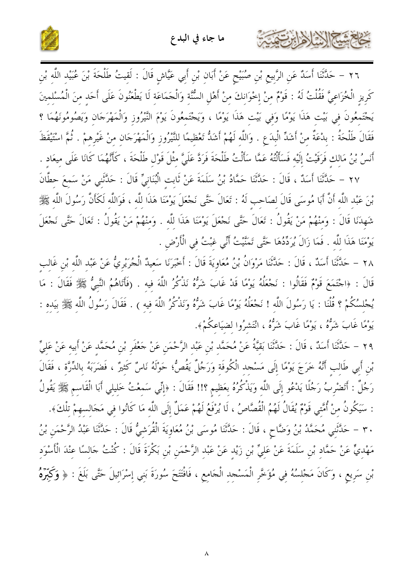المسلا الأوابرت



٢٦ – حَلَّتْنَا أَسَدٌ عَنِ الرَّبِيعِ بْنِ صُبَيْحٍ عَنْ أَبَانِ بْنِ أَبِي عَيَّاشٍ قَالَ : لَقِيتُ طَلْحَةَ بْنَ عُبَيْدِ اللَّهِ بْنِ كَرِيزِ الْخُزَاعِيَّ فَقُلْتُ لَهُ : قَوْمٌ مِنْ إِخْوَانِكَ مِنْ أَهْلِ السُّنَّةِ وَالْجَمَاعَةِ لَا يَطْعَنُونَ عَلَى أَحَدِ مِنَ الْمُسْلِمِينَ يَجْتَمِعُونَ فِي بَيْتِ هَذَا يَوْمًا وَفِي بَيْتِ هَذَا يَوْمًا ، وَيَجْتَمِعُونَ يَوْمَ النَّيْرُوزِ وَالْمَهْرَجَانِ وَيَصُومُونَهُمَا ؟ فَقَالَ طَلْحَةُ : بِدْعَةٌ منْ أَشَدِّ الْبِدَعِ . وَاللَّه لَهُمْ أَشَدُّ تَعْظِيمًا للنَّيْرُوزِ وَالْمَهْرَجَانِ مِنْ غَيْرِهِمْ . ثُمَّ اسْتَيْقَظَ أَنسُ بْنُ مَالِكٍ فَرَقَيْتُ إِلَيْهِ فَسَأَلْتُهُ عَمَّا سَأَلْتُ طَلْحَةَ فَرَدَّ عَلَيَّ مِثْلَ قَوْلِ طَلْحَةَ ، كَأَنَّهُمَا كَانَا عَلَى مِيعَادِ .

٢٧ – حَلَّتْنَا أَسَدٌ ، قَالَ : حَدَّثَنَا حَمَّادُ بْنُ سَلَمَةَ عَنْ ثَابت الْبُنَانِيِّ قَالَ : حَدَّثَنِي مَنْ سَمعَ حطَّانَ بْنَ عَبْد اللَّه أَنَّ أَبَا مُوسَى قَالَ لصَاحب لَهُ : تَعَالَ حَتَّى نَجْعَلَ يَوْمَنَا هَذَا للَّه ، فَوَاللَّه لَكَأَنَّ رَسُولَ اللَّهِ ﷺ شَهدَنَا قَالَ : وَمنْهُمْ مَنْ يَقُولُ : تَعَالَ حَتَّى نَجْعَلَ يَوْمَنَا هَذَا للَّه . وَمنْهُمْ مَنْ يَقُولُ : تَعَالَ حَتَّى نَجْعَلَ يَوْمَنَا هَذَا للَّه . فَمَا زَالَ يُرَدِّدُهَا حَتَّى تَمَنَّيْتُ أَنِّي غَبْتُ فِي الْأَرْضِ .

٢٨ – حَدَّثَنَا أَسَدٌ ، قَالَ : حَدَّثَنَا مَرْوَانُ بْنُ مُعَاوِيَةَ قَالَ : أَخْبَرَنَا سَعيدٌ الْجُرَيْرِيُّ عَنْ عَبْد اللَّه بْن غَالب قَالَ : ﴿اجْتَمَعَ قَوْمٌ فَقَالُوا : نَجْعَلُهُ يَوْمًا قَدْ غَابَ شَرُّهُ نَذْكُرُ اللَّهَ فيه . (فَأَتَاهُمُ النَّبِيُّ ﷺ فَقَالَ : مَا يُحْلسُكُمْ ؟ قُلْنَا : يَا رَسُولَ اللَّه ! نَجْعَلُهُ يَوْمًا غَابَ شَرُّهُ وَنَذْكُرُ اللَّهَ فِيه ) . فَقَالَ رَسُولُ اللَّه ﷺ بيَده : يَوْمًا غَابَ شَرُّهُ ، يَوْمًا غَابَ شَرُّهُ ، انْتَشرُوا لضيَاعكُمْ﴾.

٢٩ – حَلَّتْنَا أَسَدٌ ، قَالَ : حَلَّتْنَا بَقيَّةُ عَنْ مُحَمَّد بْنِ عَبْد الرَّحْمَنِ عَنْ حَغْفَرِ بْنِ مُحَمَّدٍ عَنْ عَلِيٍّ بْنِ أَبِي طَالبِ أَنَّهُ خَرَجَ يَوْمًا إِلَى مَسْجِد الْكُوفَة وَرَجُلٌ يَقُصُّ؛ حَوْلَهُ نَاسٌ كَثيرٌ ، فَضَرَبَهُ بالدِّرَّة ، فَقَالَ رَجُلٌ : أَتَضْرِبُ رَجُلًا يَدْعُو إِلَى اللَّه وَيَذْكُرُهُ بعَظيم ؟!! فَقَالَ : ﴿إِنِّي سَمعْتُ خَليلي أَبَا الْقَاسم ﷺ يَقُولُ : سَيَكُونُ مِنْ أُمَّتِي قَوْمٌ يُقَالُ لَهُمُ الْقُصَّاصُ ، لَا يُرْفَعُ لَهُمْ عَمَلٌ إِلَى اللَّهِ مَا كَانُوا فِي مَجَالسهمْ تِلْكَ﴾. ٣٠ – حَلَّتْنِي مُحَمَّدُ بْنُ وَضَّاحٍ ، قَالَ : حَلَّتْنَا مُوسَى بْنُ مُعَاوِيَةَ الْقُرَشِيُّ قَالَ : حَلَّتْنَا عَبْدُ الرَّحْمَنِ بْنُ مَهْدِيٍّ عَنْ حَمَّادٍ بْنِ سَلَمَةَ عَنْ عَلِيٍّ بْنِ زَيْدٍ عَنْ عَبْدِ الرَّحْمَنِ بْنِ بَكْرَةَ قَالَ : كُنْتُ حَالِسًا عِنْدَ الْأَسْوَدِ بْنِ سَرِيعٍ ، وَكَانَ مَجْلِسُهُ فِي مُؤَخَّرِ الْمَسْجِدِ الْجَامِعِ ، فَافْتَتَحَ سُورَةَ بَنِي إِسْرَائِيلَ حَتَّى بَلَغَ : ﴿ وَكَبِّرَهُ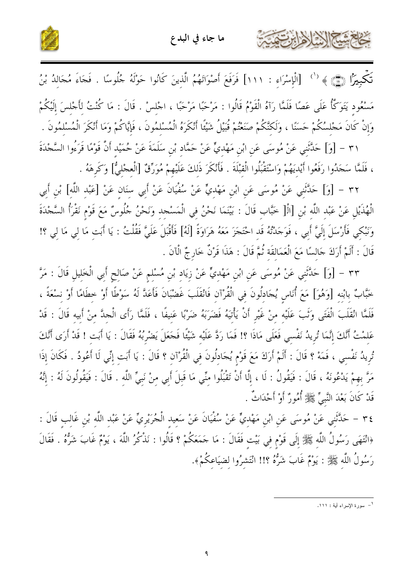حمشكم الرخ لأهابن ت



تَكْبِيرًا (١١٦) [الْإِسْرَاءِ : ١١١] فَرَفَعَ أَصْوَاتَهُمُ الَّذِينَ كَانُوا حَوْلَهُ جُلُوسًا . فَجَاءَ مُجَالِدُ بْنُ مَسْعُود يَتَوَكَّأُ عَلَى عَصَّا فَلَمَّا رَآهُ الْقَوْمُ قَالُوا : مَرْحَبًا مَرْحَبًا ، اجْلسْ . قَالَ : مَا كُنْتُ لأَجْلسَ إلَيْكُمْ وَإِنْ كَانَ مَجْلسُكُمْ حَسَنًا ، وَلَكنَّكُمْ صَنَعْتُمْ قُبَيْلُ شَيْئًا أَنْكَرَهُ الْمُسْلمُونَ ، فَإِيَّاكُمْ وَمَا أَنْكَرَ الْمُسْلمُونَ . ٣١ – [وَ] حَلَّتْنِي عَنْ مُوسَى عَنِ ابْنِ مَهْديٍّ عَنْ حَمَّاد بْن سَلَمَةَ عَنْ حُمَيْد أَنَّ قَوْمًا قَرَءُوا السَّجْدَةَ

، فَلَمَّا سَجَدُوا رَفَعُوا أَيْديَهُمْ وَاسْتَقْبَلُوا الْقبْلَةَ . فَأَنْكَرَ ذَلكَ عَلَيْهِمْ مُوَرِّقٌ [الْعجْليُّ] وَكَرهَهُ .

٣٢ – [وَ] حَلَّتَنِي عَنْ مُوسَى عَنِ ابْنِ مَهْديٍّ عَنْ سُفْيَانَ عَنْ أَبِي سنَان عَنْ [عَبْد اللَّه] بْن أَبي الْهُذَيْلِ عَنْ عَبْدِ اللَّهِ بْنِ [الْ[ خَبَّابِ قَالَ : بَيْنَمَا نَحْنُ فِي الْمَسْجدِ وَنَحْنُ جُلُوسٌ مَعَ قَوْمٍ نَقْرَأُ السَّجْدَةَ وَنَبْكِي فَأَرْسَلَ إِلَيَّ أَبِي ، فَوَجَدْتُهُ قَدِ احْتَجَزَ مَعَهُ هَرَاوَةً [لَهُ] فَأَقْبَلَ عَلَيَّ فَقُلْتُ : يَا أَبَت مَا لِي مَا لِي ؟! قَالَ : أَلَمْ أَرَكَ حَالسًا مَعَ الْعَمَالقَة ثُمَّ قَالَ : هَذَا قَرْنٌ خَارِ جٌ الْآنَ .

٣٣ - [وَ] حَلَّتْنِي عَنْ مُوسَى عَنِ ابْنِ مَهْدِيٍّ عَنْ زِيَاد بْنِ مُسْلِمٍ عَنْ صَالِحٍ أَبِي الْخَلِيلِ قَالَ : مَرَّ خَبَّابٌ بِابْنِهِ [وَهُوَ] مَعَ أُنَاسٍ يُجَادِلُونَ فِي الْقُرْآنِ فَانْقَلَبَ غَضْبَانَ فَأَعَدَّ لَهُ سَوْطًا أَوْ خطَامًا أَوْ نسْعَةً ، فَلَمَّا انْقَلَبَ الْفَتَى وَتَبَ عَلَيْه منْ غَيْرِ أَنْ يَأْتِيَهُ فَضَرَبَهُ ضَرْبًا عَنيفًا ، فَلَمَّا رَأى الْحدَّ منْ أَبيه قَالَ : قَدْ عَلمْتُ أَنَّكَ إنَّمَا تُريدُ نَفْسي فَعَلَى مَاذَا ؟! فَمَا رَدَّ عَلَيْه شَيْئًا فَحَعَلَ يَضْرُبُهُ فَقَالَ : يَا أَبت ! قَدْ أَرَى أَنَّكَ تُريدُ نَفْسي ، فَمَهْ ؟ قَالَ : أَلَمْ أَرَكَ مَعَ قَوْم يُجَادِلُونَ في الْقُرْآن ؟ قَالَ : يَا أَبَت إنِّي لَا أَعُودُ . فَكَانَ إذَا مَرَّ بهمْ يَدْعُونَهُ ، قَالَ : فَيَقُولُ : لَا ، إِلَّا أَنْ تَقْبَلُوا مِنِّي مَا قَبِلَ أَبِي مِنْ نَبِيِّ اللَّهِ . قَالَ : فَيَقُولُونَ لَهُ : إِنَّهُ قَدْ كَانَ بَعْدَ النَّبِيِّ ﷺ أُمُورٌ أَوْ أَحْدَاتٌ .

٣٤ – حَلَّتَني عَنْ مُوسَى عَن ابْن مَهْديٍّ عَنْ سُفْيَانَ عَنْ سَعيد الْجُرَيْرِيِّ عَنْ عَبْد اللّه بْن غَالب قَالَ : ﴿انْتَهَى رَسُولُ اللَّهِ ﷺ إِلَى قَوْمٍ في بَيْت فَقَالَ : مَا جَمَعَكُمْ ؟ قَالُوا : نَذْكُرُ اللَّهَ ، يَوْمٌ غَابَ شَرُّهُ . فَقَالَ رَسُولُ اللَّه ﷺ : يَوْمٌ غَابَ شَرُّهُ ؟!! انْتَشِرُوا لِضِيَاعِكُمْ﴾.

ا – سورة الإسراء أية : ١١١.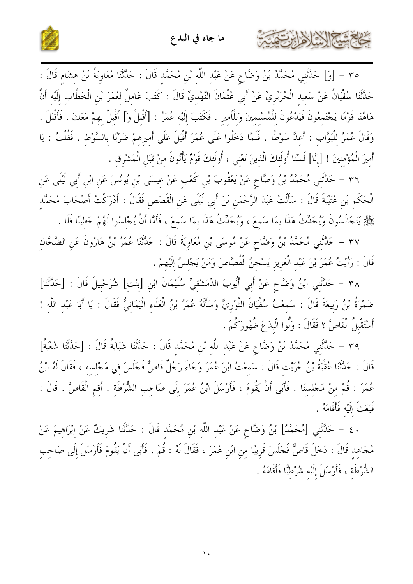كخلع شيم الإيزابرت



٣٥ - [وَ] حَلَّتْنِي مُحَمَّدُ بْنُ وَضَّاحٍ عَنْ عَبْدِ اللَّهِ بْنِ مُحَمَّدٍ قَالَ : حَلَّتْنَا مُعَاوِيَةُ بْنُ هِشَامٍ قَالَ : حَدَّثَنَا سُفْيَانُ عَنْ سَعيد الْجُرَيْرِيِّ عَنْ أَبِي عُثْمَانَ النَّهْديِّ قَالَ : كَتَبَ عَاملٌ لعُمَرَ بْن الْخَطَّاب إلَيْه أَنَّ هَاهُنَا قَوْمًا يَجْتَمعُونَ فَيَدْعُونَ للْمُسْلمينَ وَللْأَمير . فَكَتَبَ إلَيْه عُمَرُ : [أَقْبلْ وَ] أَقْبلْ بهمْ مَعَكَ . فَأَقْبَلَ . وَقَالَ عُمَرُ للْبَوَّاب : أَعدَّ سَوْطًا . فَلَمَّا دَخَلُوا عَلَى عُمَرَ أَقْبَلَ عَلَى أَميرهمْ ضَرْبًا بالسَّوْط . فَقُلْتُ : يَا أَمِيرَ الْمُؤْمِنِينَ ! [إِنَّا] لَسْنَا أُولَئِكَ الَّذِينَ تَعْنِي ، أُولَئِكَ قَوْمٌ يَأْتُونَ مِنْ قِبَلِ الْمَشْرِقِ .

٣٦ – حَلَّتْنِي مُحَمَّدُ بْنُ وَضَّاحٍ عَنْ يَعْقُوبَ بْنِ كَعْبِ عَنْ عِيسَى بْنِ يُونُسَ عَنِ ابْنِ أَبي لَيْلَى عَنِ الْحَكَمِ بْنِ عُتَيْبَةَ قَالَ : سَأَلْتُ عَبْدَ الرَّحْمَنِ بْنَ أَبِي لَيْلَى عَنِ الْقَصَصِ فَقَالَ : أَدْرَكْتُ أَصْحَابَ مُحَمَّد ﷺ يَتَجَالَسُونَ وَيُحَدِّثُ هَذَا بِمَا سَمعَ ، وَيُحَدِّثُ هَذَا بِمَا سَمعَ ، فَأَمَّا أَنْ يُجْلسُوا لَهُمْ خطيبًا فَلَا .

٣٧ – حَلَّتْنِي مُحَمَّدُ بْنُ وَضَّاحٍ عَنْ مُوسَى بْنِ مُعَاوِيَةَ قَالَ : حَلَّتْنَا عُمَرُ بْنُ هَارُونَ عَنِ الضَّحَّاك قَالَ : رَأَيْتُ عُمَرَ بْنَ عَبْدِ الْعَزِيزِ يَسْجِنُ الْقُصَّاصَ وَمَنْ يَجْلِسُ إِلَيْهِمْ .

٣٨ - حَلَّتَني ابْنُ وَضَّاحٍ عَنْ أَبِي أَيُّوبَ الدِّمَشْقيِّ سُلَيْمَانَ ابْنِ [بنْت] شُرَحْبيلَ قَالَ : [حَدَّثَنا] ضَمْرَةُ بْنُ رَبِيعَةَ قَالَ : سَمعْتُ سُفْيَانَ الثَّوْرِيَّ وَسَأَلَهُ عُمَرُ بْنُ الْعَلَاء الْيَمَانيُّ فَقَالَ : يَا أَبَا عَبْد اللَّه ! أَسْتَقْبِلُ الْقَاصَّ ؟ فَقَالَ : وَلُّوا الْبِدَعَ ظُهُورَكُمْ .

٣٩ - حَلَّتْنِي مُحَمَّدُ بْنُ وَضَّاحٍ عَنْ عَبْدِ اللَّهِ بْنِ مُحَمَّدٍ قَالَ : حَلَّتْنَا شَبَابَةُ قَالَ : [حَلَّتْنَا شُعْبَةُ] قَالَ : حَلَّتْنَا عُقْبَةُ بْنُ حُرَيْثِ قَالَ : سَمِعْتُ ابْنَ عُمَرَ وَجَاءَ رَجُلٌ قَاصٌّ فَجَلَسَ فِي مَجْلِسِهِ ، فَقَالَ لَهُ ابْنُ عُمَرَ : قُمْ منْ مَجْلسنَا . فَأَبَى أَنْ يَقُومَ ، فَأَرْسَلَ ابْنُ عُمَرَ إِلَى صَاحِبِ الشُّرْطَةِ : أَقِمِ الْقَاصَّ . قَالَ : فَبَعَثَ إِلَيْهِ فَأَقَامَهُ .

٤٠ – حَدَّثَنِي [مُحَمَّدُ] بْنُ وَضَّاحٍ عَنْ عَبْدِ اللَّهِ بْنِ مُحَمَّد قَالَ : حَدَّثَنَا شَرِيكٌ عَنْ إبْرَاهيمَ عَنْ مُحَاهِدٍ قَالَ : دَخَلَ قَاصٌّ فَجَلَسَ قَرِيبًا مِنِ ابْنِ عُمَرَ ، فَقَالَ لَهُ : قُمْ . فَأَبَى أَنْ يَقُومَ فَأَرْسَلَ إِلَى صَاحب الشُّرْطَة ، فَأَرْسَلَ إِلَيْه شُرْطيًّا فَأَقَامَهُ .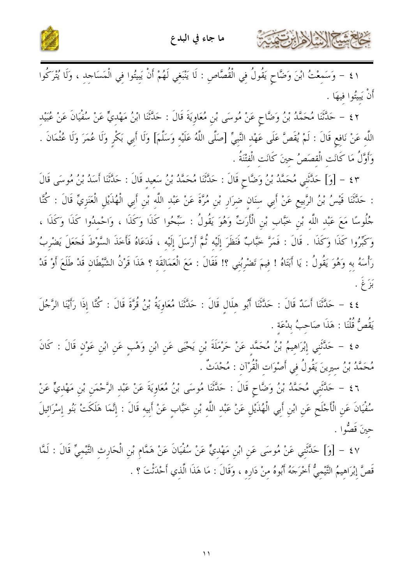

كالحشيخ الأخالين

٤١ – وَسَمِعْتُ ابْنَ وَضَّاحٍ يَقُولُ فِي الْقُصَّاصِ : لَا يَنْبَغِي لَهُمْ أَنْ يَبِيتُوا فِي الْمَسَاجِدِ ، وَلَا يُتْرَكُوا أَنْ يَبِيُّوا فيهَا .

٤٢ – حَلَّتْنَا مُحَمَّدُ بْنُ وَضَّاحٍ عَنْ مُوسَى بْنِ مُعَاوِيَةَ قَالَ : حَلَّتْنَا ابْنُ مَهْديٍّ عَنْ سُفْيَانَ عَنْ عُبَيْد اللَّهِ عَنْ نَافِعٍ قَالَ : لَمْ يُقَصَّ عَلَى عَهْدِ النَّبِيِّ [صَلَّى اللَّهُ عَلَيْهِ وَسَلَّمَ] وَلَا أَبِي بَكْرِ وَلَا عُمْرَ وَلَا عُثْمَانَ . وَأَوَّلُ مَا كَانَت الْقصَصُ حينَ كَانَت الْفتْنَةُ .

٤٣ - [وَ] حَلَّتْنِي مُحَمَّدُ بْنُ وَضَّاحٍ قَالَ : حَلَّتْنَا مُحَمَّدُ بْنُ سَعِيدِ قَالَ : حَلَّتْنَا أَسَدُ بْنُ مُوسَى قَالَ : حَلَّثَنَا قَيْسُ بْنُ الرَّبِيعِ عَنْ أَبِي سِنَانِ ضِرَارٍ بْنِ مُرَّةَ عَنْ عَبْدِ اللَّهِ بْنِ أَبِي الْهُذَيْلِ الْعَنَزِيِّ قَالَ : كُنَّا جُلُوسًا مَعَ عَبْد اللَّه بْن خَبَّاب بْنِ الْأَرَتِّ وَهُوَ يَقُولُ : سَبِّحُوا كَذَا وَكَذَا ، وَاحْمدُوا كَذَا وَكَذَا ، وَكَبِّرُوا كَذَا وَكَذَا . قَالَ : فَمَرَّ خَبَّابٌ فَنَظَرَ إِلَيْهِ ثُمَّ أَرْسَلَ إِلَيْه ، فَدَعَاهُ فَأخَذَ السَّوْطَ فَجَعَلَ يَضْرِبُ رَأْسَهُ بِهِ وَهُوَ يَقُولُ : يَا أَبَتَاهُ ! فِيمَ تَضْرِبُنِي ؟! فَقَالَ : مَعَ الْعَمَالِقَةِ ؟ هَذَا قَرْنُ الشَّيْطَانِ قَدْ طَلَعَ أَوْ قَدْ بَزَ غ

٤٤ – حَدَّثَنَا أَسَدٌ قَالَ : حَدَّثَنَا أَبُو هِلَالٍ قَالَ : حَدَّثَنَا مُعَاوِيَةُ بْنُ قُرَّةَ قَالَ : كُنَّا إِذَا رَأَيْنَا الرَّجُلَ يَقُصُّ قُلْنَا : هَذَا صَاحبُ بِدْعَة .

ه ٤ – حَلَّتْنِي إِبْرَاهِيمُ بْنُ مُحَمَّدٍ عَنْ حَرْمَلَةَ بْنِ يَحْيَى عَنِ ابْنِ وَهْبٍ عَنِ ابْنِ عَوْنٍ قَالَ : كَانَ مُحَمَّدُ بْنُ سِيرِينَ يَقُولُ فِي أَصْوَات الْقُرْآن : مُحْدَثٌ .

٤٦ – حَلَّتْنِي مُحَمَّدُ بْنُ وَضَّاحٍ قَالَ : حَلَّتْنَا مُوسَى بْنُ مُعَاوِيَةَ عَنْ عَبْدِ الرَّحْمَنِ بْنِ مَهْدِيٍّ عَنْ سُفْيَانَ عَنِ الْأَجْلَحِ عَنِ ابْنِ أَبِي الْهُذَيْلِ عَنْ عَبْدِ اللَّهِ بْنِ خَبَّابٍ عَنْ أَبِيهِ قَالَ : إِنَّمَا هَلَكَتْ بَنُو إِسْرَائِيلَ حينَ قَصُوا .

٤٧ – [وَ] حَلَّتْنِي عَنْ مُوسَى عَنِ ابْنِ مَهْدِيٍّ عَنْ سُفْيَانَ عَنْ هَمَّامٍ بْنِ الْحَارِثِ التَّيْمِيِّ قَالَ : لَمَّا قَصَّ إِبْرَاهِيمُ التَّيْمِيُّ أَخْرَجَهُ أَبُوهُ مِنْ دَارِهِ ، وَقَالَ : مَا هَذَا الَّذِي أَحْدَثْتَ ؟ .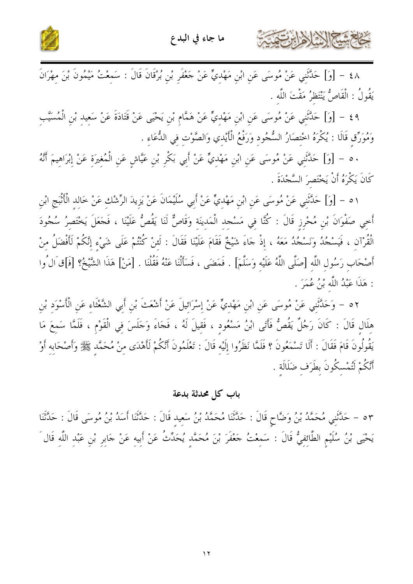



٤٨ – [وَ] حَلَّتْنِي عَنْ مُوسَى عَنِ ابْنِ مَهْدِيٍّ عَنْ حَعْفَرِ بْنِ بُرْقَانَ قَالَ : سَمِعْتُ مَيْمُونَ بْنَ مِهْرَانَ يَقُولُ : الْقَاصُّ يَنْتَظرُ مَقْتَ اللَّه .

٤٩ – [وَ] حَلَّتْنِي عَنْ مُوسَى عَنِ ابْنِ مَهْدِيٍّ عَنْ هَمَّام بْنِ يَحْيَى عَنْ قَتَادَةَ عَنْ سَعِيدِ بْنِ الْمُسَيَّبِ وَمُوَرِّقٍ قَالَا : يُكْرَهُ اخْتصَارُ السُّجُودِ وَرَفْعُ الْأَيْدِي وَالصَّوْتِ فِي الدُّعَاءِ .

٥٠ – [وَ] حَدَّثَنِي عَنْ مُوسَى عَنِ ابْنِ مَهْدِيٍّ عَنْ أَبِي بَكْرِ بْنِ عَيَّاشٍ عَنِ الْمُغِيرَةِ عَنْ إبْرَاهِيمَ أَنَّهُ كَانَ يَكْرَهُ أَنْ يَخْتَصِرَ السَّجْدَةَ .

٥١ – [وَ] حَدَّثَنِي عَنْ مُوسَى عَنِ ابْنِ مَهْديٍّ عَنْ أَبِي سُلَيْمَانَ عَنْ يَزِيدَ الرِّشْك عَنْ خَالد الْأَثْبج ابْن أَخِي صَفْوَانَ بْنِ مُحْرِزِ قَالَ : كُنَّا فِي مَسْجِد الْمَدينَة وَقَاصٌّ لَنَا يَقُصُّ عَلَيْنَا ، فَجَعَلَ يَخْتَصرُ سُجُودَ الْقُرْآن ، فَيَسْجُدُ وَنَسْجُدُ مَعَهُ ، إذْ جَاءَ شَيْخٌ فَقَامَ عَلَيْنَا فَقَالَ : لَئنْ كُنْتُمْ عَلَى شَيْء إنَّكُمْ لَأَفْضَلُ منْ أَصْحَاب رَسُول اللَّه [صَلَّى اللَّهُ عَلَيْه وَسَلَّمَ] . فَمَضَى ، فَسَأَلْنَا عَنْهُ فَقُلْنَا . [مَنْ] هَذَا الشَّيْخُ؟ [فَ]قَ ال ُوا : هَذَا عَبْدُ اللَّه بْنُ عُمَرَ .

٥٢ – وَحَلَّتَني عَنْ مُوسَى عَن ابْن مَهْديٍّ عَنْ إسْرَائيلَ عَنْ أَشْعَتَ بْنِ أَبي الشَّعْثَاء عَن الْأَسْوَد بْن هِلَالٍ قَالَ : كَانَ رَجُلٌ يَقُصُّ فَأَتَى ابْنُ مَسْعُودٍ ، فَقِيلَ لَهُ ، فَجَاءَ وَجَلَسَ فِي الْقَوْمِ ، فَلَمَّا سَمِعَ مَا يَقُولُونَ قَامَ فَقَالَ : أَلَا تَسْمَعُونَ ؟ فَلَمَّا نَظَرُوا إِلَيْهِ قَالَ : تَعْلَمُونَ أَنَّكُمْ لَأَهْدَى مِنْ مُحَمَّدٍ ﷺ وَأَصْحَابِهِ أَوْ أَنَّكُمْ لَتُمْسكُونَ بطَرَف ضَلَالَة .

#### باب كل محدثة بدعة

٥٣ – حَلَّتْني مُحَمَّدُ بْنُ وَضَّاحٍ قَالَ : حَلَّتْنَا مُحَمَّدُ بْنُ سَعيد قَالَ : حَلَّتْنَا أَسَدُ بْنُ مُوسَى قَالَ : حَلَّتْنَا يَحْيَى بْنُ سُلَيْمِ الطَّائِفِيُّ قَالَ : سَمعْتُ جَعْفَرَ بْنَ مُحَمَّدِ يُحَدِّثُ عَنْ أَبِيهِ عَنْ جَابِرِ بْنِ عَبْدِ اللَّهِ قَالَ َ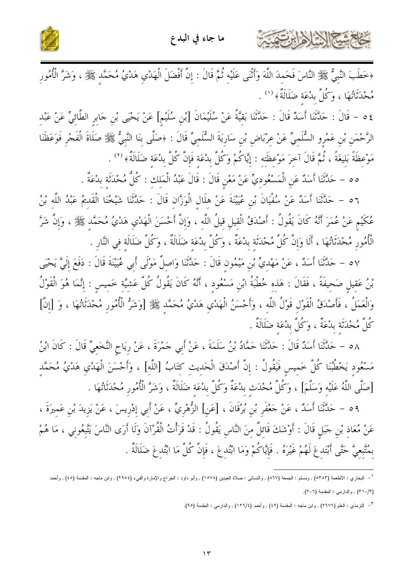

خاخشة الشاهرا

﴿خَطَبَ النَّبِيُّ ﷺ النَّاسَ فَحَمِدَ اللَّهَ وَأَثْنَى عَلَيْهِ ثُمَّ قَالَ : إِنَّ أَفْضَلَ الْهَدْيِ هَدْيُ مُحَمَّدٍ ﷺ ، وَشَرَّ الْأُمُورِ مُحْدَثَاتُهَا ، وَكُلَّ بِدْعَة ضَلَالَةٌ ﴾ (١) .

٤ ٥ - قَالَ : حَدَّثَنَا أَسَدٌ قَالَ : حَدَّثَنَا بَقِيَّةُ عَنْ سُلَيْمَانَ [بْنِ سُلَيْم] عَنْ يَحْيَى بْنِ جَابرِ الطَّائِيِّ عَنْ عَبْد الرَّحْمَن بْن عَمْرو السُّلَميِّ عَنْ عرْبَاض بْن سَارِيَةَ السُّلَميِّ قَالَ : ﴿صَلَّى بِنَا النَّبيُّ ﷺ صَلَاةَ الْفَجْرِ فَوَعَظَنَا مَوْعِظَةً بَلِيغَةً ، ثُمَّ قَالَ آخِرَ مَوْعِظَتِه : إِيَّاكُمْ وَكُلَّ بِدْعَة فَإِنَّ كُلَّ بِدْعَة ضَلَالَةٌ﴾ (٢) .

٥٥ – حَلَّتْنَا أَسَدٌ عَنِ الْمَسْعُودِيِّ عَنْ مَعْنِ قَالَ : قَالَ عَبْدُ الْمَلكِ : كُلُّ مُحْدَثَة بدْعَةٌ .

٥٦ – حَلَّتْنَا أَسَلٌ عَنْ سُفْيَانَ بْنِ عُيَيْنَةَ عَنْ هلَال الْوَزَّان قَالَ : حَلَّتْنَا شَيْخُنَا الْقَديمُ عَبْدُ اللَّه بْنُ عُكَيْمٍ عَنْ عُمَرَ أَنَّهُ كَانَ يَقُولُ : أَصْدَقُ الْقيلِ قيلُ اللَّه ، وَإِنَّ أَحْسَنَ الْهَدْي هَدْيُ مُحَمَّد ﷺ ، وَإِنَّ شَرَّ الْأُمُورِ مُحْدَثَاتُهَا ، أَلَا وَإِنَّ كُلَّ مُحْدَثَةِ بِدْعَةٌ ، وَكُلَّ بِدْعَة ضَلَالَةٌ ، وَكُلَّ ضَلَالَة في النَّار .

٥٧ – حَلَّتْنَا أَسَلٌ ، عَنْ مَهْديٍّ بْنِ مَيْمُونِ قَالَ : حَلَّتْنَا وَاصِلٌ مَوْلَى أَبِي عُيَيْنَةَ قَالَ : دَفَعَ إِلَيَّ يَحْيَى بْنُ عَقيل صَحيفَةً ، فَقَالَ : هَذه خُطْبَةُ ابْن مَسْعُود ، أَنَّهُ كَانَ يَقُولُ كُلَّ عَشيَّة خَميس : إنَّمَا هُوَ الْقَوْلُ وَالْعَمَلُ ، فَأَصْدَقُ الْقَوْل قَوْلُ اللَّه ، وَأَحْسَنُ الْهَدْي هَدْيُ مُحَمَّد ﷺ [وَشَرُّ الْأُمُور مُحْدَثَاتُهَا ، وَ [إنَّ] كُلَّ مُحْدَثَة بِدْعَةٌ ، وَكُلَّ بِدْعَة ضَلَالَةٌ .

٥٨ – حَدَّثَنَا أَسَدٌ قَالَ : حَدَّثَنَا حَمَّادُ بْنُ سَلَمَةَ ، عَنْ أَبِي حَمْرَةَ ، عَنْ رِيَاحِ النَّخَعِيِّ قَالَ : كَانَ ابْنُ مَسْعُود يَخْطُبُنَا كُلَّ خَميس فَيَقُولُ : إنَّ أَصْدَقَ الْحَديث كتَابُ [اللَّه] ، وَأَحْسَنَ الْهَدْي هَدْيُ مُحَمَّد [صَلَّى اللَّهُ عَلَيْه وَسَلَّمَ] ، وَكُلَّ مُحْدَث بِدْعَةٌ وَكُلَّ بِدْعَة ضَلَالَةٌ ، وَشَرَّ الْأُمُور مُحْدَثَاتُهَا .

٥٩ – حَلَّتْنَا أَسَلًا ، عَنْ حَعْفَرِ بْنِ بُرْقَانَ ، [عَنِ] الزُّهْرِيِّ ، عَنْ أَبِي إِدْرِيسَ ، عَنْ يَزِيدَ بْنِ عَمِيرَةَ ، عَنْ مُعَاذِ بْنِ حَبَلٍ قَالَ : أَوْشَكَ قَائِلٌ مِنَ النَّاسِ يَقُولُ : قَدْ قَرَأْتُ الْقُرْآنَ وَلَا أَرَى النَّاسَ يَتَّبِعُونِي ، مَا هُمْ بِمُتَّبِعِيَّ حَتَّى أَبْتَدِعَ لَهُمْ غَيْرَهُ . فَإِيَّاكُمْ وَمَا ابْتُدِعَ ، فَإِنَّ كُلَّ مَا ابْتُدعَ ضَلَالَةٌ .

<sup>&</sup>lt;sup>1</sup>– البخاري : الأطعمة (٥٣٨٣) , ومسلم : الجمعة (٨٦٧/ , والنسائي : صلاة العيدين (١٥٧٨) , وأبو دلود : الخراج والإمارة والفيء (٢٩٥٤) , وابن ماجه : المقدمة (٤٥) , وأحمد (٣١٠/٣) , والدارمي : المقدمة (٢٠٦).

<sup>&</sup>lt;sup>٢</sup>– التزمذي : العلم (٢٦٧٦) , وابن ماجه : المقدمة (٤٢) , وأحمد (١٢٦/٤) , والدارمي : المقدمة (٩٥).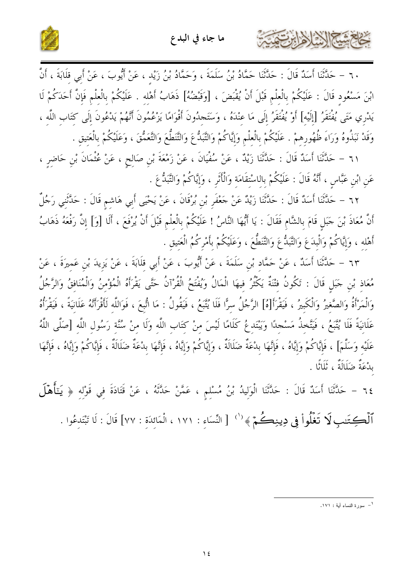

٦٠ – حَلَّتْنَا أَسَدٌ قَالَ : حَلَّتْنَا حَمَّادُ بْنُ سَلَمَةَ ، وَحَمَّادُ بْنُ زَيْدٍ ، عَنْ أَيُّوبَ ، عَنْ أَبي قِلَابَةَ ، أَنَّ ابْنَ مَسْعُود قَالَ : عَلَيْكُمْ بِالْعِلْمِ قَبْلَ أَنْ يُقْبَضَ ، [وَقَبْضُهُ] ذَهَابُ أَهْله . عَلَيْكُمْ بالْعلْم فَإِنَّ أَحَدَكُمْ لَا

كخام شيخ الأخالين

يَدْرِي مَتَى يُفْتَقَرُ [إلَيْه] أَوْ يُفْتَقَرُ إلَى مَا عِنْدَهُ ، وَسَتَجلُونَ أَقْوَامًا يَزْعُمُونَ أَنَّهُمْ يَدْعُونَ إلَى كتَاب اللَّه ، وَقَدْ نَبَذُوهُ وَرَاءَ ظُهُورهمْ . عَلَيْكُمْ بِالْعلْمِ وَإِيَّاكُمْ وَالتَّبَدُّعَ وَالتَّعَطُّعَ وَالتَّعَمُّقَ ، وَعَلَيْكُمْ بِالْعَتيق .

٦١ – حَلَّثَنَا أَسَلٌ قَالَ : حَلَّتْنَا زَيْلٌ ، عَنْ سُفْيَانَ ، عَنْ زَمْعَةَ بْنِ صَالِحٍ ، عَنْ عُثْمَانَ بْنِ حَاضِرٍ ، عَنِ ابْنِ عَبَّاسٍ ، أَنَّهُ قَالَ : عَلَيْكُمْ بِالاسْتقَامَةِ وَالْأَثَرِ ، وَإِيَّاكُمْ وَالتَّبَدُّعَ .

٦٢ – حَدَّثَنَا أَسَدٌ قَالَ : حَدَّثَنَا زَيْدٌ عَنْ حَعْفَرِ بْنِ بُرْقَانَ ، عَنْ يَحْيَى أَبِي هَاشِمِ قَالَ : حَدَّثَنِي رَجُلٌ أَنَّ مُعَاذَ بْنَ حَبَل قَامَ بالشَّام فَقَالَ : يَا أَيُّهَا النَّاسُ ! عَلَيْكُمْ بالْعلْم قَبْلَ أَنْ يُرْفَعَ ، أَلَا [وَ] إنَّ رَفْعَهُ ذَهَابُ أَهْله ، وَإِيَّاكُمْ وَالْبِدَعَ وَالتَّبَدُّعَ وَالتَّنَطُّعَ ، وَعَلَيْكُمْ بأَمْرِكُمُ الْعَتيق .

٦٣ – حَلَّتْنَا أَسَدٌ ، عَنْ حَمَّاد بْن سَلَمَةَ ، عَنْ أَيُّوبَ ، عَنْ أَبي قلَابَةَ ، عَنْ يَزيدَ بْن عَميرَةَ ، عَنْ مُعَاذِ بْنِ حَبَلٍ قَالَ : تَكُونُ فتْنَةٌ يَكْثُرُ فيهَا الْمَالُ وَيُفْتَحُ الْقُرْآنُ حَتَّى يَقْرَأَهُ الْمُؤْمنُ وَالْمُنَافقُ وَالرَّجُلُ وَالْمَرْأَةُ وَالصَّغيرُ وَالْكَبيرُ ، فَيَقْرَأَ[هُ] الرَّجُلُ سرًّا فَلَا يُتَّبعُ ، فَيَقُولُ : مَا اتُّبعَ ، فَوَاللَّه لَأَقْرَأَنَّهُ عَلَانيَةً ، فَيَقْرَأْهُ عَلَانيَةً فَلَا يُتَّبَعُ ، فَيَتَّخذُ مَسْحدًا وَيَبْتَدعُ كَلَامًا لَيْسَ منْ كتَاب اللَّه وَلَا منْ سُنَّة رَسُول اللَّه [صَلَّى اللَّهُ عَلَيْه وَسَلَّمَ] ، فَإِيَّاكُمْ وَإِيَّاهُ ، فَإِنَّهَا بِدْعَةٌ ضَلَالَةٌ ، وَإِيَّاكُمْ وَإِيَّاهُ ، فَإِنَّه النَّعَةُ ضَلَالَةٌ ، فَإِيَّاكُمْ وَإِيَّاهُ ، فَإِنَّهَا بِدْعَةٌ ضَلَالَةٌ ، ثَلَاثًا .

٦٤ – حَدَّثَنَا أَسَدٌ قَالَ : حَدَّثَنَا الْوَلِيدُ بْنُ مُسْلِمٍ ، عَمَّنْ حَدَّثَهُ ، عَنْ قَتَادَةَ فِي قَوْلِهِ ﴿ يَتَأَهْلَ

ٱلۡكِتَنبِ لَا تَغۡلُواْ فِي دِينِكُمۡ ﴾ `` [النِّسَاءِ : ١٧١ ، الْمَائِدَةِ : ٧٧] قَالَ : لَا تَبْتَدِعُوا .

<sup>–&</sup>lt;br>` – سورة النساء أية : ١٧١.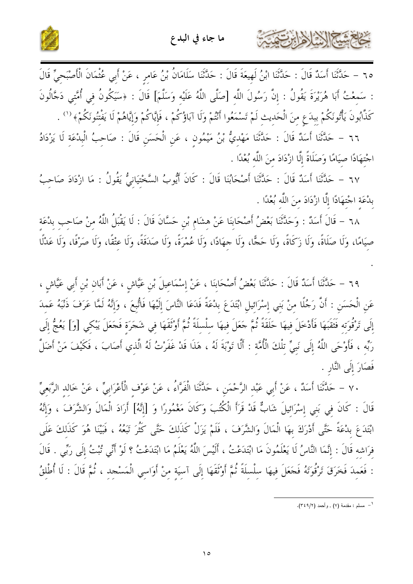

٦٥ – حَدَّثَنَا أَسَدٌ قَالَ : حَدَّثَنَا ابْنُ لَهِيعَةَ قَالَ : حَدَّثَنَا سَلَامَانُ بْنُ عَامِرٍ ، عَنْ أَبِي عُثْمَانَ الْأَصْبَحِيِّ قَالَ : سَمعْتُ أَبَا هُرَيْرَةَ يَقُولُ : إنَّ رَسُولَ اللَّه [صَلَّى اللَّهُ عَلَيْه وَسَلَّمَ] قَالَ : ﴿سَيَكُونُ في أُمَّتي دَجَّالُونَ كَذَّابُونَ يَأْتُونَكُمْ ببدَع منَ الْحَديث لَمْ تَسْمَعُوا أَنْتُمْ وَلَا آبَاؤُكُمْ ، فَإِيَّاكُمْ وَإِيَّاهُمْ لَا يَفْتُنُونَكُمْ﴾ ('' .

٦٦ – حَلَّتْنَا أَسَدٌ قَالَ : حَلَّتْنَا مَهْديُّ بْنُ مَيْمُونِ ، عَنِ الْحَسَنِ قَالَ : صَاحِبُ الْبِدْعَةِ لَا يَزْدَادُ اجْتهَادًا صِيَامًا وَصَلَاةً إِلَّا ازْدَادَ منَ اللَّه بُعْدًا .

٦٧ – حَلَّتْنَا أَسَدٌ قَالَ : حَلَّتْنَا أَصْحَابُنَا قَالَ : كَانَ أَيُّوبُ السَّخْتِيَانِيُّ يَقُولُ : مَا ازْدَادَ صَاحِبُ بلاْعَة اجْتهَادًا إِلَّا ازْدَادَ منَ اللَّه بُعْدًا .

٦٨ – قَالَ أَسَدٌ : وَحَدَّثَنَا بَعْضُ أَصْحَابِنَا عَنْ هِشَامٍ بْنِ حَسَّانَ قَالَ : لَا يَقْبَلُ اللَّهُ مِنْ صَاحِبِ بِدْعَةِ صيَامًا، وَلَا صَلَاةً، وَلَا زَكَاةً، وَلَا حَجًّا، وَلَا جهَادًا، وَلَا عُمْرَةً، وَلَا صَدَقَةً، وَلَا عِتْقًا، وَلَا صَرْفًا، وَلَا عَدْلًا

٦٩ – حَلَّنَّنَا أَسَلُهُ قَالَ : حَلَّتْنَا بَعْضُ أَصْحَابنَا ، عَنْ إسْمَاعيلَ بْن عَيَّاش ، عَنْ أَبان بْن أبي عَيَّاش ، عَنِ الْحَسَنِ : أَنَّ رَجُلًا منْ بَني إسْرَائيل ابْتَدَعَ بِدْعَةً فَدَعَا النَّاسَ إِلَيْهَا فَاتُّبعَ ، وَإنَّهُ لَمَّا عَرَفَ ذَنْبَهُ عَمدَ إِلَى تَرْقُوَته فَتَقَبَهَا فَأَدْخَلَ فِيهَا حَلَقَةً ثُمَّ حَعَلَ فِيهَا سِلْسِلَةً ثُمَّ أَوْثَقَهَا فِي شَجَرَةٍ فَحَعَلَ يَبْكِي [وَ] يَعُجُّ إِلَى رَبِّهِ ، فَأَوْحَى اللَّهُ إِلَى نَبِيٍّ تِلْكَ الْأُمَّةِ : أَلَّا تَوْبَةَ لَهُ ، هَذَا قَدْ غَفَرْتُ لَهُ الَّذِي أَصَابَ ، فَكَيْفَ مَنْ أَضَلَّ فَصَارَ إِلَى النَّارِ .

٧٠ – حَدَّثَنَا أَسَدٌ ، عَنْ أَبِي عَبْد الرَّحْمَن ، حَدَّثَنَا الْفَرَّاءُ ، عَنْ عَوْف الْأَعْرَابِيّ ، عَنْ خَالد الرَّبعيِّ قَالَ : كَانَ في بَني إسْرَائيلَ شَابٌ قَدْ قَرَأَ الْكُتُبَ وَكَانَ مَغْمُورًا وَ [إِنَّهُ] أَرَادَ الْمَالَ وَالشَّرَفَ ، وَإِنَّهُ ابْتَدَعَ بِدْعَةً حَتَّى أَدْرَكَ بِهَا الْمَالَ وَالشَّرَفَ ، فَلَمْ يَزَلْ كَذَلكَ حَتَّى كَثُرَ تَبَعُهُ ، فَبَيْنَا هُوَ كَذَلكَ عَلَى فرَاشه قَالَ : إِنَّمَا النَّاسُ لَا يَعْلَمُونَ مَا ابْتَدَعْتُ ، أَلَيْسَ اللَّهُ يَعْلَمُ مَا ابْتَدَعْتُ ؟ لَوْ أَنِّي تُبْتُ إِلَى رَبّي . قَالَ : فَعَمِدَ فَخَرَقَ تَرْقُوَتَهُ فَجَعَلَ فِيهَا سِلْسِلَةً ثُمَّ أَوْتَقَهَا إِلَى آسِيَةٍ مِنْ أَوَاسِي الْمَسْجِدِ ، ثُمَّ قَالَ : لَا أُطْلِقُ

كالحمشا الأزادايرت

<sup>—&</sup>lt;br>' – مسلم : مقدمة (٧) , وأحمد (٣٤٩/٢).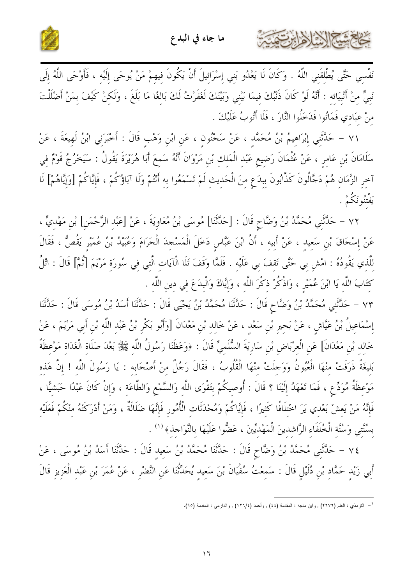



نَفْسِي حَتَّى يُطْلِقَنِي اللَّهُ . وَكَانَ لَا يَعْدُو بَنِي إِسْرَائِيلَ أَنْ يَكُونَ فِيهِمْ مَنْ يُوحَى إلَيْه ، فَأَوْحَى اللَّهُ إِلَى نَبِيٍّ مِنْ أَنْبِيَائِه : أَنَّهُ لَوْ كَانَ ذَنْبُكَ فِيمَا بَيْنِي وَبَيْنَكَ لَغَفَرْتُ لَكَ بَالغًا مَا بَلَغَ ، وَلَكِنْ كَيْفَ بِمَنْ أَضْلَلْتَ منْ عبَادي فَمَاتُوا فَدَخَلُوا النَّارَ ، فَلَا أَتُوبُ عَلَيْكَ .

٧١ – حَلَّتْني إِبْرَاهِيمُ بْنُ مُحَمَّدٍ ، عَنْ سَحْنُونِ ، عَنِ ابْنِ وَهْبٍ قَالَ : أَخْبَرَنِي ابْنُ لَهيعَةَ ، عَنْ سَلَامَانَ بْنِ عَامرٍ ، عَنْ عُثْمَانَ رَضِيعٍ عَبْدِ الْمَلِكِ بْنِ مَرْوَانَ أَنَّهُ سَمِعَ أَبَا هُرَيْرَةَ يَقُولُ : سَيَخْرُجُ قَوْمٌ فِي آخِرِ الزَّمَانِ هُمْ دَجَّالُونَ كَذَّابُونَ بِبدَعِ مِنَ الْحَدِيثِ لَمْ تَسْمَعُوا بِهِ أَنْتُمْ وَلَا آبَاؤُكُمْ ، فَإِيَّاكُمْ [وَإِيَّاهُمْ] لَا يَفْتَنُونَكُمْ .

٧٢ – حَلَّتَنِي مُحَمَّدُ بْنُ وَضَّاحٍ قَالَ : [حَلَّتْنَا] مُوسَى بْنُ مُعَاوِيَةَ ، عَنْ [عَبْد الرَّحْمَنِ] بْن مَهْديٍّ ، عَنْ إِسْحَاقَ بْنِ سَعِيدِ ، عَنْ أَبِيهِ ، أَنَّ ابْنَ عَبَّاسٍ دَخَلَ الْمَسْجِدَ الْحَرَامَ وَعُبَيْدُ بْنُ عُمَيْرِ يَقُصُّ ، فَقَالَ للَّذي يَقُودُهُ : امْش بي حَتَّى تَقفَ بي عَلَيْه . فَلَمَّا وَقَفَ تَلَا الْآيَات الَّتي في سُورَة مَرْيَمَ [ثُمَّ] قَالَ : اتْلُ كِتَابَ اللَّهِ يَا ابْنَ عُمَيْرٍ ، وَاذْكُرْ ذِكْرَ اللَّهِ ، وَإِيَّاكَ وَالْبِدَعَ فِي دِينِ اللَّهِ .

٧٣ – حَلَّتْني مُحَمَّدُ بْنُ وَضَّاحٍ قَالَ : حَلَّتْنَا مُحَمَّدُ بْنُ يَحْيَى قَالَ : حَلَّتْنَا أَسَدُ بْنُ مُوسَى قَالَ : حَلَّتْنَا إِسْمَاعِيلُ بْنُ عَيَّاشٍ ، عَنْ بَحِيرِ بْنِ سَعْد ، عَنْ خَالد بْن مَعْدَانَ [وَأَبُو بَكْر بْنُ عَبْد اللّه بْن أَبي مَرْيَمَ ، عَنْ خَالد بْنِ مَعْدَانَ] عَن الْعرْبَاض بْن سَارِيَةَ السُّلَميِّ قَالَ : ﴿وَعَظَنَا رَسُولُ اللَّه ﷺ بَعْدَ صَلَاة الْغَدَاة مَوْعظَةً بَليغَةً ذَرَفَتْ منْهَا الْعُيُونُ وَوَحِلَتْ منْهَا الْقُلُوبُ ، فَقَالَ رَجُلٌ منْ أَصْحَابه : يَا رَسُولَ اللَّه ! إنَّ هَذه مَوْعظَةُ مُوَدِّعٍ ، فَمَا تَعْهَدُ إِلَيْنَا ؟ قَالَ : أُوصيكُمْ بتَقْوَى اللَّه وَالسَّمْعِ وَالطَّاعَة ، وَإِنْ كَانَ عَبْدًا حَبَشيًّا ، فَإِنَّهُ مَنْ يَعشْ بَعْدي يَرَ اخْتلَافًا كَثيرًا ، فَإِيَّاكُمْ وَمُحْدَثَات الْأُمُور فَإِنَّهَا ضَلَالَةٌ ، وَمَنْ أَدْرَكَتْهُ منْكُمْ فَعَلَيْه بِسُنَّتِي وَسُنَّةِ الْخُلَفَاءِ الرَّاشِدِينَ الْمَهْديِّينَ ، عَضُّوا عَلَيْهَا بِالنَّوَاجِذِ﴾ ('' .

٧٤ – حَلَّتْنِي مُحَمَّدُ بْنُ وَضَّاحٍ قَالَ : حَلَّتْنَا مُحَمَّدُ بْنُ سَعيد قَالَ : حَلَّتْنَا أَسَدُ بْنُ مُوسَى ، عَنْ أَبِي زَيْدِ حَمَّادِ بْنِ دُلَيْلِ قَالَ : سَمِعْتُ سُفْيَانَ بْنَ سَعِيدِ يُحَدِّثْنَا عَنِ النَّضْرِ ، عَنْ عُمَرَ بْنِ عَبْدِ الْعَزِيزِ قَالَ

<sup>&</sup>lt;sup>1</sup> – الترمذي : العلم (٢٦٧٦) , وابن ماجه : المقدمة (٤٤) , وأحمد (١٢٦/٤) , والدارمي : المقدمة (٩٥).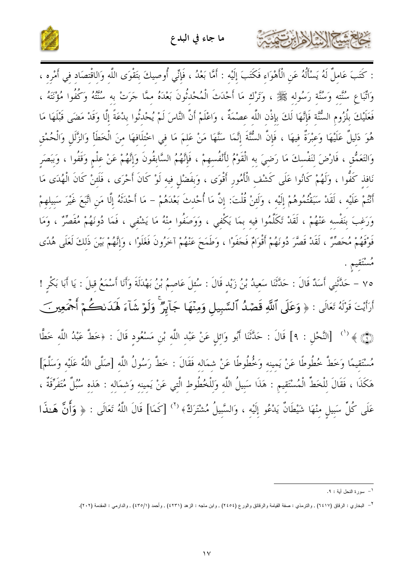

: كَتَبَ عَاملٌ لَهُ يَسْأَلُهُ عَنِ الْأَهْوَاء فَكَتَبَ إلَيْه : أَمَّا بَعْدُ ، فَإنِّي أُوصيكَ بتَقْوَى اللّه وَالاقْتصَاد في أَمْره ، وَاتِّبَاعِ سُنَّته وَسُنَّة رَسُوله ﷺ ، وَتَرْك مَا أَحْدَثَ الْمُحْدُثُونَ بَعْدَهُ ممَّا جَرَتْ به سُنتُهُ وَكُفُوا مُؤْنَتُه ، فَعَلَيْكَ بِلُزُومِ السُّنَّة فَإِنَّهَا لَكَ بِإِذْنِ اللَّه عصْمَةٌ ، وَاعْلَمْ أَنَّ النَّاسَ لَمْ يُحْدثُوا بدْعَةً إلَّا وَقَدْ مَضَى قَبْلَهَا مَا هُوَ دَليلٌ عَلَيْهَا وَعبْرَةٌ فيهَا ، فَإِنَّ السُّنَّةَ إِنَّمَا سَنَّهَا مَنْ عَلمَ مَا في اخْتلَافهَا منَ الْخَطَأ وَالزَّلَل وَالْحُمْق وَالتَعَمُّقِ ، فَارْضَ لِنَفْسكَ مَا رَضِيَ بِهِ الْقَوْمُ لِأَنْفُسِهِمْ ، فَإِنَّهُمُ السَّابِقُونَ وَإِنَّهُمْ عَنْ عِلْمٍ وَقَفُوا ، وَبَصَرِ نَافِذٍ كَفُّوا ، وَلَهُمْ كَانُوا عَلَى كَشْفِ الْأَمُورِ أَقْوَى ، وَبفَضْلٍ فِيهِ لَوْ كَانَ أَحْرَى ، فَلَئنْ كَانَ الْهُدَى مَا أَنْتُمْ عَلَيْه ، لَقَدْ سَبَقْتُمُوهُمْ إِلَيْه ، وَلَئنْ قُلْتَ: إِنَّ مَا أُحْدتَ بَعْدَهُمْ – مَا أَحْدَثَهُ إلَّا مَن اتَّبَعَ غَيْرَ سَبيلهمْ وَرَغبَ بَنَفْسه عَنْهُمْ ، لَقَدْ تَكَلَّمُوا فيه بمَا يَكْفي ، وَوَصَفُوا منْهُ مَا يَشْفي ، فَمَا دُونَهُمْ مُقَصِّرٌ ، وَمَا فَوْقَهُمْ مُحَصِّرٌ ، لَقَدْ قَصَّرَ دُونَهُمْ أَقْوَامٌ فَجَفَوْا ، وَطَمَحَ عَنْهُمْ آخَرُونَ فَغَلَوْا ، وَإِنَّهُمْ بَيْنَ ذَلكَ لَعَلَى هُدًى مُسْتَقيم .

٧٥ – حَدَّثَنِي أَسَدٌ قَالَ : حَدَّثَنَا سَعيدُ بْنُ زَيْد قَالَ : سُئِلَ عَاصِمُ بْنُ بَهْدَلَةَ وَأَنا أَسْمَعُ قيلَ : يَا أَبَا بَكْرِ ! أَرَأَيْتَ قَوْلَهُ تَعَالَى : ﴿ وَعَلَى ٱللَّهِ قَصۡمُ ٱلسَّبِيلِ وَمِنۡهَا جَآبِرُ ۗ وَلَوۡ شَآءَ لَهَدَىٰكُمۡ أَجۡمَعِينَ ۞ ﴾ `` [النَّحْلِ : ٩] قَالَ : حَدَّثَنَا أَبُو وَائِلٍ عَنْ عَبْدِ اللَّهِ بْنِ مَسْعُودٍ قَالَ : ﴿خطَّ عَبْدُ اللَّه خَطًّا مُسْتَقِيمًا وَخَطَّ خُطُوطًا عَنْ يَمينه وَخُطُوطًا عَنْ شِمَالِه فَقَالَ : خَطَّ رَسُولُ اللَّهِ [صَلَّى اللَّهُ عَلَيْه وَسَلَّمَ] هَكَذَا ، فَقَالَ لِلْخَطِّ الْمُسْتَقِيمِ : هَذَا سَبِيلُ اللَّهِ وَلِلْخُطُوطِ الَّتِي عَنْ يَمِينِه وَشمَاله : هَذِهِ سُبُلٌ مُتَفَرِّقَةُ ، عَلَى كُلِّ سَبِيلٍ مِنْهَا شَيْطَانٌ يَدْعُو إِلَيْهِ ، وَالسَّبِيلُ مُشْتَرَكٌ﴾ (<sup>٢</sup>) [كَمَا] قَالَ اللَّهُ تَعَالَى : ﴿ وَأَنَّ هَــٰذَا

al - Villa

<sup>&</sup>lt;sup>1</sup> – سورة الفحل أبة : ٩.

<sup>&</sup>lt;sup>٢</sup> – البخاري : الرقاق (٦٤١٧) , والترمذي : صفة القيامة والرقائق والورع (٢٤٥٤) , وابن ملجه : الزهد (٤٢٣١) , وأحمد (٤٣٥/١) , والدارمي : المقدمة (٢٠٢).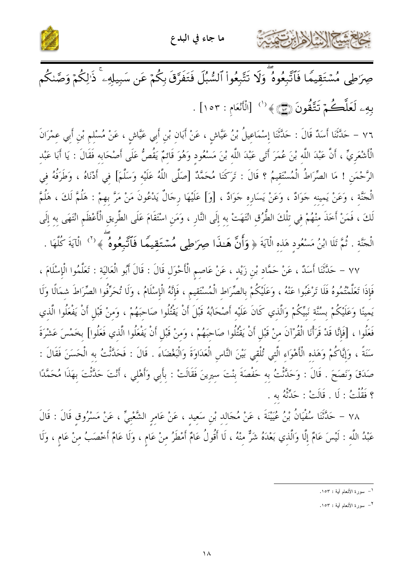



صِرَاطِي مُسْتَقِيمًا فَٱتَّبِعُوهُ ۖ وَلَا تَتَّبِعُواْ ٱلسُّبُلَ فَتَفَرَّقَ بِكُمْ عَن سَبِيلِهِۦ ۚ ذَالِكُمْ وَصَّنكُم بِهِۦ لَعَلَّكُمْ تَتَّقُونَ (ۣۗ؊﴾(`` [الْأَنْعَامِ : ١٥٣] .

٧٦ – حَدَّثَنَا أَسَدٌ قَالَ : حَدَّثَنَا إِسْمَاعِيلُ بْنُ عَيَّاشٍ ، عَنْ أَبَانِ بْنِ أَبِي عَيَّاشٍ ، عَنْ مُسْلم بْنِ أَبِي عِمْرَانَ الْأَشْعَرِيِّ ، أَنَّ عَبْدَ اللَّهِ بْنَ عُمَرَ أَتَى عَبْدَ اللَّهِ بْنَ مَسْعُودٍ وَهُوَ قَائِمٌ يَقُصُّ عَلَى أَصْحَابِهِ فَقَالَ : يَا أَبَا عَبْدِ الرَّحْمَنِ ! مَا الصِّرَاطُ الْمُسْتَقِيمُ ؟ قَالَ : تَرَكَنَا مُحَمَّدٌ [صَلَّى اللَّهُ عَلَيْه وَسَلَّمَ] في أدْنَاهُ ، وَطَرَفُهُ فِي الْحَنَّةِ ، وَعَنْ يَمينِه حَوَادٌ ، وَعَنْ يَسَارِهِ حَوَادٌ ، [وَ] عَلَيْهَا رِحَالٌ يَدْعُونَ مَنْ مَرَّ بهِمْ : هَلُمَّ لَكَ ، هَلُمَّ لَكَ ، فَمَنْ أَخَذَ مِنْهُمْ فِي تِلْكَ الطُّرُقِ انْتَهَتْ بِهِ إِلَى النَّارِ ، وَمَنِ اسْتَقَامَ عَلَى الطَّرِيقِ الْأَعْظَمِ انْتَهَى بِهِ إِلَى الْحَنَّةِ . ثُمَّ تَلَا ابْنُ مَسْعُودٍ هَذِهِ الْآيَةَ ﴿ وَأَنَّ هَـٰذَا صِرَاطِي مُسۡتَقِيمًا فَٱتَّبِعُوهُ ۚ ﴾ ('' الْآيَةَ كُلَّهَا .

٧٧ – حَدَّثَنَا أَسَدٌ ، عَنْ حَمَّادِ بْنِ زَيْدٍ ، عَنْ عَاصِمِ الْأَحْوَلِ قَالَ : قَالَ أَبُو الْعَالِيَةِ : تَعَلَّمُوا الْإِسْلَامَ ، فَإِذَا تَعَلَّمْتُمُوهُ فَلَا تَرْغَبُوا عَنْهُ ، وَعَلَيْكُمْ بالصِّرَاط الْمُسْتَقيم ، فَإِنَّهُ الْإسْلَامُ ، وَلَا تُحَرِّفُوا الصِّرَاطَ شمَالًا وَلَا يَمينًا وَعَلَيْكُمْ بِسُنَّة نَبِيِّكُمْ وَالَّذي كَانَ عَلَيْه أَصْحَابُهُ قَبْلَ أَنْ يَقْتُلُوا صَاحَبَهُمْ ، وَمنْ قَبْل أَنْ يَفْعَلُوا الَّذي فَعَلُوا ، [فَإِنَّا قَدْ قَرَأْنَا الْقُرْآنَ منْ قَبْلِ أَنْ يَقْتُلُوا صَاحَبَهُمْ ، وَمنْ قَبْلِ أَنْ يَفْعَلُوا الَّذي فَعَلُوا] بخَمْسَ عَشْرَةَ سَنَةً ، وَإِيَّاكُمْ وَهَذِهِ الْأَهْوَاءِ الَّتِي تُلْقِي بَيْنَ النَّاسِ الْعَدَاوَةَ وَالْبَغْضَاءَ . قَالَ : فَحَدَّثْتُ بِهِ الْحَسَنَ فَقَالَ : صَدَقَ وَنَصَحَ . قَالَ : وَحَدَّثْتُ بِه حَفْصَةَ بِنْتَ سِيرِينَ فَقَالَتْ : بِأَبِي وَأَهْلِي ، أَنْتَ حَدَّثْتَ بِهَذَا مُحَمَّدًا ؟ فَقُلْتُ : لَا . قَالَتْ : حَدَّثَهُ بِهِ .

٧٨ – حَلَّتْنَا سُفْيَانُ بْنُ عُيَيْنَةَ ، عَنْ مُجَالِدِ بْنِ سَعِيدِ ، عَنْ عَامِرِ الشَّعْبِيِّ ، عَنْ مَسْرُوقِ قَالَ : قَالَ عَبْدُ اللَّهِ : لَيْسَ عَامٌ إِلَّا وَالَّذِي بَعْدَهُ شَرٌّ مِنْهُ ، لَا أَقُولُ عَامٌ أَمْطَرُ مِنْ عَامٍ ، وَلَا عَامٌ أَخْصَبُ مِنْ عَامٍ ، وَلَا

<sup>&</sup>lt;sup>1</sup>– سورة الأنعام أية : ١٥٣.

٢ \_ سورة الأنعام أبة : ١٥٣.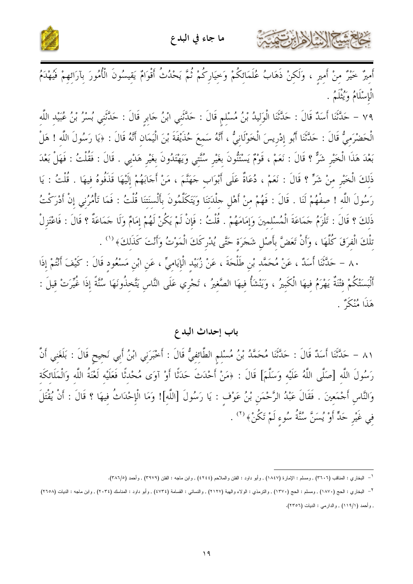



أَمِيرٌ خَيْرٌ مِنْ أَمِيرٍ ، وَلَكِنْ ذَهَابُ عُلَمَائِكُمْ وَحِيَارِكُمْ ثُمَّ يَحْدُثُ أَقْوَامٌ يَقِيسُونَ الْأُمُورَ بِآرَائِهِمْ فَيُهْدَمُ الْإِسْلَامُ وَيُثْلَمُ .

٧٩ – حَدَّثَنَا أَسَدٌ قَالَ : حَدَّثَنَا الْوَلِيدُ بْنُ مُسْلِمٍ قَالَ : حَدَّثَنِي ابْنُ حَابِرٍ قَالَ : حَدَّثنِي بُسْرُ بْنُ عُبَيْد اللَّه الْحَضْرَميُّ قَالَ : حَدَّثَنَا أَبُو إدْريسَ الْخَوْلَانيُّ ، أَنَّهُ سَمعَ حُذَيْفَةَ بْنَ الْيَمَان أَنَّهُ قَالَ : ﴿يَا رَسُولَ اللَّه ! هَلْ بَعْدَ هَذَا الْخَيْرِ شَرٌّ ؟ قَالَ : نَعَمْ ، قَوْمٌ يَسْتَنُّونَ بِغَيْرِ سُنَّتِي وَيَهْتَدُونَ بِغَيْرِ هَدْيي . قَالَ : فَقُلْتُ : فَهَلْ بَعْدَ ذَلِكَ الْخَيْرِ مِنْ شَرٍّ ؟ قَالَ : نَعَمْ ، دُعَاةٌ عَلَى أَبْوَابٍ جَهَنَّمَ ، مَنْ أَجَابَهُمْ إِلَيْهَا قَذَفُوهُ فِيهَا . قُلْتُ : يَا رَسُولَ اللَّهِ ! صفْهُمْ لَنَا . قَالَ : فَهُمْ مِنْ أَهْلِ جِلْدَتنَا وَيَتَكَلَّمُونَ بِأَلْسنَتنَا قُلْتُ : فَمَا تَأْمُرُنِي إِنْ أَدْرَكْتُ ذَلِكَ ؟ قَالَ : تَلْزَمُ حَمَاعَةَ الْمُسْلِمِينَ وَإِمَامَهُمْ . قُلْتُ : فَإِنْ لَمْ يَكُنْ لَهُمْ إِمَامٌ وَلَا حَمَاعَةٌ ؟ قَالَ : فَاعْتَزِلْ تِلْكَ الْفِرَقَ كُلَّهَا ، وَأَنْ تَعَضَّ بِأَصْلِ شَجَرَةٍ حَتَّى يُدْرِكَكَ الْمَوْتُ وَأَنْتَ كَذَلِكَ﴾ ('' .

٨٠ – حَلَّثَنَا أَسَلًا ، عَنْ مُحَمَّدِ بْنِ طَلْحَةَ ، عَنْ زُبَيْدِ الْإِيَامِيِّ ، عَنِ ابْنِ مَسْعُودِ قَالَ : كَيْفَ أَنْتُمْ إِذَا أَلْبَسَتْكُمْ فِتْنَةٌ يَهْرَمُ فِيهَا الْكَبِيرُ ، وَيَنْشَأُ فِيهَا الصَّغِيرُ ، تَجْرِي عَلَى النَّاسِ يَتّخِذُونَهَا سُنَّةً إِذَا غُيّرَتْ قِيلَ : هَذَا مُنْكَرٌ .

#### باب إحداث البدع

٨١ – حَلَّثَنَا أَسَدٌ قَالَ : حَلَّتَنَا مُحَمَّدُ بْنُ مُسْلِمِ الطَّائِفِيُّ قَالَ : أَخْبَرَنِي ابْنُ أَبِي نَجيح قَالَ : بَلَغَنِي أَنَّ رَسُولَ اللَّه [صَلَّى اللَّهُ عَلَيْه وَسَلَّمَ] قَالَ : ﴿مَنْ أَحْدَثَ حَدَثًا أَوْ آوَى مُحْدثًا فَعَلَيْه لَعْنَةُ اللَّه وَالْمَلَائكَة وَالنَّاسِ أَجْمَعِينَ . فَقَالَ عَبْدُ الرَّحْمَنِ بْنُ عَوْفٍ : يَا رَسُولَ [اللَّهِ]! وَمَا الْإِحْدَاثُ فِيهَا ؟ قَالَ : أَنْ يُقْتَلَ فِي غَيْرِ حَلٍّ أَوْ يُسَنَّ سُنَّةُ سُوءِ لَمْ تَكُنْ﴾ (\*) .

<sup>&</sup>lt;sup>1</sup> – البخاري : المناقب (٣٦٠٦) , ومسلم : الإمارة (١٨٤٧) , وأبو داود : الفتن والملاحم (٤٢٤٤) , وابن ماجه : الفتن (٣٩٧٩) , وأحمد (٣٨٦/٥).

<sup>&</sup>lt;sup>٢</sup>– البخاري : الحج (١٨٧٠) , ومسلم : الحج (١٣٧٠) , والترمذي : الولاء والهبة (٢١٢٧) , والنصامة (٤٧٣٤) , وأبو داود : العناسك (٢٠٣٤) , وابن ماجه : الديات (٢٦٥٨) , وأحمد (١١٩/١) , والدارمي : الديات (٢٣٥٦).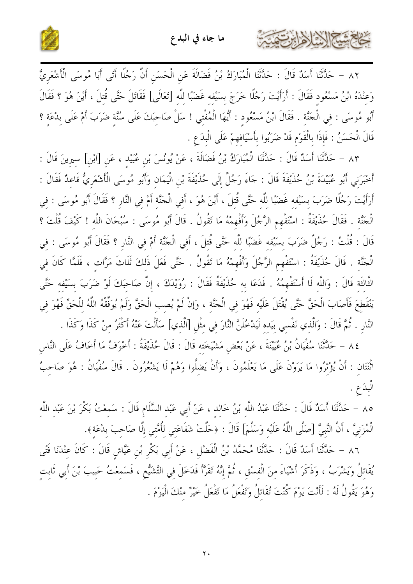

كالحشي الأوابرتمي



٨٢ – حَدَّثَنَا أَسَدٌ قَالَ : حَدَّثَنَا الْمُبَارَكُ بْنُ فَضَالَةَ عَنِ الْحَسَنِ أَنَّ رَجُلًا أَتَى أَبَا مُوسَى الْأَشْعَرِيَّ وَعِنْدَهُ ابْنُ مَسْعُودٍ فَقَالَ : أَرَأَيْتَ رَجُلًا خَرَجَ بِسَيْفِهِ غَضَبًا لِلَّهِ [تَعَالَى] فَقَاتَلَ حَتَّى قُتِلَ ، أَيْنَ هُوَ ؟ فَقَالَ أَبُو مُوسَى : فِي الْجَنَّةِ . فَقَالَ ابْنُ مَسْعُودٍ : أَيُّهَا الْمُفْتِي ! سَلْ صَاحِبَكَ عَلَى سُنَّةٍ ضَرَبَ أَمْ عَلَى بِدْعَةٍ ؟ قَالَ الْحَسَنُ : فَإِذَا بِالْقَوْمِ قَدْ ضَرَبُوا بِأَسْيَافِهِمْ عَلَى الْبِدَعِ .

٨٣ – حَلَّتْنَا أَسَدٌ قَالَ : حَلَّتْنَا الْمُبَارَكُ بْنُ فَضَالَةَ ، عَنْ يُونُسَ بْنِ عُبَيْد ، عَنِ [ابْنِ] سيرِينَ قَالَ : أَخْبَرَنِي أَبُو عُبَيْدَةَ بْنُ حُذَيْفَةَ قَالَ : حَاءَ رَجُلٌ إِلَى حُذَيْفَةَ بْنِ الْيَمَانِ وَأَبُو مُوسَى الْأَشْعَرِيُّ قَاعِدٌ فَقَالَ : أَرَأَيْتَ رَجُلًا ضَرَبَ بسَيْفه غَضَبًا للَّه حَتَّى قُتلَ ، أَيْنَ هُوَ ، أَفي الْجَنَّة أَمْ في النَّار ؟ فَقَالَ أَبُو مُوسَى : في الْحَنَّة . فَقَالَ حُذَيْفَةُ : اسْتَفْهِم الرَّجُلَ وَأَفْهِمْهُ مَا تَقُولُ . قَالَ أَبُو مُوسَى : سُبْحَانَ اللَّه ! كَيْفَ قُلْتَ ؟ قَالَ : قُلْتُ : رَجُلٌ ضَرَبَ بِسَيْفه غَضَبًا لِلَّهِ حَتَّى قُتِلَ ، أَفِي الْجَنَّةِ أَمْ فِي النَّارِ ؟ فَقَالَ أَبُو مُوسَى : فِي الْحَنَّةِ . قَالَ حُذَيْفَةُ : اسْتَفْهِمِ الرَّجُلَ وَأَفْهِمْهُ مَا تَقُولُ . حَتَّى فَعَلَ ذَلِكَ ثَلَاثَ مَرَّاتٍ ، فَلَمَّا كَانَ فِي الثَّالثَة قَالَ : وَاللَّه لَا أَسْتَفْهِمُهُ . فَدَعَا به حُذَيْفَةُ فَقَالَ : رُوَيْدَكَ ، إنَّ صَاحبَكَ لَوْ ضَرَبَ بسَيْفه حَتَّى يَنْقَطعَ فَأَصَابَ الْحَقَّ حَتَّى يُقْتَلَ عَلَيْه فَهُوَ في الْجَنَّة ، وَإِنْ لَمْ يُصب الْحَقَّ وَلَمْ يُوَفَّقْهُ اللَّهُ للْحَقِّ فَهُوَ في النَّارِ . ثُمَّ قَالَ : وَالَّذِي نَفْسي بيَده لَيَدْخُلَنَّ النَّارَ فِي مِثْلِ [الَّذِي] سَأَلْتَ عَنْهُ أكْثَرُ مِنْ كَذَا وَكَذَا .

٨٤ – حَلَّتْنَا سُفْيَانُ بْنُ عُيَيْنَةَ ، عَنْ بَعْض مَشْيَخَته قَالَ : قَالَ حُذَيْفَةُ : أَخْوَفُ مَا أَخَافُ عَلَى النَّاس اتّْنَتَان : أَنْ يُؤْثِرُوا مَا يَرَوْنَ عَلَى مَا يَعْلَمُونَ ، وَأَنْ يَضِلُّوا وَهُمْ لَا يَشْعُرُونَ . قَالَ سُفْيَانُ : هُوَ صَاحِبُ الْبدَعِ .

٨٥ – حَدَّثَنَا أَسَدٌ قَالَ : حَدَّثَنَا عَبْدُ اللَّه بْنُ خَالد ، عَنْ أَبِي عَبْد السَّلَامِ قَالَ : سَمِعْتُ بَكْرَ بْنَ عَبْدِ اللَّهِ الْمُزَنِيَّ ، أَنَّ النَّبِيَّ [صَلَّى اللَّهُ عَلَيْه وَسَلَّمَ] قَالَ : ﴿حَلَّتْ شَفَاعَتِي لِأُمَّتِي إلَّا صَاحبَ بِدْعَةِ﴾.

٨٦ – حَلَّتْنَا أَسَدٌ قَالَ : حَلَّتْنَا مُحَمَّدُ بْنُ الْفَضْلِ ، عَنْ أَبِي بَكْرِ بْنِ عَيَّاشٍ قَالَ : كَانَ عِنْدَنَا فَتًى يُقَاتلُ وَيَشْرَبُ ، وَذَكَرَ أَشْيَاءَ منَ الْفسْق ، ثُمَّ إنَّهُ تَقَرَّأَ فَدَخلَ في التَّشَيُّع ، فَسَمعْتُ حَبيبَ بْنَ أَبي ثَابت وَهُوَ يَقُولُ لَهُ : لَأَنْتَ يَوْمَ كُنْتَ تُقَاتلُ وَتَفْعَلُ مَا تَفْعَلُ خَيْرٌ منْكَ الْيَوْمَ .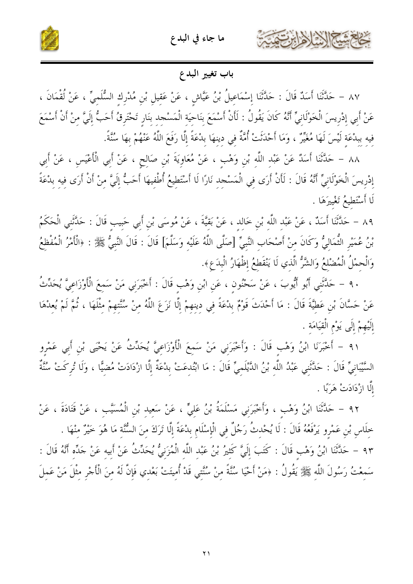



### باب تغيير البدع

٨٧ – حَدَّثَنَا أَسَدٌ قَالَ : حَدَّثَنَا إِسْمَاعِيلُ بْنُ عَيَّاشٍ ، عَنْ عَقِيلِ بْنِ مُدْرِكِ السُّلَمِيِّ ، عَنْ لُقْمَانَ ، عَنْ أَبِي إِدْرِيسَ الْخَوْلَانِيِّ أَنَّهُ كَانَ يَقُولُ : لَأَنْ أَسْمَعَ بِنَاحِيَةِ الْمَسْجِدِ بنَارِ تَحْتَرِقُ أَحَبُّ إِلَيَّ مِنْ أَنْ أَسْمَعَ فيه ببدْعَة لَيْسَ لَهَا مُغَيِّرٌ ، وَمَا أَحْدَثَتْ أُمَّةٌ في دينهَا بدْعَةً إِلَّا رَفَعَ اللَّهُ عَنْهُمْ بِهَا سُنَّةً.

٨٨ – حَلَّتْنَا أَسَلُا عَنْ عَبْدِ اللَّهِ بْنِ وَهْبٍ ، عَنْ مُعَاوِيَةَ بْنِ صَالِحٍ ، عَنْ أَبِي الْأَعْيَسِ ، عَنْ أَبِي إِدْرِيسَ الْخَوْلَانِيِّ أَنَّهُ قَالَ : لَأَنْ أَرَى فِي الْمَسْجِدِ نَارًا لَا أَسْتَطِيعُ أُطْفِيهَا أَحَبُّ إِلَيَّ مِنْ أَنْ أَرَى فِيهِ بِدْعَةً لَا أَسْتَطِيعُ تَغْيبرَهَا .

٨٩ – حَدَّثَنَا أَسَدٌ ، عَنْ عَبْدِ اللَّهِ بْنِ خَالِدٍ ، عَنْ بَقِيَّةَ ، عَنْ مُوسَى بْنِ أَبِي حَبِيبِ قَالَ : حَدَّثَنِي الْحَكَمُ بْنُ عُمَيْرِ الثُّمَالِيُّ وَكَانَ مِنْ أَصْحَابِ النَّبِيِّ [صَلَّى اللَّهُ عَلَيْهِ وَسَلَّمَ] قَالَ : قَالَ النَّبِيُّ ﷺ : ﴿الْأَمْرُ الْمُفْظِعُ وَالْحمْلُ الْمُضْلعُ وَالشَّرُّ الَّذي لَا يَنْقَطعُ إظْهَارُ الْبِدَعِ».

٩٠ – حَلَّتْنِي أَبُو أَيُّوبَ ، عَنْ سَحْنُونِ ، عَنِ ابْنِ وَهْبٍ قَالَ : أَخْبَرَنِي مَنْ سَمِعَ الْأَوْزَاعِيَّ يُحَدِّثُ عَنْ حَسَّانَ بْنِ عَطِيَّةَ قَالَ : مَا أَحْدَثَ قَوْمٌ بِدْعَةً فِي دِينِهِمْ إِلَّا نَزَعَ اللَّهُ مِنْ سُنَّتِهِمْ مِثْلَهَا ، ثُمَّ لَمْ يُعِدْهَا إِلَيْهِمْ إِلَى يَوْمِ الْقِيَامَةِ .

٩١ – أَخْبَرَنَا ابْنُ وَهْبٍ قَالَ : وَأَخْبَرَنِي مَنْ سَمعَ الْأَوْزَاعِيَّ يُحَدِّثُ عَنْ يَحْيَى بْنِ أَبِي عَمْرِو السَّيْبَانِيٍّ قَالَ : حَدَّثَنِي عَبْدُ اللَّهِ بْنُ الدَّيْلَمِيِّ قَالَ : مَا ابْتُدِعَتْ بِدْعَةُ إِلَّا ازْدَادَتْ مُضِيًّا ، وَلَا تُرِكَتْ سُنَّةٌ إِلَّا ازْدَادَتْ هَرَبًا .

٩٢ – حَلَّتْنَا ابْنُ وَهْبٍ ، وَأَحْبَرَنِي مَسْلَمَةُ بْنُ عَلِيٍّ ، عَنْ سَعِيدِ بْنِ الْمُسَيَّبِ ، عَنْ قَتَادَةَ ، عَنْ خِلَاسِ بْنِ عَمْرِو يَرْفَعُهُ قَالَ : لَا يُحْدِثُ رَجُلٌ فِي الْإِسْلَامِ بِدْعَةً إِلَّا تَرَكَ مِنَ السُّنّة مَا هُوَ خَيْرٌ مِنْهَا . ٩٣ – حَدَّثَنَا ابْنُ وَهْبٍ قَالَ : كَتَبَ إِلَيَّ كَثِيرُ بْنُ عَبْدِ اللَّهِ الْمُزَنِيُّ يُحَدِّثُ عَنْ أَبيه عَنْ حَدِّه أَنَّهُ قَالَ : سَمِعْتُ رَسُولَ اللَّهِ ﷺ يَقُولُ : ﴿مَنْ أَحْيَا سُنَّةً مِنْ سُنَّتِي قَدْ أُمِيتَتْ بَعْدِي فَإِنَّ لَهُ مِنَ الْأَجْرِ مِثْلَ مَنْ عَمِلَ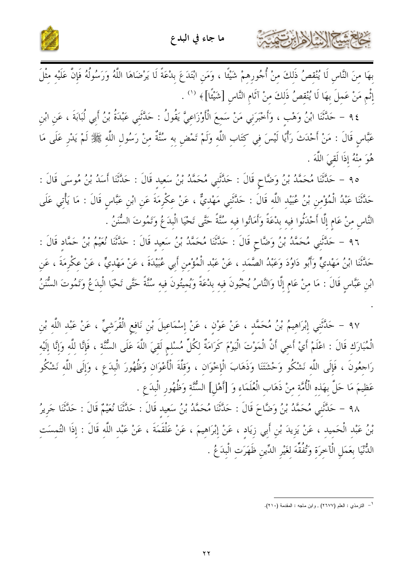



بِهَا مِنَ النَّاسِ لَا يُنْقِصُ ذَلِكَ مِنْ أُجُورِهِمْ شَيْئًا ، وَمَنِ ابْتَدَعَ بِدْعَةً لَا يَرْضَاهَا اللَّهُ وَرَسُولُهُ فَإِنَّ عَلَيْهِ مِثْلَ إِنَّم مَنْ عَمِلَ بِهَا لَا يُنْقِصُ ذَلِكَ مِنْ آثَامِ النَّاسِ [شَيْئًا] ﴾ ('' .

٩٤ – حَلَّتْنَا ابْنُ وَهْبٍ ، وَأَخْبَرَنِي مَنْ سَمِعَ الْأَوْزَاعِيَّ يَقُولُ : حَلَّتْنِي عَبْدَةُ بْنُ أَبِي لُبَابَةَ ، عَنِ ابْنِ عَبَّاسٍ قَالَ : مَنْ أَحْدَثَ رَأْيًا لَيْسَ فِي كِتَابِ اللَّهِ وَلَمْ تَمْضِ بِهِ سُنَّةٌ مِنْ رَسُولِ اللّهِ ﷺ لَمْ يَدْرِ عَلَى مَا هُوَ منْهُ إِذَا لَقِيَ اللَّهَ .

٩٥ – حَلَّتْنَا مُحَمَّدُ بْنُ وَضَّاحٍ قَالَ : حَلَّتَنِي مُحَمَّدُ بْنُ سَعِيد قَالَ : حَلَّتْنَا أَسَدُ بْنُ مُوسَى قَالَ : حَدَّثَنَا عَبْدُ الْمُؤْمِنِ بْنُ عُبَيْد اللَّه قَالَ : حَدَّثَنِي مَهْديٌّ ، عَنْ عِكْرِمَةَ عَنِ ابْنِ عَبَّاسٍ قَالَ : مَا يَأْتِي عَلَى النَّاس منْ عَام إلَّا أَحْدَتُوا فيه بدْعَةً وَأَمَاتُوا فيه سُنَّةً حَتَّى تَحْيَا الْبدَعُ وَتَمُوتَ السُّنَنُ .

٩٦ – حَلَّتْني مُحَمَّدُ بْنُ وَضَّاحٍ قَالَ : حَلَّتْنَا مُحَمَّدُ بْنُ سَعيد قَالَ : حَلَّتْنَا نُعَيْمُ بْنُ حَمَّاد قَالَ : حَلَّتَنَا ابْنُ مَهْدِيٍّ وَأَبُو دَاوُدَ وَعَبْدُ الصَّمَدِ ، عَنْ عَبْدِ الْمُؤْمِنِ أَبِي عُبَيْدَةَ ، عَنْ مَهْدِيٍّ ، عَنْ عِكْرِمَةَ ، عَنِ ابْنِ عَبَّاسٍ قَالَ : مَا منْ عَامٍ إِلَّا وَالنَّاسُ يُحْيُونَ فيه بدْعَةً وَيُميتُونَ فيه سُنَّةً حَتَّى تَحْيَا الْبدَعُ وَتَمُوتَ السُّنَنُ

٩٧ – حَلَّتْنِي إِبْرَاهِيمُ بْنُ مُحَمَّدٍ ، عَنْ عَوْنٍ ، عَنْ إِسْمَاعِيلَ بْنِ نَافِعِ الْقُرَشِيِّ ، عَنْ عَبْد اللَّهِ بْنِ الْمُبَارَكِ قَالَ : اعْلَمْ أَيْ أَحِي أَنَّ الْمَوْتَ الْيَوْمَ كَرَامَةٌ لِكُلِّ مُسْلِمٍ لَقِيَ اللَّهَ عَلَى السُّنَّةِ ، فَإِنَّا لِلَّهِ وَإِنَّا إِلَيْهِ رَاحِعُونَ ، فَإِلَى اللَّهِ نَشْكُو وَحْشَتَنَا وَذَهَابَ الْإِحْوَانِ ، وَقِلَّةَ الْأَعْوَانِ وَظُهُورَ الْبِدَعِ ، وَإِلَى اللَّهِ نَشْكُو عَظيمَ مَا حَلَّ بهَذه الْأُمَّة منْ ذَهَاب الْعُلَمَاء وَ [أَهْلِ] السُّنَّة وَظُهُور الْبدَعِ .

٩٨ – حَلَّتْني مُحَمَّدُ بْنُ وَضَّاحَ قَالَ : حَلَّتْنَا مُحَمَّدُ بْنُ سَعيد قَالَ : حَلَّتْنَا نُعَيْمٌ قَالَ : حَلَّتْنَا جَريرُ بْنُ عَبْدِ الْحَمِيدِ ، عَنْ يَزِيدَ بْنِ أَبِي زِيَادٍ ، عَنْ إِبْرَاهِيمَ ، عَنْ عَلْقَمَةَ ، عَنْ عَبْد اللَّه قَالَ : إذَا التُمسَت الدُّنْيَا بِعَمَلِ الْآخِرَةِ وَتُفُقِّهَ لِغَيْرِ الدِّينِ ظَهَرَتِ الْبِدَعُ .

<sup>&</sup>lt;sup>1</sup> – الترمذي : العلم (٢٦٧٧) , وابن ماجه : المقدمة (٢١٠).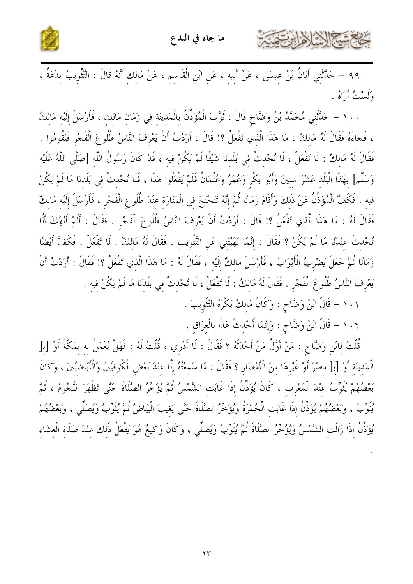

٩٩ – حَدَّثَنِي أَبَانُ بْنُ عِيسَى ، عَنْ أَبِيهِ ، عَنِ ابْنِ الْقَاسِمِ ، عَنْ مَالِكِ أَنَّهُ قَالَ : التَّثْوِيبُ بِدْعَةٌ ، وَلَسْتُ أَرَاهُ .

١٠٠ - حَلَّتَنِي مُحَمَّدُ بْنُ وَضَّاحٍ قَالَ : ثَوَّبَ الْمُؤَذِّنُ بِالْمَدِينَةِ في زَمَانِ مَالك ، فَأَرْسَلَ إلَيْهِ مَالكُ ، فَجَاءَهُ فَقَالَ لَهُ مَالكٌ : مَا هَذَا الَّذي تَفْعَلُ ؟! قَالَ : أَرَدْتُ أَنْ يَعْرِفَ النَّاسُ طُلُوعَ الْفَجْر فَيَقُومُوا . فَقَالَ لَهُ مَالكٌ : لَا تَفْعَلْ ، لَا تُحْدثْ في بَلَدنَا شَيْئًا لَمْ يَكُنْ فيه ، قَدْ كَانَ رَسُولُ اللَّه [صَلَّى اللَّهُ عَلَيْه وَسَلَّمَ] بِهَذَا الْبَلَدِ عَشْرَ سِنِينَ وَأَبُو بَكْرِ وَعُمَرُ وَعُثْمَانُ فَلَمْ يَفْعَلُوا هَذَا ، فَلَا تُحْدثْ في بَلَدنَا مَا لَمْ يَكُنْ فِيهِ . فَكَفَّ الْمُؤَذِّنُ عَنْ ذَلِكَ وَأَقَامَ زَمَانًا ثُمَّ إِنَّهُ تَنَحْنَحَ فِي الْمَنَارَة عنْدَ طُلُوع الْفَجْر ، فَأَرْسَلَ إلَيْه مَاللثٌ فَقَالَ لَهُ : مَا هَذَا الَّذي تَفْعَلُ ؟! قَالَ : أَرَدْتُ أَنْ يَعْرِفَ النَّاسُ طُلُوعَ الْفَجْر . فَقَالَ : أَلَمْ أَنْهَكَ أَلَّا تُحْدِثَ عِنْدَنَا مَا لَمْ يَكُنْ ؟ فَقَالَ : إِنَّمَا نَهَيْتَنِي عَنِ التَّتْوِيبِ . فَقَالَ لَهُ مَالكٌ : لَا تَفْعَلْ . فَكَفَّ أَيْضًا زَمَانًا ثُمَّ حَعَلَ يَضْرِبُ الْأَبْوَابَ ، فَأَرْسَلَ مَالكٌ إِلَيْه ، فَقَالَ لَهُ : مَا هَذَا الَّذي تَفْعَلُ ؟! فَقَالَ : أَرَدْتُ أَنْ يَعْرِفَ النَّاسُ طُلُوعَ الْفَجْرِ . فَقَالَ لَهُ مَالكٌ : لَا تَفْعَلْ ، لَا تُحْدثْ في بَلَدنَا مَا لَمْ يَكُنْ فيه .

١٠١ - قَالَ ابْنُ وَضَّاحٍ : وَكَانَ مَالكٌ يَكْرَهُ التَّثْوِيبَ .

كالمشكالة لأرابت

١٠٢ – قَالَ ابْنُ وَضَّاحٍ : وَإِنَّمَا أُحْدثَ هَذَا بِالْعرَاقِ .

قُلْتُ لِابْنِ وَضَّاحٍ : مَنْ أَوَّلُ مَنْ أَحْدَثَهُ ؟ فَقَالَ : لَا أَدْرِي ، قُلْتُ لَهُ : فَهَلْ يُعْمَلُ به بمَكَّةَ أَوْ [ب[ الْمَدِينَةِ أَوْ [بِ[ مِصْرَ أَوْ غَيْرِهَا مِنَ الْأَمْصَارِ ؟ فَقَالَ : مَا سَمعْتُهُ إِلَّا عِنْدَ بَعْضِ الْكُوفيِّينَ وَالْأَبَاضيِّينَ ، وَكَانَ بَعْضُهُمْ يُثَوِّبُ عِنْدَ الْمَغْرِبِ ، كَانَ يُؤَذِّنُ إِذَا غَابَت الشَّمْسُ ثُمَّ يُؤَخِّرُ الصَّلَاةَ حَتَّى تَظْهَرَ النُّجُومُ ، ثُمَّ يَّتُوبُ ، وَبَعْضُهُمْ يُؤَذِّنُ إذَا غَابَت الْحُمْرَةُ وَيُؤَخِّرُ الصَّلَاةَ حَتَّى يَغيبَ الْبَيَاضُ ثُمَّ يُثَوِّبُ وَيُصَلِّي ، وَبَعْضُهُمْ يُؤَذِّنُ إذَا زَالَتِ الشَّمْسُ وَيُؤْخِّرُ الصَّلَاةَ ثُمَّ يُتْوِّبُ وَيُصَلِّي ، وَكَانَ وَكِيعٌ هُوَ يَفْعَلُ ذَلِكَ عِنْدَ صَلَاةِ الْعِشَاءِ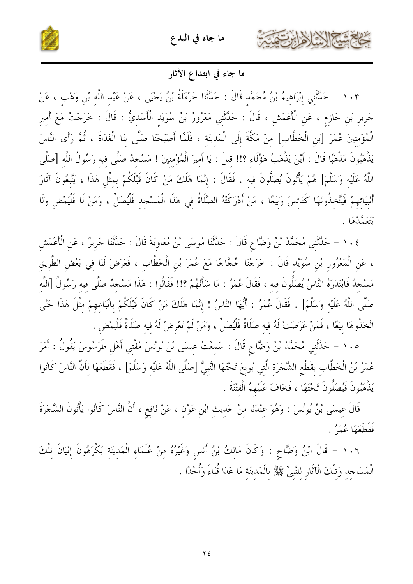





ما جاء في ابتداع الآثار

١٠٣ - حَلَّتْنِي إِبْرَاهِيمُ بْنُ مُحَمَّدٍ قَالَ : حَلَّتْنَا حَرْمَلَةُ بْنُ يَحْيَى ، عَنْ عَبْدِ اللّهِ بْنِ وَهْبٍ ، عَنْ جَرِيرِ بْنِ حَازِمٍ ، عَنِ الْأَعْمَشِ ، قَالَ : حَلَّتَنِي مَعْرُورُ بْنُ سُوَيْدِ الْأَسَدِيُّ : قَالَ : خَرَجْتُ مَعَ أَميرِ الْمُؤْمِنِينَ عُمَرَ [بْنِ الْخَطَّابِ] مِنْ مَكَّةَ إِلَى الْمَدينَة ، فَلَمَّا أَصْبَحْنَا صَلَّى بنَا الْغَدَاةَ ، ثُمَّ رَأَى النَّاسَ يَذْهَبُونَ مَذْهَبًا قَالَ : أَيْنَ يَذْهَبُ هَؤُلَاء ؟!! قيلَ : يَا أَميرَ الْمُؤْمنينَ ! مَسْجدٌ صَلَّى فيه رَسُولُ اللَّه [صَلَّى اللَّهُ عَلَيْه وَسَلَّمَ] هُمْ يَأْتُونَ يُصَلُّونَ فيه . فَقَالَ : إنَّمَا هَلَكَ مَنْ كَانَ قَبْلَكُمْ بمثْل هَذَا ، يَتَّبعُونَ آثَارَ أَنْبِيَائِهِمْ فَيَتَّخِذُونَهَا كَنَائِسَ وَبِيَعًا ، مَنْ أَدْرَكَتْهُ الصَّلَاةُ فِي هَذَا الْمَسْجِدِ فَلْيُصَلِّ ، وَمَنْ لَا فَلْيَمْضِ وَلَا ر<br>تَتَعَمَّلْهَا .

١٠٤ – حَلَّتَنِي مُحَمَّدُ بْنُ وَضَّاحٍ قَالَ : حَلَّتْنَا مُوسَى بْنُ مُعَاوِيَةَ قَالَ : حَلَّتْنَا جَرِيرٌ ، عَنِ الْأَعْمَشِ ، عَنِ الْمَعْرُورِ بْنِ سُوَيْدٍ قَالَ : خَرَجْنَا حُجَّاجًا مَعَ عُمَرَ بْنِ الْخَطَّابِ ، فَعَرَضَ لَنَا في بَعْض الطَّريق مَسْحِدٌ فَابْتَدَرَهُ النَّاسُ يُصَلُّونَ فيه ، فَقَالَ عُمَرُ : مَا شَأْنُهُمْ ؟!! فَقَالُوا : هَذَا مَسْحِدٌ صَلَّى فيه رَسُولُ [اللَّه صَلَّى اللَّهُ عَلَيْه وَسَلَّمَ] . فَقَالَ عُمَرُ : أَيُّهَا النَّاسُ ! إنَّمَا هَلَكَ مَنْ كَانَ قَبْلَكُمْ باتِّبَاعهمْ مثْلَ هَذَا حَتَّى اتَّخَذُوهَا بَيعًا ، فَمَنْ عَرَضَتْ لَهُ فيه صَلَاةٌ فَلْيُصَلِّ ، وَمَنْ لَمْ تَعْرِضْ لَهُ فيه صَلَاةٌ فَلْيَمْض

١٠٥ – حَلَّتْنِي مُحَمَّدُ بْنُ وَضَّاحٍ قَالَ : سَمعْتُ عِيسَى بْنَ يُونُسَ مُفْتِي أَهْلِ طَرَسُوسَ يَقُولُ : أَمَرَ عُمَرُ بْنُ الْخَطَّابِ بقَطْعِ الشَّجَرَةِ الَّتِي بُويعَ تَحْتَهَا النَّبِيُّ [صَلَّى اللَّهُ عَلَيْهِ وَسَلَّمَ] ، فَقَطَعَهَا لِأَنَّ النَّاسَ كَانُوا يَذْهَبُونَ فَيُصَلُّونَ تَحْتَهَا ، فَخَافَ عَلَيْهِمُ الْفتْنَةَ .

قَالَ عِيسَى بْنُ يُونُسَ : وَهُوَ عِنْدَنَا مِنْ حَدِيثِ ابْنِ عَوْنٍ ، عَنْ نَافِعٍ ، أَنَّ النَّاسَ كَانُوا يَأْتُونَ الشَّجَرَةَ فَقَطَعَهَا عُمَرُ .

١٠٦ - قَالَ ابْنُ وَضَّاحٍ : وَكَانَ مَالكُ بْنُ أَنس وَغَيْرُهُ منْ عُلَمَاء الْمَدينَة يَكْرَهُونَ إِتْيَانَ تلْكَ الْمَسَاحِد وَتلْكَ الْآثَارِ للنَّبِيِّ ﷺ بِالْمَدِينَةِ مَا عَدَا قُبَاءَ وَأُحُدًا .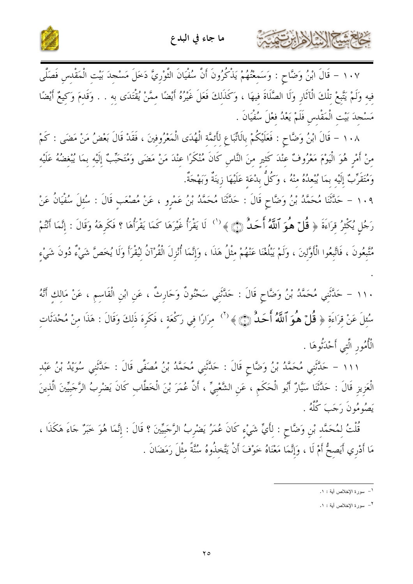



١٠٧ - قَالَ ابْنُ وَضَّاحٍ : وَسَمِعْتُهُمْ يَذْكُرُونَ أَنَّ سُفْيَانَ التَّوْرِيَّ دَخَلَ مَسْجِدَ بَيْتِ الْمَقْدِسِ فَصَلَّى فِيهِ وَلَمْ يَتَّبِعْ تِلْكَ الْآثَارِ وَلَا الصَّلَاةَ فِيهَا ، وَكَذَلِكَ فَعَلَ غَيْرُهُ أَيْضًا مِمَّنْ يُقْتَدَى به . . وَقَدِمَ وَكِيعٌ أَيْضًا مَسْجِدَ بَيْتِ الْمَقْدِسِ فَلَمْ يَعْدُ فِعْلَ سُفْيَانَ .

١٠٨ – قَالَ ابْنُ وَضَّاحٍ : فَعَلَيْكُمْ بِالَاتِّبَاعِ لِأَئِمَّةِ الْهُدَى الْمَعْرُوفِينَ ، فَقَدْ قَالَ بَعْضُ مَنْ مَضَى : كَمْ مِنْ أَمْرِ هُوَ الْيَوْمَ مَعْرُوفٌ عِنْدَ كَثِيرِ مِنَ النَّاسِ كَانَ مُنْكَرًا عِنْدَ مَنْ مَضَى وَمُتَحَبّ إِلَيْه بِمَا يُبْغِضُهُ عَلَيْهِ وَمُتَقَرِّبٌ إِلَيْه بمَا يُبْعِدُهُ منْهُ ، وَكُلُّ بِدْعَةِ عَلَيْهَا زِينَةٌ وَبَهْجَةٌ.

١٠٩ – حَلَّتَنَا مُحَمَّدُ بْنُ وَضَّاحٍ قَالَ : حَلَّتَنَا مُحَمَّدُ بْنُ عَمْرِو ، عَنْ مُصْعَبِ قَالَ : سُئِلَ سُفْيَانُ عَنْ رَجُلٍ يُكْثِرُ قِرَاءَةَ ﴿ قُلْ هُوَ ٱللَّهُ أَحَدٌ ۞ ﴾ <sup>(')</sup> لَا يَقْرَأُ غَيْرَهَا كَمَا يَقْرَأُهَا ؟ فَكَرِهَهُ وَقَالَ : إِنَّمَا أَنْتُمْ مُتَّبِعُونَ ، فَاتَّبِعُوا الْأَوَّلِينَ ، وَلَمْ يَبْلُغْنَا عَنْهُمْ مِثْلُ هَذَا ، وَإِنَّمَا أُنْزِلَ الْقُرْآنُ لِيُقْرَأَ وَلَا يُخَصَّ شَيْءٌ دُونَ شَيْءٍ

١١٠ – حَلَّثَنِي مُحَمَّدُ بْنُ وَضَّاحٍ قَالَ : حَلَّثَنِي سَحْنُونٌ وَحَارِثٌ ، عَنِ ابْنِ الْقَاسِمِ ، عَنْ مَالِكِ أَنَّهُ سُئِلَ عَنْ قِرَاءَةِ ﴿ **قُلَّ هُوَ ٱللَّهُ أَحَدٌ** ۞ ﴾ <sup>(٢)</sup> مِرَارًا فِي رَكْعَةِ ، فَكَرِهَ ذَلِكَ وَقَالَ : هَذَا مِنْ مُحْدَثَاتِ الْأُمُور الَّتي أَحْدَنُوهَا .

١١١ – حَلَّتَنِي مُحَمَّدُ بْنُ وَضَّاحٍ قَالَ : حَلَّتَنِي مُحَمَّدُ بْنُ مُصَفَّى قَالَ : حَلَّتَني سُوَيْدُ بْنُ عَبْد الْعَزِيزِ قَالَ : حَدَّثَنَا سَيَّارٌ أَبُو الْحَكَمِ ، عَنِ الشَّعْبِيِّ ، أَنَّ عُمَرَ بْنَ الْخَطَّابِ كَانَ يَضْرِبُ الرَّجَبِيِّينَ الَّذِينَ يَصُوْمُونَ رَجَبَ كُلَّهُ .

قُلْتُ لِمُحَمَّد بْنِ وَضَّاحٍ : لِأَيِّ شَيْءٍ كَانَ عُمَرُ يَضْرِبُ الرَّجَبِيِّينَ ؟ قَالَ : إِنَّمَا هُوَ خَبَرٌ جَاءَ هَكَذَا ، مَا أَدْرِي أَيَصِحُّ أَمْ لَا ، وَإِنَّمَا مَعْنَاهُ خَوْفَ أَنْ يَتَّخِذُوهُ سُنَّةً مِثْلَ رَمَضَانَ .

SATTE

ا – سورة الإخلاص أية : ١.

٢- سورة الإخلاص أية : ١.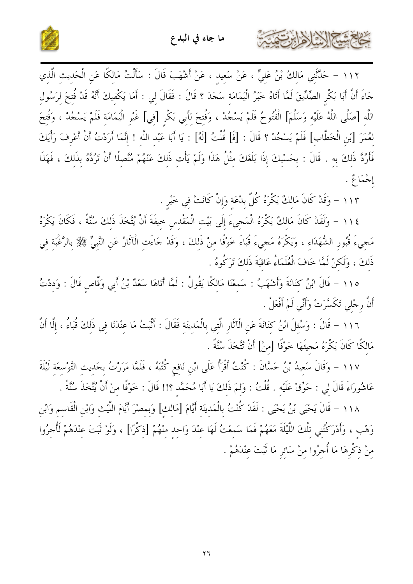

١١٢ - حَلَّتْنِي مَالِكُ بْنُ عَلِيٍّ ، عَنْ سَعِيدِ ، عَنْ أَشْهَبَ قَالَ : سَأَلْتُ مَالِكًا عَنِ الْحَدِيثِ الَّذِي جَاءَ أَنَّ أَبَا بَكْرِ الصِّدِّيقَ لَمَّا أَتَاهُ حَبَرُ الْيَمَامَةِ سَجَدَ ؟ قَالَ : فَقَالَ لِي : أَمَا يَكْفِيكَ أَنَّهُ قَدْ فُتِحَ لِرَسُولِ اللَّهِ [صَلَّى اللَّهُ عَلَيْهِ وَسَلَّمَ] الْفُتُوحُ فَلَمْ يَسْجُدْ ، وَفُتِحَ لِأَبِي بَكْرِ [فِي] غَيْرِ الْيَمَامَةِ فَلَمْ يَسْجُدْ ، وَفُتِحَ لعُمَرَ [بْنِ الْخَطَّابِ] فَلَمْ يَسْجُدْ ؟ قَالَ : [فَ] قُلْتُ [لَهُ] : يَا أَبَا عَبْد اللَّه ! إنَّمَا أَرَدْتُ أَنْ أَعْرِفَ رَأْيَكَ فَأَرُدَّ ذَلكَ به . قَالَ : بِحَسْبِكَ إِذَا بَلَغَكَ مِثْلُ هَذَا وَلَمْ يَأْتِ ذَلكَ عَنْهُمْ مُتَّصِلًا أَنْ تَرُدَّهُ بِذَلكَ ، فَهَذَا إجْمَاعْ .

١١٣ - وَقَدْ كَانَ مَالِكٌ يَكْرَهُ كُلَّ بِدْعَةِ وَإِنْ كَانَتْ فِي خَيْرِ .

كخابع شيخ الدير المزايرت

١١٤ - وَلَقَدْ كَانَ مَالكٌ يَكْرَهُ الْمَجيءَ إِلَى بَيْت الْمَقْدس حيفَةَ أَنْ يُتَّخَذَ ذَلكَ سُنَّةً ، فَكَانَ يَكْرَهُ مَحِيءَ قُبُور الشُّهَدَاء ، وَيَكْرَهُ مَحِيءَ قُبَاءَ خَوْفًا منْ ذَلكَ ، وَقَدْ حَاءَتِ الْآثَارُ عَنِ النَّبِيِّ ﷺ بِالرَّغْبَةِ فِي ذَلكَ ، وَلَكنْ لَمَّا خَافَ الْعُلَمَاءُ عَاقبَةَ ذَلكَ تَرَكُوهُ .

١١٥ – قَالَ ابْنُ كِنَانَةَ وَأَشْهَبُ : سَمِعْنَا مَالِكًا يَقُولُ : لَمَّا أَتَاهَا سَعْدٌ بْنُ أَبِي وَقَّاصِ قَالَ : وَدِدْتُ أَنَّ رِجْلي تَكَسَّرَتْ وَأَنِّي لَمْ أَفْعَلْ .

١١٦ - قَالَ : وَسُئِلَ ابْنُ كِنَانَةَ عَنِ الْآثَارِ الَّتِي بِالْمَدِينَةِ فَقَالَ : أَتْبَتُ مَا عِنْدَنَا فِي ذَلِكَ قُبَاءُ ، إِلَّا أَنَّ مَالكًا كَانَ يَكْرَهُ مَحِيئَهَا خَوْفًا [منْ] أَنْ تُتَّخَذَ سُنَّةً .

١١٧ – وَقَالَ سَعيدُ بْنُ حَسَّانَ : كُنْتُ أَقْرَأُ عَلَى ابْن نَافع كُتُبَهُ ، فَلَمَّا مَرَرْتُ بحَديث التَّوْسعَة لَيْلَةَ عَاشُورَاءَ قَالَ لي : حَوِّقْ عَلَيْه . قُلْتُ : وَلمَ ذَلكَ يَا أَبَا مُحَمَّد ؟!! قَالَ : خَوْفًا منْ أَنْ يُتَّخَذَ سُنَّةً .

١١٨ – قَالَ يَحْيَى بْنُ يَحْيَى : لَقَدْ كُنْتُ بِالْمَدِينَةِ أَيَّامَ [مَالِكِ] وَبِمِصْرَ أَيَّامَ اللَّيْثِ وَابْنِ الْقَاسِمِ وَابْنِ وَهْبِ ، وَأَدْرَكْتُنِي تلْكَ اللَّيْلَةَ مَعَهُمْ فَمَا سَمِعْتُ لَهَا عِنْدَ وَاحِدٍ مِنْهُمْ [ذِكْرًا] ، وَلَوْ ثَبَتَ عِنْدَهُمْ لَأُجِرُوا مِنْ ذِكْرِهَا مَا أُجِرُوا مِنْ سَائِرِ مَا تَبَتَ عِنْدَهُمْ .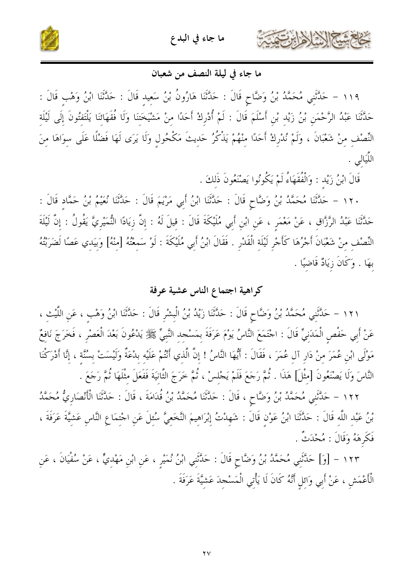





## ما جاء في ليلة النصف من شعبان

١١٩ – حَلَّتْنِي مُحَمَّدُ بْنُ وَضَّاحٍ قَالَ : حَلَّتْنَا هَارُونُ بْنُ سَعِيدِ قَالَ : حَلَّتْنَا ابْنُ وَهْب قَالَ : حَدَّثَنَا عَبْدُ الرَّحْمَنِ بْنُ زَيْدِ بْنِ أَسْلَمَ قَالَ : لَمْ أُدْرِكْ أَحَدًا مِنْ مَشْيَخَتَنَا وَلَا فُقَهَائِنَا يَلْتَفْتُونَ إِلَى لَيْلَة النِّصْفِ مِنْ شَعْبَانَ ، وَلَمْ نُدْرِكْ أَحَدًا مِنْهُمْ يَذْكُرُ حَدِيتَ مَكْحُولٍ وَلَا يَرَى لَهَا فَضْلًا عَلَى سِوَاهَا مِنَ اللَّيَالي

قَالَ ابْنُ زَيْد : وَالْفُقَهَاءُ لَمْ يَكُونُوا يَصْنَعُونَ ذَلكَ .

١٢٠ – حَلَّتْنَا مُحَمَّدُ بْنُ وَضَّاحٍ قَالَ : حَلَّتْنَا ابْنُ أَبِي مَرْيَمَ قَالَ : حَلَّتْنَا نُعَيْمُ بْنُ حَمَّادٍ قَالَ : حَدَّثَنَا عَبْدُ الرَّزَّاقِ ، عَنْ مَعْمَرٍ ، عَنِ ابْنِ أَبِي مُلَيْكَةَ قَالَ : قِيلَ لَهُ : إِنَّ زِيَادًا النُّمَيْرِيَّ يَقُولُ : إِنَّ لَيْلَةَ النِّصْفِ مِنْ شَعْبَانَ أَجْرُهَا كَأَجْرِ لَيْلَةِ الْقَدْرِ . فَقَالَ ابْنُ أَبِي مُلَيْكَةَ : لَوْ سَمِعْتُهُ [مِنْهُ] وَبِيَدِي عَصًا لَضَرَبْتُهُ بهَا . وَكَانَ زِيَادٌ قَاضِيًا .

# كراهية اجتماع الناس عشية عرفة

١٢١ – حَلَّتْنِي مُحَمَّدُ بْنُ وَضَّاحٍ قَالَ : حَلَّتْنَا زَيْدُ بْنُ الْبِشْرِ قَالَ : حَلَّتْنَا ابْنُ وَهْب ، عَنِ اللَّيْثِ ، عَنْ أَبِي حَفْصٍ الْمَدَنِيِّ قَالَ : احْتَمَعَ النَّاسُ يَوْمَ عَرَفَةَ بِمَسْجِدِ النَّبِيِّ ﷺ يَدْعُونَ بَعْدَ الْعَصْرِ ، فَخَرَجَ نَافِعٌ مَوْلَى ابْنِ عُمَرَ مِنْ دَارِ آلِ عُمَرَ ، فَقَالَ : أَيُّهَا النَّاسُ ! إِنَّ الَّذِي أَنْتُمْ عَلَيْه بِدْعَةٌ وَلَيْسَتْ بِسُنَّةٍ ، إِنَّا أَدْرَكْنَا النَّاسَ وَلَا يَصْنَعُونَ [مِثْلَ] هَذَا . ثُمَّ رَجَعَ فَلَمْ يَجْلِسْ ، ثُمَّ خَرَجَ الثَّانيَةَ فَفَعَلَ مثْلَهَا ثُمَّ رَجَعَ .

١٢٢ – حَلَّتْنِي مُحَمَّدُ بْنُ وَضَّاحٍ ، قَالَ : حَلَّتْنَا مُحَمَّدُ بْنُ قُدَامَةَ ، قَالَ : حَلَّتْنَا الْأَنْصَارِيُّ مُحَمَّدُ بْنُ عَبْد اللَّه قَالَ : حَدَّثَنَا ابْنُ عَوْنِ قَالَ : شَهدْتُ إِبْرَاهِيمَ النَّخَعِيَّ سُئِلَ عَنِ اجْتمَاع النَّاس عَشيَّةَ عَرَفَةَ ، فَكَرِهَهُ وَقَالَ : مُحْدَثٌ .

١٢٣ – [وَ] حَلَّتْنِي مُحَمَّدُ بْنُ وَضَّاحٍ قَالَ : حَلَّتْنِي ابْنُ نُمَيْرِ ، عَنِ ابْنِ مَهْدِيٍّ ، عَنْ سُفْيَانَ ، عَنِ الْأَعْمَشِ ، عَنْ أَبِي وَائلِ أَنَّهُ كَانَ لَا يَأْتِي الْمَسْجِدَ عَشَيَّةَ عَرَفَةَ .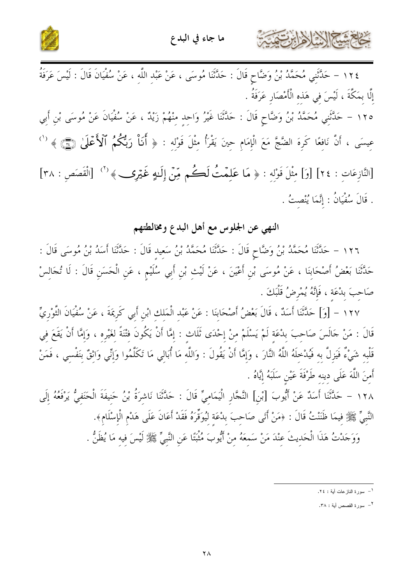





١٢٤ – حَلَّتْنِي مُحَمَّدُ بْنُ وَضَّاحٍ قَالَ : حَلَّتْنَا مُوسَى ، عَنْ عَبْدِ اللَّهِ ، عَنْ سُفْيَانَ قَالَ : لَيْسَ عَرَفَةُ إِلَّا بِمَكَّةَ ، لَيْسَ فِي هَذِهِ الْأَمْصَارِ عَرَفَةُ . ١٢٥ – حَلَّثَنِي مُحَمَّدُ بْنُ وَضَّاحٍ قَالَ : حَلَّتْنَا غَيْرُ وَاحِدٍ مِنْهُمْ زَيْدٌ ، عَنْ سُفْيَانَ عَنْ مُوسَى بْنِ أَبِي

عِيسَى ، أَنَّ نَافِعًا كَرِهَ الضَّجَّ مَعَ الْإِمَامِ حِينَ يَقْرَأُ مِثْلَ قَوْلِهِ : ﴿ أَنَاْ رَبُّكُمُ ٱلْأَعْلَىٰ ﴿ وَ ۖ ﴾ [النَّازِعَاتِ : ٢٤] [وَ] مِثْلَ قَوْلِهِ : ﴿ مَا عَلِمْتُ لَكُمْ مِّنْ إِلَـٰهٍ غَيْرِكِ ﴾ (٢) [الْقَصَصِ : ٣٨] . قَالَ سُفْيَانُ : إِنَّمَا يُنْصِتُ .

# النهي عن الجلوس مع أهل البدع ومخالطتهم

١٢٦ – حَلَّتْنَا مُحَمَّدُ بْنُ وَضَّاحٍ قَالَ : حَلَّتْنَا مُحَمَّدُ بْنُ سَعِيد قَالَ : حَلَّتْنَا أَسَدُ بْنُ مُوسَى قَالَ : حَلَّتْنَا بَعْضُ أَصْحَابِنَا ، عَنْ مُوسَى بْنِ أَعْيَنَ ، عَنْ لَيْثِ بْنِ أَبِي سُلَيْمٍ ، عَنِ الْحَسَنِ قَالَ : لَا تُجَالِسْ صَاحبَ بلْعَة ، فَإِنَّهُ يُمْرِضُ قَلْبَكَ .

١٢٧ – [وَ] حَدَّثَنَا أَسَدٌ ، قَالَ بَعْضُ أَصْحَابِنَا : عَنْ عَبْدِ الْمَلِكِ ابْنِ أَبِي كَرِيمَةَ ، عَنْ سُفْيَانَ الثَّوْرِيِّ قَالَ : مَنْ جَالَسَ صَاحِبَ بِدْعَةِ لَمْ يَسْلَمْ مِنْ إِحْدَى ثَلَاثٍ : إِمَّا أَنْ يَكُونَ فِتْنَةً لِغَيْرِهِ ، وَإِمَّا أَنْ يَقَعَ فِي قَلْبِهِ شَيْءٌ فَيَزِلَّ بِهِ فَيُدْخِلَهُ اللَّهُ النَّارَ ، وَإِمَّا أَنْ يَقُولَ : وَاللَّهِ مَا أُبَالِي مَا تَكَلَّمُوا وَإِنِّي وَاثِقٌ بِنَفْسِي ، فَمَنْ أَمنَ اللَّهَ عَلَى دينه طَرْفَةَ عَيْنِ سَلَبَهُ إِيَّاهُ .

١٢٨ – حَدَّثَنَا أَسَدٌ عَنْ أَيُّوبَ [بْنِ] النَّجَّارِ الْيَمَامِيِّ قَالَ : حَدَّثَنَا نَاشِرَةُ بْنُ حَنِيفَةَ الْحَنَفِيُّ يَرْفَعُهُ إِلَى النَّبِيِّ ﷺ فِيمَا ظَنَنْتُ قَالَ : ﴿مَنْ أَتَى صَاحِبَ بِدْعَةِ لِيُوَقِّرَهُ فَقَدْ أَعَانَ عَلَى هَدْمِ الْإِسْلَامِ﴾.

وَوَجَدْتُ هَذَا الْحَدِيثَ عِنْدَ مَنْ سَمِعَهُ مِنْ أَيُّوبَ مُثْبَتًا عَنِ النَّبِيِّ ﷺ لَيْسَ فِيهِ مَا يُظَنُّ .

<sup>&</sup>lt;sup>1</sup>– سورة النازعات أية : ٢٤.

۲ – سورة القصص أية : ۳۸.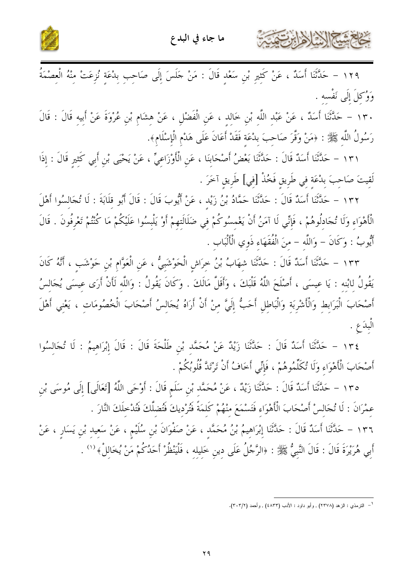



بشتي الأخراطية

١٢٩ – حَدَّثَنَا أَسَلٌ ، عَنْ كَثيرِ بْنِ سَعْدِ قَالَ : مَنْ جَلَسَ إِلَى صَاحِبِ بِدْعَةِ نُزِعَتْ مِنْهُ الْعصْمَةُ وَوُكلَ إِلَى نَفْسه .

١٣٠ – حَلَّتْنَا أَسَدٌ ، عَنْ عَبْدِ اللَّهِ بْنِ خَالِدٍ ، عَنِ الْفَضْلِ ، عَنْ هِشَامٍ بْنِ عُرْوَةَ عَنْ أَبيه قَالَ : قَالَ رَسُولُ اللَّه ﷺ : ﴿مَنْ وَقَرَ صَاحبَ بِدْعَة فَقَدْ أَعَانَ عَلَى هَدْمِ الْإِسْلَامِ﴾.

١٣١ – حَدَّثَنَا أَسَدٌ قَالَ : حَدَّثَنَا بَعْضُ أَصْحَابِنَا ، عَنِ الْأَوْزَاعِيِّ ، عَنْ يَحْيَى بْنِ أَبِي كَثِيرِ قَالَ : إِذَا لَقيتَ صَاحِبَ بِدْعَةٍ فِي طَرِيقٍ فَخُذْ [فِي] طَرِيقِ آخَرَ .

١٣٢ – حَلَّتْنَا أَسَدٌ قَالَ : حَلَّتْنَا حَمَّادُ بْنُ زَيْد ، عَنْ أَيُّوبَ قَالَ : قَالَ أَبُو قَلَابَةَ : لَا تُجَالسُوا أَهْلَ الْأَهْوَاء وَلَا تُجَادُلُوهُمْ ، فَإِنِّي لَا آمَنُ أَنْ يَغْمسُوكُمْ في ضَلَالَتهمْ أَوْ يَلْبسُوا عَلَيْكُمْ مَا كُنْتُمْ تَعْرفُونَ . قَالَ أَيُّوبُ : وَكَانَ – وَاللَّه – منَ الْفُقَهَاء ذَوي الْأَلْبَاب .

١٣٣ – حَلَّتْنَا أَسَلٌ قَالَ : حَلَّتْنَا شِهَابُ بْنُ حِرَاشِ الْحَوْشَبِيُّ ، عَنِ الْعَوَّامِ بْنِ حَوْشَب ، أَنَّهُ كَانَ يَقُولُ لابْنه : يَا عيسَى ، أَصْلَحَ اللَّهُ قَلْبَكَ ، وَأَقَلَّ مَالَكَ . وَكَانَ يَقُولُ : وَاللَّه لَأَنْ أَرَى عيسَى يُجَالسُ أَصْحَابَ الْبَرَابِطِ وَالْأَشْرِبَةِ وَالْبَاطِلِ أَحَبُّ إِلَيَّ مِنْ أَنْ أَرَاهُ يُجَالِسُ أَصْحَابَ الْخُصُومَاتِ ، يَعْنِي أَهْلَ الْبِدَعِ .

١٣٤ - حَلَّتْنَا أَسَدٌ قَالَ : حَلَّتْنَا زَيْدٌ عَنْ مُحَمَّدٍ بْنِ طَلْحَةَ قَالَ : قَالَ إِبْرَاهِيمُ : لَا تُجَالِسُوا أَصْحَابَ الْأَهْوَاءِ وَلَا تُكَلِّمُوهُمْ ، فَإِنِّي أَحَافُ أَنْ تَرْتَدَّ قُلُوبُكُمْ .

١٣٥ – حَلَّتْنَا أَسَدٌ قَالَ : حَلَّتْنَا زَيْدٌ ، عَنْ مُحَمَّدٍ بْنِ سَلَمٍ قَالَ : أَوْحَى اللَّهُ [تَعَالَى] إِلَى مُوسَى بْنِ عمْرَانَ : لَا تُجَالسْ أَصْحَابَ الْأَهْوَاء فَتَسْمَعَ منْهُمْ كَلمَةً فَتُرْديكَ فَتُضلَّكَ فَتُدْخلَكَ النَّارَ . ١٣٦ – حَلَّثَنَا أَسَلٌ قَالَ : حَلَّتْنَا إِبْرَاهِيمُ بْنُ مُحَمَّد ، عَنْ صَفْوَانَ بْنِ سُلَيْم ، عَنْ سَعيد بْنِ يَسَارِ ، عَنْ أَبِي هُرَيْرَةَ قَالَ : قَالَ النَّبِيُّ ﷺ : ﴿الرَّجُلُ عَلَى دِينِ خَلِيلِهِ ، فَلْيَنْظُرْ أَحَدُكُمْ مَنْ يُخَالِلْ﴾ ('' .

<sup>&</sup>lt;sup>1</sup>= التزمذي : الزهد (٢٣٧٨) , وأبو داود : الأدب (٤٨٣٣) , وأحمد (٣٠٣/٢).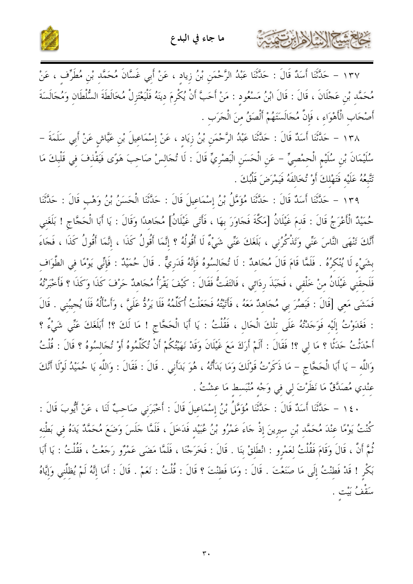

كالحشيم الأخالات



١٣٧ – حَلَّتْنَا أَسَلٌ قَالَ : حَلَّتْنَا عَبْدُ الرَّحْمَنِ بْنُ زِيادٍ ، عَنْ أَبِي غَسَّانَ مُحَمَّدِ بْنِ مُطَرِّفٍ ، عَنْ مُحَمَّدِ بْنِ عَجْلَانَ ، قَالَ : قَالَ ابْنُ مَسْعُودٍ : مَنْ أَحَبَّ أَنْ يُكْرِمَ دِينَهُ فَلْيَعْتَزِلْ مُخَالَطَةَ السُّلْطَانِ وَمُجَالَسَةَ أَصْحَابِ الْأَهْوَاءِ ، فَإِنَّ مُجَالَسَتَهُمْ أَلْصَقُ منَ الْجَرَبِ .

١٣٨ – حَلَّتْنَا أَسَلٌ قَالَ : حَلَّتْنَا عَبْدُ الرَّحْمَنِ بْنُ زِيَادٍ ، عَنْ إِسْمَاعِيلَ بْنِ عَيَّاشٍ عَنْ أَبِي سَلَمَةَ – سُلَيْمَانَ بْنِ سُلَيْمِ الْحِمْصِيِّ – عَنِ الْحَسَنِ الْبَصْرِيِّ قَالَ : لَا تُجَالِسْ صَاحِبَ هَوًَى فَيَقْذِفَ فِي قَلْبِكَ مَا تَتَّبِعُهُ عَلَيْه فَتَهْلِكَ أَوْ تُخَالفَهُ فَيَمْرَضَ قَلْبُكَ .

١٣٩ - حَدَّثَنَا أَسَدٌ قَالَ : حَدَّثَنَا مُؤَمَّلُ بْنُ إِسْمَاعِيلَ قَالَ : حَدَّثَنَا الْحَسَنُ بْنُ وَهْبِ قَالَ : حَدَّثَنَا حُمَيْدٌ الْأَعْرَجُ قَالَ : قَدمَ غَيْلَانُ [مَكَّةَ فَجَاوَرَ بهَا ، فَأَتَى غَيْلَانُ] مُجَاهدًا وَقَالَ : يَا أَبَا الْحَجَّاجِ ! بَلَغَني أَنَّكَ تَنْهَى النَّاسَ عَنِّي وَتَذْكُرُني ، بَلَغَكَ عَنِّي شَيْءٌ لَا أَقُولُهُ ؟ إِنَّمَا أَقُولُ كَذَا ، إنَّمَا أَقُولُ كَذَا ، فَجَاءَ بشَيْء لَا يُنْكرُهُ . فَلَمَّا قَامَ قَالَ مُجَاهدٌ : لَا تُجَالسُوهُ فَإِنَّهُ قَدَريٌّ . قَالَ حُمَيْدٌ : فَإنِّي يَوْمًا في الطَّوَاف فَلَحقَنِي غَيْلَانُ مِنْ خَلْفِي ، فَجَبَذَ رِدَائِي ، فَالتَفَتُّ فَقَالَ : كَيْفَ يَقْرَأُ مُجَاهِدٌ حَرْفَ كَذَا وَكَذَا ؟ فَأَخْبَرْتُهُ فَمَشَى مَعِي [قَالَ : فَبَصُرَ بِي مُجَاهِدٌ مَعَهُ ، فَأَتَيْتُهُ فَجَعَلْتُ أُكَلِّمُهُ فَلَا يَرُدُّ عَلَيّ ، وَأَسْأَلُهُ فَلَا يُحيبُني . قَالَ : فَغَدَوْتُ إِلَيْه فَوَجَدْتُهُ عَلَى تِلْكَ الْحَال ، فَقُلْتُ : يَا أَبَا الْحَجَّاجِ ! مَا لَكَ ؟! أَبَلَغَكَ عَنِّي شَيْءٌ ؟ أَحْدَثْتُ حَدَثًا ؟ مَا لِي ؟! فَقَالَ : أَلَمْ أَرَكَ مَعَ غَيْلَانَ وَقَدْ نَهَيْتُكُمْ أَنْ تُكَلّْمُوهُ أَوْ تُجَالسُوهُ ؟ قَالَ : قُلْتُ وَاللَّه – يَا أَبَا الْحَجَّاج – مَا ذَكَرْتُ قَوْلَكَ وَمَا بَدَأْتُهُ ، هُوَ بَدَأَني . قَالَ : فَقَالَ : وَاللَّه يَا حُمَيْدُ لَوْلَا أَنْكَ عنْدي مُصَدَّقٌ مَا نَظَرْتَ لي في وَجْه مُنْبَسط مَا عشْتُ .

١٤٠ - حَدَّثَنَا أَسَدٌ قَالَ : حَدَّثَنَا مُؤَمَّلُ بْنُ إِسْمَاعِيلَ قَالَ : أَخْبَرَنِي صَاحِبٌ لَنَا ، عَنْ أَيُّوبَ قَالَ : كُنْتُ يَوْمًا عِنْدَ مُحَمَّد بْنِ سيرينَ إذْ حَاءَ عَمْرُو بْنُ عُبَيْد فَدَخَلَ ، فَلَمَّا حَلَسَ وَضَعَ مُحَمَّدٌ يَدَهُ في بَطْنه ثُمَّ أَنَّ ، قَالَ وَقَامَ فَقُلْتُ لعَمْرو : انْطَلقْ بنَا . قَالَ : فَخَرَجْنَا ، فَلَمَّا مَضَى عَمْرُو رَحَعْتُ ، فَقُلْتُ : يَا أَبَا بَكْرٍ ! قَدْ فَطنْتُ إِلَى مَا صَنَعْتَ . قَالَ : وَمَا فَطنْتَ ؟ قَالَ : قُلْتُ : نَعَمْ . قَالَ : أَمَا إنَّهُ لَمْ يُظلَّني وَإِيَّاهُ سَقْفُ بَيْت .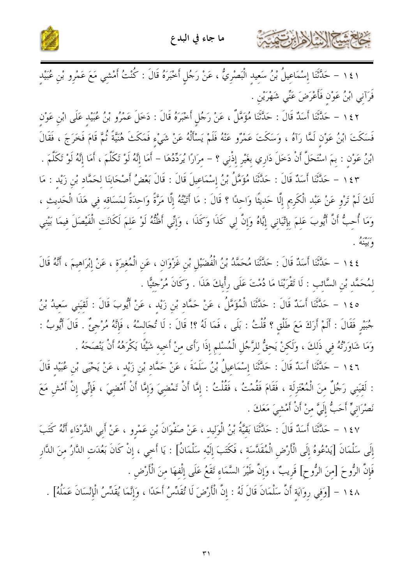حطاهم شيخ الأخرابرت



١٤١ – حَدَّثَنَا إِسْمَاعِيلُ بْنُ سَعِيدِ الْبَصْرِيُّ ، عَنْ رَجُلٍ أَخْبَرَهُ قَالَ : كُنْتُ أَمْشِي مَعَ عَمْرِو بْنِ عُبَيْدِ فَرَآني ابْنُ عَوْن فَأَعْرَضَ عَنِّي شَهْرَيْن .

١٤٢ – حَلَّتْنَا أَسَدٌ قَالَ : حَلَّتْنَا مُؤَمَّلٌ ، عَنْ رَجُلٍ أَخْبَرَهُ قَالَ : دَخَلَ عَمْرُو بْنُ عُبَيْد عَلَى ابْنِ عَوْنِ فَسَكَتَ ابْنُ عَوْنٍ لَمَّا رَآهُ ، وَسَكَتَ عَمْرُو عَنْهُ فَلَمْ يَسْأَلْهُ عَنْ شَيْء فَمَكَثَ هُنَيَّةً ثُمَّ قَامَ فَخَرَجَ ، فَقَالَ ابْنُ عَوْنٍ : بِمَ اسْتَحَلَّ أَنْ دَخَلَ دَارِي بِغَيْرِ إِذْنِي ؟ – مِرَارًا يُرَدِّدُهَا – أَمَا إنَّهُ لَوْ تَكَلَّمَ ، أَمَا إنَّهُ لَوْ تَكَلَّمَ .

١٤٣ - حَلَّتْنَا أَسَلُ قَالَ : حَلَّتْنَا مُؤَمَّلُ بْنُ إِسْمَاعِيلَ قَالَ : قَالَ بَعْضُ أَصْحَابنَا لحَمَّاد بْنِ زَيْد : مَا لَكَ لَمْ تَرْوِ عَنْ عَبْدِ الْكَرِيمِ إِلَّا حَديثًا وَاحِدًا ؟ قَالَ : مَا أَتَيْتُهُ إِلَّا مَرَّةً وَاحدَةً لمَسَاقه في هَذَا الْحَديث ، وَمَا أُحِبُّ أَنَّ أَيُّوبَ عَلِمَ بِإِتْيَانِي إِيَّاهُ وَإِنَّ لِي كَذَا وَكَذَا ، وَإِنِّي أَظُنُّهُ لَوْ عَلِمَ لَكَانَتِ الْفَيْصَلَ فِيمَا بَيْنِي وسيمته .

٤٤ ١ – حَلَّتْنَا أَسَلٌ قَالَ : حَلَّتْنَا مُحَمَّدُ بْنُ الْفُضَيْلِ بْنِ غَزْوَانِ ، عَنِ الْمُغِيرَةِ ، عَنْ إِبْرَاهِيمَ ، أَنَّهُ قَالَ لمُحَمَّد بْنِ السَّائبِ : لَا تَقْرَبْنَا مَا دُمْتَ عَلَى رِأْيكَ هَذَا . وَكَانَ مُرْجئيًّا .

٥ ٤ ١ – حَدَّثَنَا أَسَدٌ قَالَ : حَدَّثَنَا الْمُؤَمَّلُ ، عَنْ حَمَّاد بْن زَيْد ، عَنْ أَيُّوبَ قَالَ : لَقيَني سَعيدُ بْنُ جُبَيْرِ فَقَالَ : أَلَمْ أَرَكَ مَعَ طَلْقِ ؟ قُلْتُ : بَلَى ، فَمَا لَهُ ؟! قَالَ : لَا تُجَالسْهُ ، فَإِنَّهُ مُرْجئٌ . قَالَ أَيُّوبُ : وَمَا شَاوَرْتُهُ في ذَلكَ ، وَلَكنْ يَحقُّ للرَّجُل الْمُسْلم إذَا رَأَى منْ أَحيه شَيْئًا يَكْرَهُهُ أَنْ يَنْصَحَهُ .

١٤٦ - حَلَّتْنَا أَسَلٌ قَالَ : حَلَّتْنَا إِسْمَاعِيلُ بْنُ سَلَمَةَ ، عَنْ حَمَّادِ بْنِ زَيْدٍ ، عَنْ يَحْيَى بْنِ عُبَيْدِ قَالَ : لَقيَني رَجُلٌ منَ الْمُعْتَزِلَة ، فَقَامَ فَقُمْتُ ، فَقُلْتُ : إمَّا أَنْ تَمْضيَ وَإِمَّا أَنْ أَمْضيَ ، فَإنِّي إنْ أَمْش مَعَ نَصْرَانِيٍّ أَحَبٌّ إِلَيَّ منْ أَنْ أَمْشيَ مَعَكَ .

١٤٧ – حَلَّثَنَا أَسَلُهُ قَالَ : حَلَّتُنَا بَقِيَّةُ بْنُ الْوَلِيدِ ، عَنْ صَفْوَانَ بْنِ عَمْرِو ، عَنْ أَبِي الدَّرْدَاءِ أَنَّهُ كَتَبَ إِلَى سَلْمَانَ [يَدْعُوهُ إِلَى الْأَرْضِ الْمُقَدَّسَةِ ، فَكَتَبَ إِلَيْهِ سَلْمَانُ] : يَا أَخِي ، إِنْ كَانَ بَعُدَتِ الدَّارُ مِنَ الدَّارِ فَإِنَّ الرُّوحَ [مِنَ الرُّوحِ] قَرِيبٌ ، وَإِنَّ طَيْرَ السَّمَاءِ تَقَعُ عَلَى إِلْفِهَا مِنَ الْأَرْضِ .

١٤٨ - [وَفِي رِوَايَةِ أَنَّ سَلْمَانَ قَالَ لَهُ : إِنَّ الْأَرْضَ لَا تُقَدِّسُ أَحَدًا ، وَإِنَّمَا يُقَدِّسُ الْإِنْسَانَ عَمَلُهُ] .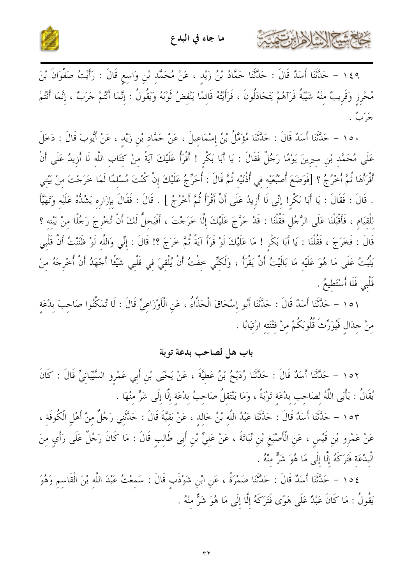



كخاخمشة الأزادارت

١٤٩ – حَلَّتْنَا أَسَلٌ قَالَ : حَلَّتْنَا حَمَّادُ بْنُ زَيْدٍ ، عَنْ مُحَمَّدٍ بْنِ وَاسِعٍ قَالَ : رَأَيْتُ صَفْوَانَ بْنَ مُحْرِزٍ وَقَرِيبٌ مِنْهُ شَيْبَةُ فَرَآهُمْ يَتَجَادَلُونَ ، فَرَأَيْتُهُ قَائِمًا يَنْفِضُ ثَوْبَهُ وَيَقُولُ : إِنَّمَا أَنْتُمْ جَرَبٌ ، إِنَّمَا أَنْتُمْ جَرَبٌ .

١٥٠ – حَلَّتْنَا أَسَدٌ قَالَ : حَلَّتْنَا مُؤَمَّلُ بْنُ إِسْمَاعِيلَ ، عَنْ حَمَّاد بْنِ زَيْد ، عَنْ أَيُّوبَ قَالَ : دَخَلَ عَلَى مُحَمَّد بْن سيرينَ يَوْمًا رَجُلٌ فَقَالَ : يَا أَبَا بَكْر ! أَقْرَأُ عَلَيْكَ آيَةً منْ كتَاب اللّه لَا أزيدُ عَلَى أَنْ أَقْرَأَهَا ثُمَّ أَخْرُجُ ؟ [فَوَضَعَ أُصْبُعَيْه في أُذُنَيْه ثُمَّ قَالَ : أُحَرِّجُ عَلَيْكَ إنْ كُنْتَ مُسْلمًا لَمَا خَرَجْتَ منْ بَيْتي . قَالَ : فَقَالَ : يَا أَبَا بَكْر! إنِّي لَا أَزِيدُ عَلَى أَنْ أَقْرَأَ نُمَّ أَخْرُجُ ] . قَالَ : فَقَالَ بإزَاره يَشُدُّهُ عَلَيْه وَتَهَيَّأَ للْقيَام ، فَأَقْبَلْنَا عَلَى الرَّجُل فَقُلْنَا : قَدْ حَرَّجَ عَلَيْكَ إِلَّا خَرَجْتَ ، أَفَيَحلُّ لَكَ أَنْ تُخْرجَ رَجُلًا منْ بَيْته ؟ قَالَ : فَخَرَجَ ، فَقُلْنَا : يَا أَبَا بَكْرِ ! مَا عَلَيْكَ لَوْ قَرَأَ آيَةً ثُمَّ خَرَجَ ؟! قَالَ : إِنِّي وَاللَّه لَوْ ظَنَنْتُ أَنَّ قَلْبِي يَثْبُتُ عَلَى مَا هُوَ عَلَيْه مَا بَالَيْتُ أَنْ يَقْرَأَ ، وَلَكنِّي خفْتُ أَنْ يُلْقِيَ فِي قَلْبِي شَيْئًا أَجْهَدُ أَنْ أُخْرِجَهُ مِنْ قَلْبِي فَلَا أَسْتَطِيعُ .

١٥١ – حَدَّثَنَا أَسَدٌ قَالَ : حَدَّثَنَا أَبُو إِسْحَاقَ الْحَذَّاءُ ، عَنِ الْأَوْزَاعِيِّ قَالَ : لَا تُمَكِّنُوا صَاحِبَ بِدْعَة منْ جلَال فَيُوَرِّثَ قُلُوبَكُمْ منْ فتْنَته ارْتِيَابًا .

#### باب هل لصاحب بدعة توبة

١٥٢ – حَلَّتْنَا أَسَلٌ قَالَ : حَلَّتْنَا رُدَيْحُ بْنُ عَطِيَّةَ ، عَنْ يَحْيَى بْنِ أَبِي عَمْرِو السَّيْبَانِيِّ قَالَ : كَانَ يُقَالُ : يَأْبَى اللَّهُ لصَاحب بدْعَة تَوْبَةً ، وَمَا يَنْتَقلُ صَاحبُ بدْعَةِ إِلَّا إِلَى شَرٍّ مِنْهَا .

١٥٣ - حَلَّتَنَا أَسَدٌ قَالَ : حَلَّتَنَا عَبْدُ اللَّه بْنُ خَالِد ، عَنْ بَقِيَّةَ قَالَ : حَلَّتَني رَجُلٌ مِنْ أَهْلِ الْكُوفَة ، عَنْ عَمْرِو بْنِ قَيْسٍ ، عَنِ الْأَصْبَغِ بْنِ نُبَاتَةَ ، عَنْ عَليٍّ بْنِ أَبِي طَالب قَالَ : مَا كَانَ رَجُلٌ عَلَى رَأْي منَ الْبِدْعَة فَتَرَكَهُ إِلَّا إِلَى مَا هُوَ شَرٌّ منْهُ .

١٥٤ – حَلَّتَنَا أَسَلٌ قَالَ : حَلَّتْنَا ضَمْرَةُ ، عَنِ ابْنِ شَوْذَب قَالَ : سَمعْتُ عَبْدَ اللَّه بْنَ الْقَاسم وَهُوَ يَقُولُ : مَا كَانَ عَبْدٌ عَلَى هَوًى فَتَرَكَهُ إِلَّا إِلَى مَا هُوَ شَرٌّ منْهُ .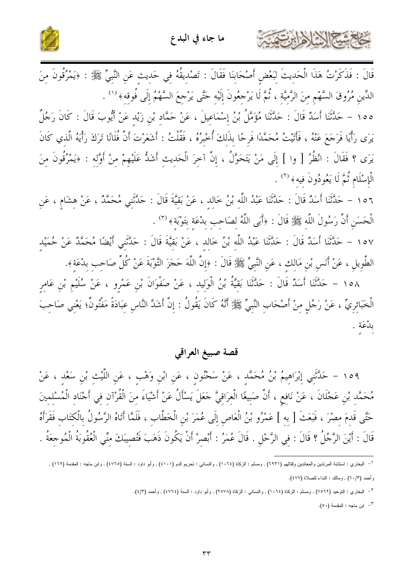



قَالَ : فَذَكَرْتُ هَذَا الْحَدِيثَ لِبَعْضِ أَصْحَابِنَا فَقَالَ : تَصْدِيقُهُ فِي حَدِيثِ عَنِ النَّبِيِّ ﷺ : ﴿يَمْرُقُونَ مِنَ الدِّينِ مُرُوقَ السَّهْمِ مِنَ الرَّمِيَّةِ ، ثُمَّ لَا يَرْجِعُونَ إِلَيْهِ حَتَّى يَرْجِعَ السَّهْمُ إِلَى فُوقِهِ﴾ <sup>(١)</sup> . ١٥٥ - حَدَّثَنَا أَسَدٌ قَالَ : حَدَّثَنَا مُؤَمَّلُ بْنُ إِسْمَاعِيلَ ، عَنْ حَمَّاد بْنِ زَيْدِ عَنْ أَيُّوبَ قَالَ : كَانَ رَجُلٌ يَرَى رَأْيًا فَرَجَعَ عَنْهُ ، فَأَتَيْتُ مُحَمَّدًا فَرِحًا بذَلكَ أُخْبِرُهُ ، فَقُلْتُ : أَشَعَرْتَ أَنَّ فُلَانًا تَرَكَ رَأْيَهُ الَّذي كَانَ يَرَى ؟ فَقَالَ : انْظُرُ [ وا ] إِلَى مَنْ يَتَحَوَّلُ ، إِنَّ آخِرَ الْحَدِيثِ أَشَدُّ عَلَيْهِمْ مِنْ أَوَّلِه : ﴿يَمْرُقُونَ مِنَ الْإِسْلَامِ ثُمَّ لَا يَعُودُونَ فيه﴾ <sup>(٢)</sup> .

١٥٦ – حَلَّتْنَا أَسَلُهُ قَالَ : حَلَّتْنَا عَبْدُ اللَّه بْنُ خَالِد ، عَنْ بَقِيَّةَ قَالَ : حَلَّتْنِي مُحَمَّدٌ ، عَنْ هشَام ، عَنِ الْحَسَنِ أَنَّ رَسُولَ اللَّه ﷺ قَالَ : ﴿أَبَى اللَّهُ لِصَاحبِ بِدْعَةٍ بِتَوْبَةٍ﴾ (٣) .

١٥٧ – حَدَّثَنَا أَسَدٌ قَالَ : حَدَّثَنَا عَبْدُ اللَّه بْنُ خَالد ، عَنْ بَقيَّةَ قَالَ : حَدَّثَني أَيْضًا مُحَمَّدٌ عَنْ حُمَيْد الطَّوِيلِ ، عَنْ أَنَسٍ بْنِ مَالِكٍ ، عَنِ النَّبِيِّ ﷺ قَالَ : ﴿إِنَّ اللَّهَ حَجَزَ التَّوْبَةَ عَنْ كُلِّ صَاحِبٍ بِدْعَةٍ﴾.

١٥٨ – حَلَّتْنَا أَسَدٌ قَالَ : حَلَّتْنَا بَقيَّةُ بْنُ الْوَلِيدِ ، عَنْ صَفْوَانَ بْنِ عَمْرٍو ، عَنْ سُلَيْمِ بْنِ عَامِرٍ الْخَبَائريِّ ، عَنْ رَجُلٍ منْ أَصْحَابِ النَّبِيِّ ﷺ أَنَّهُ كَانَ يَقُولُ : إِنَّ أَشَدَّ النَّاسِ عبَادَةً مَفْتُونٌ؛ يَعْني صَاحبَ بلْعَة .

#### قصة صبيغ العراقي

١٥٩ – حَلَّتْني إبْرَاهيمُ بْنُ مُحَمَّد ، عَنْ سَحْنُون ، عَن ابْن وَهْب ، عَن اللَّيْت بْن سَعْد ، عَنْ مُحَمَّد بْن عَجْلَانَ ، عَنْ نَافع ، أَنَّ صَبِيغًا الْعرَاقيَّ حَعَلَ يَسْأَلُ عَنْ أَشْيَاءَ منَ الْقُرْآن في أَجْنَاد الْمُسْلمينَ حَتَّى قَدمَ مصْرَ ، فَبَعَتْ [ به ] عَمْرُو بْنُ الْعَاصِ إلَى عُمَرَ بْنِ الْخَطَّابِ ، فَلَمَّا أَتَاهُ الرَّسُولُ بالْكتَاب فَقَرَأَهُ قَالَ : أَيْنَ الرَّجُلُ ؟ قَالَ : في الرَّحْل . قَالَ عُمَرُ : أَبْصرْ أَنْ يَكُونَ ذَهَبَ فَتُصيبَكَ منّي الْعُقُوبَةُ الْمُوجعَةُ .

٣- ابن ماجه : المقدمة (٥٠).

<sup>&</sup>lt;sup>1</sup> – البخاري : استتابة المرتدين والمعاندين وقتالهم (٦٩٣١) , ومسلم : الزكاة (١٠٦٤) , والنسائي : تحريم الدم (٤١٠١) , وأبو داود : السنة (٤٧٦٥) , وابن ماجه : المقدمة (١٦٩) , وأحمد (٦٠/٣) , ومالك : النداء للصلاة (٤٧٧).

<sup>&</sup>lt;sup>٢</sup>= البخاري : التوحيد (٧٥٦٢) , ومسلم : الزكاة (١٠٦٤) , والنسائبي : الزكاة (٢٥٧٨) , وأبو داود : السنة (٢٧٦٤) , وأحمد (٢/٤).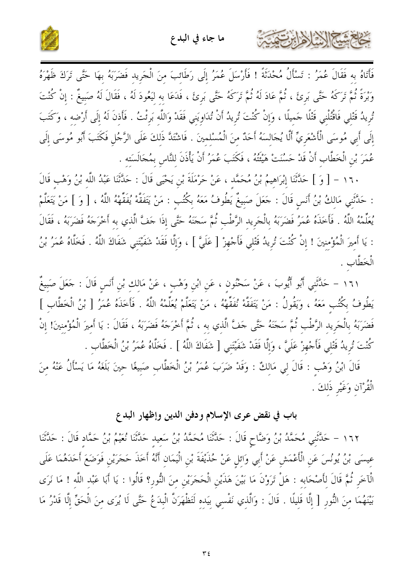



وَبْرَةً نُمَّ تَرَكَهُ حَتَّى بَرئَ ، ثُمَّ عَادَ لَهُ ثُمَّ تَرَكَهُ حَتَّى بَرئَ ، فَلَاعَا به ليَعُودَ لَهُ ، فَقَالَ لَهُ صَبيغٌ : إنْ كُنْتَ تُريدُ قَتْلي فَاقْتُلْني قَتْلًا حَميلًا ، وَإِنْ كُنْتَ تُرِيدُ أَنْ تُدَاوِيَنِي فَقَدْ وَاللَّهِ بَرِئْتُ . فَأَذِنَ لَهُ إِلَى أَرْضِهِ ، وَكَتَبَ إِلَى أَبِي مُوسَى الْأَشْعَرِيِّ أَلَّا يُجَالسَهُ أَحَدٌ منَ الْمُسْلمينَ . فَاشْتَدَّ ذَلكَ عَلَى الرَّجُل فَكَتَبَ أَبُو مُوسَى إِلَى عُمَرَ بْنِ الْخَطَّابِ أَنْ قَدْ حَسُنَتْ هَيْئَتُهُ ، فَكَتَبَ عُمَرُ أَنْ يَأْذَنَ لِلنَّاسِ بِمُحَالَسَتِهِ .

١٦٠ - [ وَ ] حَلَّتْنَا إِبْرَاهِيمُ بْنُ مُحَمَّدٍ ، عَنْ حَرْمَلَةَ بْنِ يَحْيَى قَالَ : حَلَّتْنَا عَبْدُ اللَّه بْنُ وَهْب قَالَ : حَدَّثَنِي مَالِكُ بْنُ أَنسٍ قَالَ : حَعَلَ صَبِيعٌ يَطُوفُ مَعَهُ بِكُتُبٍ : مَنْ يَتَفَقَّهْ يُفَقِّههُ اللَّهُ ، [ وَ ] مَنْ يَتَعَلَّمْ يُعَلِّمْهُ اللَّهُ . فَأَخَذَهُ عُمَرُ فَضَرَبَهُ بِالْجَرِيدِ الرَّطْبِ ثُمَّ سَجَنَهُ حَتَّى إِذَا جَفَّ الَّذي به أَخْرَجَهُ فَضَرَبَهُ ، فَقَالَ : يَا أَمِيرَ الْمُؤْمِنِينَ ! إِنْ كُنْتَ تُرِيدُ قَتْلِي فَأَجْهِزْ [ عَلَيَّ ] ، وَإِلَّا فَقَدْ شَفَيْتَنِي شَفَاكَ اللَّهُ . فَخَلَّاهُ عُمَرُ بْنُ الْخَطَّابِ .

١٦١ – حَلَّتْنِي أَبُو أَيُّوبَ ، عَنْ سَحْنُونِ ، عَنِ ابْنِ وَهْبٍ ، عَنْ مَالِكِ بْنِ أَنَسٍ قَالَ : حَعَلَ صَبِيغٌ يَطُوفُ بكُتُب مَعَهُ ، وَيَقُولُ : مَنْ يَتَفَقَّهْ نُفَقِّهْ ، مَنْ يَتَعَلَّمْ يُعَلِّمْهُ اللَّهُ . فَأَخَذَهُ عُمَرُ [ بْنُ الْخَطَّاب ] فَضَرَبَهُ بِالْجَرِيدِ الرَّطْبِ ثُمَّ سَجَنَهُ حَتَّى حَفَّ الَّذِي بِهِ ، ثُمَّ أَخْرَجَهُ فَضَرَبَهُ ، فَقَالَ : يَا أَميرَ الْمُؤْمِنِينَ! إِنْ كُنْتَ تُرِيدُ قَتْلي فَأَجْهزْ عَلَيَّ ، وَإِلَّا فَقَدْ شَفَيْتَني [ شَفَاكَ اللَّهُ ] . فَخَلَّاهُ عُمَرُ بْنُ الْخَطَّاب .

قَالَ ابْنُ وَهْب : قَالَ لي مَالكٌ : وَقَدْ ضَرَبَ عُمَرُ بْنُ الْخَطَّابِ صَبِيغًا حينَ بَلَغَهُ مَا يَسْأَلُ عَنْهُ منَ الْقُرْآن وَغَيْرِ ذَلكَ .

# باب في نقض عرى الإسلام ودفن الدين وإظهار البدع

١٦٢ – حَلَّتْنِي مُحَمَّدُ بْنُ وَضَّاحٍ قَالَ : حَلَّتْنَا مُحَمَّدُ بْنُ سَعِيد حَلَّتْنَا نُعَيْمُ بْنُ حَمَّاد قَالَ : حَلَّتْنَا عِيسَى بْنُ يُونُسَ عَنِ الْأَعْمَشِ عَنْ أَبِي وَائِلِ عَنْ حُذَيْفَةَ بْنِ الْيَمَانِ أَنَّهُ أَخَذَ حَجَرَيْنِ فَوَضَعَ أَحَدَهُمَا عَلَى الْآخَرِ ثُمَّ قَالَ لِأَصْحَابِهِ : هَلْ تَرَوْنَ مَا بَيْنَ هَذَيْنِ الْحَجَرَيْنِ مِنَ النُّورِ؟ قَالُوا : يَا أَبَا عَبْد اللَّه ! مَا نَرَى بَيْنَهُمَا مِنَ النُّورِ [ إِلَّا قَلِيلًا . قَالَ : وَالَّذِي نَفْسِي بِيَدِهِ لَتَظْهَرَنَّ الْبِدَعُ حَتَّى لَا يُرَى مِنَ الْحَقِّ إِلَّا قَدْرُ مَا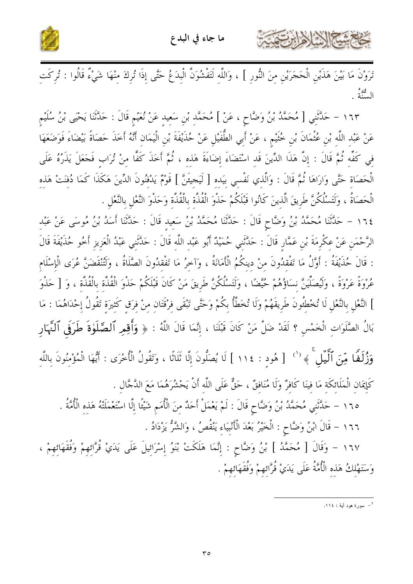

كالحشار المخاذات

تَرَوْنَ مَا بَيْنَ هَذَيْنِ الْحَجَرَيْنِ مِنَ النُّورِ ] ، وَاللَّهِ لَتَفْشُوَنَّ الْبِدَعُ حَتَّى إِذَا تُرِكَ مِنْهَا شَيْءٌ قَالُوا : تُرِكَتِ الس<sup>يھة م</sup>حمد<br>السنة

١٦٣ – حَلَّتُنِي [ مُحَمَّدُ بْنُ وَضَّاحٍ ، عَنْ ] مُحَمَّدِ بْنِ سَعِيدِ عَنْ نُعَيْمِ قَالَ : حَدَّثَنَا يَحْيَى بْنُ سُلَيْمِ عَنْ عَبْد اللَّه بْن عُثْمَانَ بْن خُتَيْم ، عَنْ أَبِي الطُّفَيْلِ عَنْ حُذَيْفَةَ بْنِ الْيَمَانِ أَنَّهُ أَخَذَ حَصَاةً بَيْضَاءَ فَوَضَعَهَا فِي كَفِّهِ ثُمَّ قَالَ : إِنَّ هَذَا الدِّينَ قَد اسْتَضَاءَ إِضَاءَةَ هَذه ، ثُمَّ أَخَذَ كَفًّا منْ تُرَاب فَجَعَلَ يَذَرُهُ عَلَى الْحَصَاةِ حَتَّى وَارَاهَا ثُمَّ قَالَ : وَالَّذِي نَفْسِي بيَده [ لَيَجيئَنَّ ] قَوْمٌ يَدْفنُونَ الدِّينَ هَكَذَا كَمَا دُفنَتْ هَذه الْحَصَاةُ ، وَلَتَسْلُكُنَّ طَرِيقَ الَّذينَ كَانُوا قَبْلَكُمْ حَذْوَ الْقُذَّة بِالْقُذَّة وَحَذْوَ النَّعْل بالنَّعْل .

١٦٤ – حَلَّتْنَا مُحَمَّدُ بْنُ وَضَّاحٍ قَالَ : حَلَّتْنَا مُحَمَّدُ بْنُ سَعيد قَالَ : حَلَّتْنَا أَسَدُ بْنُ مُوسَى عَنْ عَبْد الرَّحْمَنِ عَنْ عِكْرِمَةَ بْنِ عَمَّارٍ قَالَ : حَدَّثَنِي حُمَيْدٌ أَبُو عَبْدِ اللَّهِ قَالَ : حَدَّثَنِي عَبْدُ الْعَزِيزِ أَخُو حُذَيْفَةَ قَالَ : قَالَ حُذَيْفَةُ : أَوَّلُ مَا تَفْقدُونَ منْ دينكُمُ الْأَمَانَةُ ، وَآخرُ مَا تَفْقدُونَ الصَّلَاةُ ، وَلَتُنْقَضَنَّ عُرَى الْإسْلَام عُرْوَةً عَرْوَةً ، وَلَيُصَلِّينَّ نِسَاؤُهُمْ حُيَّضًا ، وَلَتَسْلُكُنَّ طَرِيقَ مَنْ كَانَ قَبْلَكُمْ حَذْوَ الْقُذَّة بِالْقُذَّة ، وَ [ حَذْوَ ] النَّعْلِ بِالنَّعْلِ لَا تُخْطِئُونَ طَرِيقَهُمْ وَلَا تُخَطَّأُ بِكُمْ وَحَتَّى تَبْقَى فِرْقَتَان مِنْ فرَق كَثيرَة تَقُولُ إِحْدَاهُمَا : مَا بَالُ الصَّلَوَاتِ الْخَمْسِ ؟ لَقَدْ ضَلَّ مَنْ كَانَ قَبْلَنَا ، إِنَّمَا قَالَ اللَّهُ : ﴿ وَأَقِمِر ٱلصَّلَوٰةَ طَرَفَى ٱلنَّهَارِ وَزُٰلَهًا مِّنَ ٱلَّيۡلِ ۚ ﴾ '' [ هُودِ : ١١٤ ] لَا يُصَلُّونَ إِلَّا ثَلَاثًا ، وَتَقُولُ الْأُخْرَى : أَيُّهَا الْمُؤْمِنُونَ بِاللَّهِ كَإِيمَانِ الْمَلَائِكَةِ مَا فينَا كَافِرٌ وَلَا مُنَافِقٌ ، حَقٌّ عَلَى اللَّه أَنْ يَحْشُرَهُمَا مَعَ الدَّجَّال . ١٦٥ – حَلَّتَنِي مُحَمَّدُ بْنُ وَضَّاحٍ قَالَ : لَمْ يَعْمَلْ أَحَدٌ مِنَ الْأُمَمِ شَيْئًا إِلَّا اسْتَعْمَلَتْهُ هَذِه الْأُمَّةُ . ١٦٦ - قَالَ ابْنُ وَضَّاحٍ : الْخَيْرُ بَعْدَ الْأَنْبِيَاءِ يَنْقُصُ ، وَالشَّرُّ يَزْدَادُ .

١٦٧ - وَقَالَ [ مُحَمَّدُ ] بْنُ وَضَّاحٍ : إِنَّمَا هَلَكَتْ بْنَوُ إِسْرَائِيلَ عَلَى يَدَيْ قُرَّائِهِمْ وَفُقَهَائِهِمْ ، وَسَتَهْلكُ هَذه الْأُمَّةُ عَلَى يَدَيْ قُرَّائهمْ وَفُقَهَائهمْ .

۱\_<br>سورة هود أية : ۱۱٤.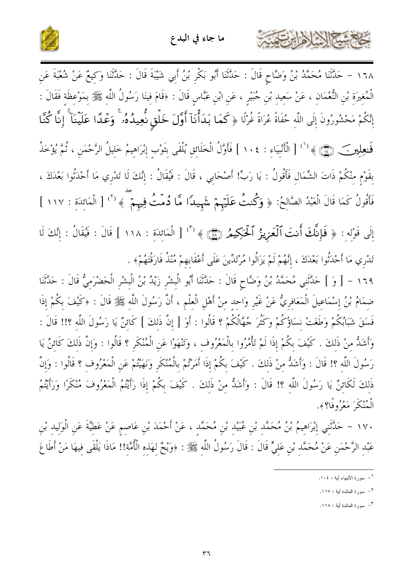

١٦٨ – حَدَّثَنَا مُحَمَّدُ بْنُ وَضَّاحٍ قَالَ : حَدَّثَنَا أَبُو بَكْرِ بْنُ أَبِي شَيْبَةَ قَالَ : حَدَّثَنَا وَكِيعٌ عَنْ شُعْبَةَ عَنِ الْمُغِيرَةِ بْنِ النُّعْمَانِ ، عَنْ سَعِيدِ بْنِ جُبَيْرٍ ، عَنِ ابْنِ عَبَّاسٍ قَالَ : ﴿قَامَ فِينَا رَسُولُ اللَّهِ ﷺ بِمَوْعِظَةٍ فَقَالَ : إِنَّكُمْ مَحْشُورُونَ إِلَى اللَّهِ حُفَاةً عُرَاةً غُرْلًا ﴿ كَمَا بَدَأْنَآ أَوَّلَ خَلْقٍ نُّعِيدُهُۥ ۚ وَعُدًا عَلَيْنَآ ۚ إِنَّا كُنَّا فَعِلِينَ ﴾ (``) [ الْأَنْبِيَاءِ : ١٠٤ ] فَأَوَّلُ الْخَلَائِقِ يُلْقَى بِتَوْبٍ إِبْرَاهِيمُ خَلِيلُ الرَّحْمَنِ ، ثُمَّ يُؤْخَذُ بِقَوْمٍ مِنْكُمْ ذَاتَ الشِّمَالِ فَأَقُولُ : يَا رَبٍّ! أَصْحَابِي ، قَالَ : فَيُقَالُ : إِنَّكَ لَا تَدْرِي مَا أَحْدَثُوا بَعْدَكَ ، فَأَقُولُ كَمَا قَالَ الْعَبْدُ الصَّالِحُ: ﴿ وَكُنتُ عَلَيْهِمْ شَهِيدًا مَّا دُمّتُ فِيهِمْ ۖ ﴾ ('' [ الْمَائِدَةِ : ١١٧ ]

إِلَى قَوْلِهِ : ﴿ فَإِنَّكَ أَنتَ ٱلْعَزِيزُ ٱلْحَكِيمُ (٢٦) ﴾ (" الْمَائِدَةِ : ١١٨ ] قَالَ : فَيُقَالُ : إِنَّكَ لَا تَدْرِي مَا أَحْدَثُوا بَعْدَكَ ، إِنَّهُمْ لَمْ يَزَالُوا مُرْتَدِّينَ عَلَى أَعْقَابِهِمْ مُنْذُ فَارَقْتَهُمْ﴾ .

١٦٩ – [ وَ ] حَدَّثَنِي مُحَمَّدُ بْنُ وَضَّاحٍ قَالَ : حَدَّثَنَا أَبُو الْبِشْرِ زَيْدُ بْنُ الْبِشْرِ الْحَضْرَمِيُّ قَالَ : حَدَّثَنَا ضِمَامُ بْنُ إِسْمَاعِيلَ الْمَعَافِرِيُّ عَنْ غَيْرِ وَاحِدِ مِنْ أَهْلِ الْعِلْمِ ، أَنَّ رَسُولَ اللّهِ ﷺ قَالَ : ﴿كَيْفَ بِكُمْ إِذَا فَسَقَ شَبَابُكُمْ وَطَغَتْ نسَاؤُكُمْ وَكَثُرَ جُهَّالُكُمْ ؟ قَالُوا : أَوَ [ إنَّ ذَلكَ ] كَائنٌ يَا رَسُولَ اللَّه ؟!! قَالَ : وَأَشَدُّ مِنْ ذَلِكَ . كَيْفَ بِكُمْ إِذَا لَمْ تَأْمُرُوا بِالْمَعْرُوفِ ، وَتَنْهَوْا عَنِ الْمُنْكَرِ ؟ قَالُوا : وَإِنَّ ذَلِكَ كَائِنٌ يَا رَسُولَ اللَّه ؟! قَالَ : وَأَشَدُّ منْ ذَلكَ . كَيْفَ بكُمْ إذَا أَمَرْتُمْ بِالْمُنْكَرِ وَنَهَيْتُمْ عَن الْمَعْرُوف ؟ قَالُوا : وَإِنَّ ذَلكَ لَكَائِنٌ يَا رَسُولَ اللَّهِ ؟! قَالَ : وَأَشَدُّ مِنْ ذَلِكَ . كَيْفَ بِكُمْ إِذَا رَأَيْتُمُ الْمَعْرُوفَ مُنْكَرًا وَرَأَيْتُمُ الْعُنْكَرَ مَعْرُوفًا؟﴾.

١٧٠ – حَلَّتْنِي إِبْرَاهِيمُ بْنُ مُحَمَّدِ بْنِ عُبَيْدِ بْنِ مُحَمَّدٍ ، عَنْ أَحْمَدَ بْنِ عَاصِمٍ عَنْ عَطِيَّةَ عَنِ الْوَلِيدِ بْنِ عَبْدِ الرَّحْمَنِ عَنْ مُحَمَّدِ بْنِ عَلِيٍّ قَالَ : قَالَ رَسُولُ اللَّهِ ﷺ : ﴿وَيْحٌ لِهَذِهِ الْأُمَّةِ!! مَاذَا يَلْقَى فِيهَا مَنْ أَطَاعَ

كحشيهم الشاهلين

<sup>&</sup>lt;sup>1</sup>– سورة الأنبياء آية : ١٠٤.

<sup>&</sup>lt;sup>٢</sup>– سورة المائدة أية : ١١٧.

٣- سورة المائدة أبة : ١١٨.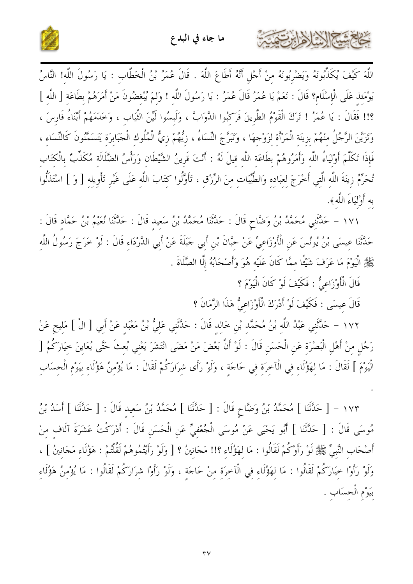

اللَّهَ كَيْفَ يُكَذِّبُونَهُ وَيَضْرُبُونَهُ منْ أَجْلٍ أَنَّهُ أَطَاعَ اللَّهَ . قَالَ عُمَرُ بْنُ الْخَطَّاب : يَا رَسُولَ اللَّه! النَّاسُ يَوْمَئذ عَلَى الْإِسْلَام؟ قَالَ : نَعَمْ يَا عُمَرُ قَالَ عُمَرُ : يَا رَسُولَ اللَّه ! وَلـمَ يُبْغضُونَ مَنْ أَمَرَهُمْ بطَاعَة [ اللَّه ] ؟!! فَقَالَ : يَا عُمَرُ ! تَرَكَ الْقَوْمُ الطَّرِيقَ فَرَكَبُوا الدَّوَابَّ ، وَلَبسُوا لَيِّنَ الثِّيَاب ، وَخَدَمَهُمْ أَبْنَاءُ فَارسَ ، وَتَزَيَّنَ الرَّجُلُ منْهُمْ بزينَة الْمَرْأَة لزَوْجهَا ، وَتَبَرَّجَ النِّسَاءُ ، زِيُّهُمْ زِيُّ الْمُلُوك الْجَبَابرَة يَتَسَمَّنُونَ كَالنِّسَاء ، فَإِذَا تَكَلَّمَ أَوْلِيَاءُ اللَّهِ وَأَمَرُوهُمْ بِطَاعَةِ اللَّهِ قِيلَ لَهُ : أَنْتَ قَرِينُ الشَّيْطَانِ وَرَأْسُ الضَّلَالَةِ مُكَذِّبٌ بِالْكتَابِ تُحَرِّمُ زِينَةَ اللَّهِ الَّتِي أَخْرَجَ لعبَاده وَالطَّيِّبَاتِ مِنَ الرِّزْقِ ، تَأَوَّلُوا كِتَابَ اللَّه عَلَى غَيْرِ تَأْوِيله [ وَ ] اسْتَذَلُّوا به أَوْلَيَاءَ اللَّهِ ﴾.

١٧١ – حَلَّتَني مُحَمَّدُ بْنُ وَضَّاحٍ قَالَ : حَلَّتْنَا مُحَمَّدُ بْنُ سَعيد قَالَ : حَلَّتْنَا نُعَيْمُ بْنُ حَمَّاد قَالَ : حَدَّثَنَا عِيسَى بْنُ يُونُسَ عَنِ الْأَوْزَاعِيِّ عَنْ حِبَّانَ بْنِ أَبِي جَبَلَةَ عَنْ أَبِي الدَّرْدَاءِ قَالَ : لَوْ خَرَجَ رَسُولُ اللَّهِ ﷺ الْيَوْمَ مَا عَرَفَ شَيْئًا ممَّا كَانَ عَلَيْه هُوَ وَأَصْحَابُهُ إِلَّا الصَّلَاةَ .

قَالَ الْأَوْزَاعِيُّ : فَكَيْفَ لَوْ كَانَ الْيَوْمَ ؟

كاحمشكم الدالان ابرتهمت

قَالَ عيسَى : فَكَيْفَ لَوْ أَدْرَكَ الْأَوْزَاعِيُّ هَذَا الزَّمَانَ ؟

١٧٢ – حَلَّتَنِي عَبْدُ اللَّهِ بْنُ مُحَمَّدِ بْنِ خَالِدِ قَالَ : حَدَّتَنِي عَلِيُّ بْنُ مَعْبَدِ عَنْ أَبِي [ الْ ] مَلِيح عَنْ رَجُلٍ مِنْ أَهْلِ الْبَصْرَةِ عَنِ الْحَسَنِ قَالَ : لَوْ أَنَّ بَعْضَ مَنْ مَضَى انْتَشَرَ يَعْنِي بُعثَ حَتَّى يُعَايِنَ خِيَارَكُمُ [ الْيَوْمَ ] لَقَالَ : مَا لِهَؤُلَاءِ فِي الْآخِرَةِ فِي حَاجَةٍ ، وَلَوْ رَأَى شِرَارَكُمْ لَقَالَ : مَا يُؤْمِنُ هَؤُلَاءِ بَيَوْمِ الْحِسَابِ

١٧٣ - [ حَلَّتْنَا ] مُحَمَّدُ بْنُ وَضَّاحٍ قَالَ : [ حَلَّتْنَا ] مُحَمَّدُ بْنُ سَعِيدِ قَالَ : [ حَلَّتْنَا ] أَسَدُ بْنُ مُوسَى قَالَ : [ حَدَّثَنَا ] أَبُو يَحْيَى عَنْ مُوسَى الْجُعْفِيِّ عَنِ الْحَسَنِ قَالَ : أَدْرَكْتُ عَشَرَةَ آلَافٍ مِنْ أَصْحَابِ النَّبِيِّ ﷺ لَوْ رَأَوْكُمْ لَقَالُوا : مَا لِهَؤُلَاءِ ؟!! مَجَانِينُ ؟ [ وَلَوْ رَأَيْتُمُوهُمْ لَقُلْتُمْ : هَؤُلَاءِ مَجَانِينُ ] ، وَلَوْ رَأُوْا خِيَارَكُمْ لَقَالُوا : مَا لِهَؤُلَاءِ فِي الْآخِرَةِ مِنْ حَاجَةٍ ، وَلَوْ رَأَوْا شِرَارَكُمْ لَقَالُوا : مَا يُؤْمِنُ هَؤُلَاءِ بَيَوْمِ الْحِسَابِ .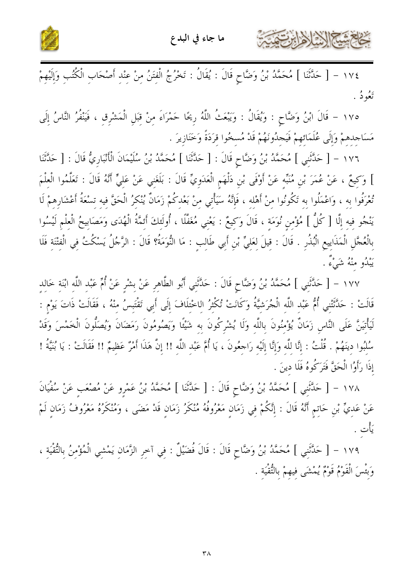



حَامِمَة النَّارُ الرَّبَّ

١٧٤ - [ حَدَّثَنا ] مُحَمَّدُ بْنُ وَضَّاحٍ قَالَ : يُقَالُ : تَخْرُجُ الْفِتَنُ مِنْ عِنْدِ أَصْحَابِ الْكُتُبِ وَإِلَيْهِمْ ئعُودُ .

١٧٥ - قَالَ ابْنُ وَضَّاحٍ : وَيُقَالُ : وَيَبْعَثُ اللَّهُ رِيحًا حَمْرَاءَ مِنْ قِبَلِ الْمَشْرِقِ ، فَيَنْفُرُ النَّاسُ إِلَى مَسَاجِدِهِمْ وَإِلَى عُلَمَائِهِمْ فَيَجِدُونَهُمْ قَدْ مُسخُوا قِرَدَةً وَخَنَازِيرَ .

١٧٦ - [ حَلَّثَنِي ] مُحَمَّدُ بْنُ وَضَّاحٍ قَالَ : [ حَلَّتَنَا ] مُحَمَّدُ بْنُ سُلَيْمَانَ الْأَنْبَارِيُّ قَالَ : [ حَلَّتَنَا ] وَكِيعٌ ، عَنْ عُمَرَ بْنِ مُنَبِّهِ عَنْ أَوْفَى بْنِ دَلْهَمِ الْعَدَوِيِّ قَالَ : بَلَغَنِي عَنْ عَلِيٍّ أَنَّهُ قَالَ : تَعَلَّمُوا الْعِلْمَ تُعْرَفُوا بِهِ ، وَاعْمَلُوا بِهِ تَكُونُوا مِنْ أَهْلِهِ ، فَإِنَّهُ سَيَأْتِي مِنْ بَعْدِكُمْ زَمَانٌ يُنْكرُ الْحَقَّ فيه تسْعَةُ أَعْشَارهمْ لَا يَنْجُو فِيهِ إِلَّا [ كُلُّ ] مُؤْمِنٍ نُوَمَةٍ ، قَالَ وَكِيعٌ : يَعْنِي مُغَفَّلًا ، أُولَئِكَ أَئمَّةُ الْهُدَى وَمَصَابِيحُ الْعِلْمِ لَيْسُوا بِالْعُجَّلِ الْمَذَايِيعِ الْبُذُرِ . قَالَ : قِيلَ لِعَلِيٍّ بْنِ أَبِي طَالِبٍ : مَا النُّوَمَةُ؟ قَالَ : الرَّجُلُ يَسْكُتُ فِي الْفِتْنَةِ فَلَا يَبْلُو منْهُ شَيْءٌ .

١٧٧ – [ حَلَّتَني ] مُحَمَّدُ بْنُ وَضَّاحٍ قَالَ : حَلَّتَني أَبُو الطَّاهر عَنْ بشْر عَنْ أُمٍّ عَبْد اللّه ابْنَة خالد قَالَتْ : حَدَّثَتْنِي أُمُّ عَبْد اللَّه الْجُرَشيَّةُ وَكَانَتْ تُكْثِرُ اللخْتلَافَ إِلَى أَبِي تَقْتَبِسُ منْهُ ، فَقَالَتْ ذَاتَ يَوْم : لَيَأْتَينَّ عَلَى النَّاس زَمَانٌ يُؤْمُنُونَ باللَّه وَلَا يُشْرِكُونَ به شَيْئًا وَيَصُومُونَ رَمَضَانَ وَيُصَلُّونَ الْخَمْسَ وَقَدْ سُلْبُوا دينَهُمْ . قُلْتُ : إنَّا للَّه وَإنَّا إلَيْه رَاحِعُونَ ، يَا أُمَّ عَبْد اللَّه !! إنَّ هَذَا أَمْرٌ عَظيمٌ !! فَقَالَتْ : يَا بُنَيَّةُ ! إِذَا رَأَوُا الْحَقَّ فَتَرَكُوهُ فَلَا دينَ .

١٧٨ - [ حَدَّثَنِي ] مُحَمَّدُ بْنُ وَضَّاحٍ قَالَ : [ حَدَّثَنَا ] مُحَمَّدُ بْنُ عَمْرِو عَنْ مُصْعَبٍ عَنْ سُفْيَانَ عَنْ عَديٍّ بْنِ حَاتِمٍ أَنَّهُ قَالَ : إِنَّكُمْ فِي زَمَانِ مَعْرُوفُهُ مُنْكَرُ زَمَانٍ قَدْ مَضَى ، وَمُنْكَرُهُ مَعْرُوفُ زَمَانٍ لَمْ يَأْت .

١٧٩ - [ حَدَّثَنِي ] مُحَمَّدُ بْنُ وَضَّاحٍ قَالَ : قَالَ فُضَيْلٌ : فِي آخِرِ الزَّمَانِ يَمْشِي الْمُؤْمِنُ بِالتُّقْيَةِ ، وَبَئْسَ الْقَوْمُ قَوْمٌ يُمْشَى فِيهِمْ بِالتُّقْيَة .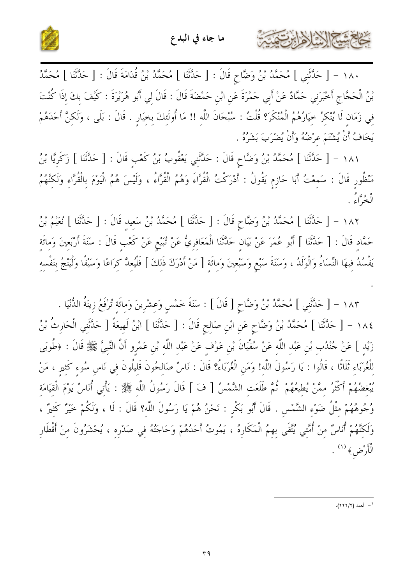

كالحمشا الشاهايرتون



١٨٠ - [ حَلَّتَنِي ] مُحَمَّدُ بْنُ وَضَّاحٍ قَالَ : [ حَلَّتْنَا ] مُحَمَّدُ بْنُ قُدَامَةَ قَالَ : [ حَلَّتْنَا ] مُحَمَّدُ بْنُ الْحَجَّاجِ أَخْبَرَنِي حَمَّادٌ عَنْ أَبِي حَمْرَةَ عَنِ ابْنِ حَمْضَةَ قَالَ : قَالَ لِي أَبُو هُرَيْرَةَ : كَيْفَ بكَ إذَا كُنْتَ في زَمَان لَا يُنْكرُ حيَارُهُمُ الْمُنْكَرَ؟ قُلْتُ : سُبْحَانَ اللَّهِ !! مَا أُولَئِكَ بِخِيَارٍ . قَالَ : بَلَى ، وَلَكِنَّ أَحَدَهُمْ يَخَافُ أَنْ يُشْتَمَ عرْضُهُ وَأَنْ يُضْرَبَ بَشَرُهُ .

١٨١ - [ حَلَّثَنَا ] مُحَمَّدُ بْنُ وَضَّاحٍ قَالَ : حَلَّتْنِي يَعْقُوبُ بْنُ كَعْبِ قَالَ : [ حَلَّثَنَا ] زَكَرِيَّا بْنُ مَنْظُورٍ قَالَ : سَمعْتُ أَبَا حَازِمٍ يَقُولُ : أَدْرَكْتُ الْقُرَّاءَ وَهُمُ الْقُرَّاءُ ، وَلَيْسَ هُمُ الْيَوْمَ بالْقُرَّاءِ وَلَكَنَّهُمُ الْغُبُرَّاءُ .

١٨٢ - [ حَلَّتُنَا ] مُحَمَّدُ بْنُ وَضَّاحٍ قَالَ : [ حَلَّتُنَا ] مُحَمَّدُ بْنُ سَعِيدٍ قَالَ : [ حَلَّتُنا ] نُعَيمُ بْنُ حَمَّادٍ قَالَ : [ حَدَّثَنَا ] أَبُو عُمَرَ عَنْ بَيَانِ حَدَّثَنَا الْمَعَافِرِيُّ عَنْ تُبَيْعِ عَنْ كَعْبِ قَالَ : سَنَةَ أَرْبَعِينَ وَمِائَةِ يَفْسُدُ فِيهَا النِّسَاءُ وَالْوَلَدُ ، وَسَنَةَ سَبْعٍ وَسَبْعِينَ وَمِائَةٍ [ مَنْ أَدْرَكَ ذَلِكَ ] فَلْيُعِدَّ كِرَاعًا وَسَيْفًا وَلْيَنْجُ بِنَفْسِهِ

١٨٣ - [ حَدَّثَنِي ] مُحَمَّدُ بْنُ وَضَّاحٍ [ قَالَ ] : سَنَةَ حَمْسٍ وَعِشْرِينَ وَمائَة تُرْفَعُ زِينَةُ الدُّنْيَا . ١٨٤ – [ حَلَّتْنَا ] مُحَمَّدُ بْنُ وَضَّاحٍ عَنِ ابْنِ صَالِحٍ قَالَ : [ حَلَّتْنَا ] ابْنُ لَهِيعَةً [ حَلَّتَنبى الْحَارِثُ بْنُ زَيْدِ ] عَنْ جُنْدُبِ بْنِ عَبْدِ اللَّهِ عَنْ سُفْيَانَ بْنِ عَوْفٍ عَنْ عَبْدِ اللَّهِ بْنِ عَمْرِو أَنَّ النَّبِيَّ ﷺ قَالَ : ﴿طُوبَى لِلْغُرَبَاءِ ثَلَاثًا ، قَالُوا : يَا رَسُولَ اللَّهِ! وَمَنِ الْغُرَبَاءُ؟ قَالَ : نَاسٌ صَالِحُونَ قَلِيلُونَ فِي نَاسٍ سُوءِ كَثيرٍ ، مَنْ يُبْغِضُهُمْ أَكْثَرُ مِمَّنْ يُطِيعُهُمْ ۚ ثُمَّ طَلَعَتِ الشَّمْسُ [ فَ ] قَالَ رَسُولُ اللَّهِ ﷺ : يَأْتِي أُنَاسٌ يَوْمَ الْقِيَامَةِ وُجُوهُهُمْ مِثْلُ ضَوْءِ الشَّمْسِ . قَالَ أَبُو بَكْرِ : نَحْنُ هُمْ يَا رَسُولَ اللَّه؟ قَالَ : لَا ، وَلَكُمْ خَيْرٌ كَثيرٌ ، وَلَكَّنَّهُمْ أُنَاسٌ مِنْ أُمَّتِي يُتَّقَى بِهِمُ الْمَكَارِهُ ، يَمُوتُ أَحَدُهُمْ وَحَاجَتُهُ فِي صَدْرِهِ ، يُحْشَرُونَ مِنْ أَقْطَارِ الْأَرْضِ﴾ (١) .

ا - أحمد (٢/٢٢٢).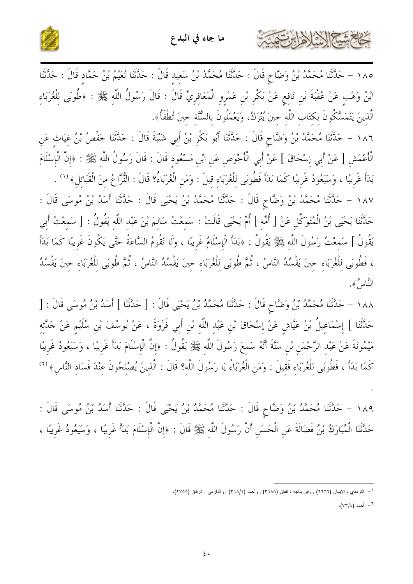



١٨٥ – حَلَّتْنَا مُحَمَّدُ بْنُ وَضَّاحٍ قَالَ : حَلَّتْنَا مُحَمَّدُ بْنُ سَعِيد قَالَ : حَلَّتْنَا نُعَيْمُ بْنُ حَمَّاد قَالَ : حَلَّتْنَا ابْنُ وَهْبٍ عَنْ عُقْبَةَ بْنِ نَافِعٍ عَنْ بَكْرٍ بْنِ عَمْرِوِ الْمَعَافِرِيِّ قَالَ : قَالَ رَسُولُ اللّهِ ﷺ : ﴿طُوبَى لِلْغُرَبَاءِ الَّذينَ يَتَمَسَّكُونَ بكتَابِ اللَّه حينَ يُتْرَكُ، وَيَعْمَلُونَ بِالسُّنَّة حينَ تُطْفَأُ﴾.

١٨٦ – حَدَّثَنَا مُحَمَّدُ بْنُ وَضَّاحٍ قَالَ : حَدَّثَنَا أَبُو بَكْرِ بْنُ أَبِي شَيْبَةَ قَالَ : حَدَّثَنَا حَفْصُ بْنُ غِيَاثٍ عَنِ الْأَعْمَشِ [ عَنْ أَبِي إِسْحَاقَ ] عَنْ أَبِي الْأَحْوَصِ عَنِ ابْنِ مَسْعُودٍ قَالَ : قَالَ رَسُولُ اللَّهِ ﷺ : ﴿إِنَّ الْإِسْلَامَ بَدَأَ غَرِيبًا ، وَسَيَعُودُ غَرِيبًا كَمَا بَدَأَ فَطُوبَى لِلْغُرَبَاءِ قِيلَ : وَمَنِ الْغُرَبَاءُ؟ قَالَ : النُّزَّاعُ منَ الْقَبَائل﴾ <sup>(١</sup>′ . ١٨٧ – حَلَّتْنَا مُحَمَّدُ بْنُ وَضَّاحٍ قَالَ : حَلَّتْنَا مُحَمَّدُ بْنُ يَحْيَى قَالَ : حَلَّتْنَا أَسَدُ بْنُ مُوسَى قَالَ : حَلَّتْنَا يَحْيَى بْنُ الْمُتَوَكِّل عَنْ [ أُمِّه ] أُمِّ يَحْيَى قَالَتْ : سَمعْتُ سَالمَ بْنَ عَبْد اللَّه يَقُولُ : [ سَمعْتُ أَبي يَقُولُ ] سَمعْتُ رَسُولَ اللَّهِ ﷺ يَقُولُ : ﴿بَدَأَ الْإِسْلَامُ غَرِيبًا ، وَلَا تَقُومُ السَّاعَةُ حَتَّى يَكُونَ غَرِيبًا كَمَا بَدَأَ ، فَطُوبَى للْغُرَبَاءِ حينَ يَفْسُدُ النَّاسُ ، ثُمَّ طُوبَى لِلْغُرَبَاءِ حينَ يَفْسُدُ النَّاسُ ، ثُمَّ طُوبَى لِلْغُرَبَاءِ حِينَ يَفْسُدُ النَّاسُ ﴾.

١٨٨ – حَلَّتْنَا مُحَمَّدُ بْنُ وَضَّاحٍ قَالَ : حَلَّتْنَا مُحَمَّدُ بْنُ يَحْيَى قَالَ : [ حَلَّتْنَا ] أَسَدُ بْنُ مُوسَى قَالَ : [ حَلَّتْنَا ] إِسْمَاعِيلُ بْنُ عَيَّاشٍ عَنْ إِسْحَاقَ بْنِ عَبْدِ اللَّهِ بْنِ أَبِي فَرْوَةَ ، عَنْ يُوسُفَ بْن سُلَيْم عَنْ جَلَّتَه مَيْمُونَةَ عَنْ عَبْد الرَّحْمَن بْن سَنَّةَ أَنَّهُ سَمعَ رَسُولَ اللَّه ﷺ يَقُولُ : ﴿إِنَّ الْإِسْلَامَ بَدَأَ غَريبًا ، وَسَيَعُودُ غَريبًا كَمَا بَدَأَ ، فَطُوبَى للْغُرَبَاء فَقيلَ : وَمَن الْغُرَبَاءُ يَا رَسُولَ اللَّه؟ قَالَ : الَّذينَ يُصْلحُونَ عنْدَ فَسَاد النَّاسِ﴾ (٢)

١٨٩ – حَلَّتْنَا مُحَمَّدُ بْنُ وَضَّاحٍ قَالَ : حَلَّتْنَا مُحَمَّدُ بْنُ يَحْيَى قَالَ : حَلَّتْنَا أَسَدُ بْنُ مُوسَى قَالَ : حَدَّثَنَا الْمُبَارَكُ بْنُ فَضَالَةَ عَنِ الْحَسَنِ أَنَّ رَسُولَ اللَّهِ ﷺ قَالَ : ﴿إِنَّ الْإِسْلَامَ بَدَأَ غَرِيبًا ، وَسَيَعُودُ غَرِيبًا ،

<sup>&</sup>lt;sup>1</sup> – الترمذي : الإيمان (٢٦٢٩) , ولبن ماجه : الفتن (٣٩٨٨) , وأحمد (٣٩٨/١) , والدارمي : الرقاق (٢٧٥٥).

<sup>&</sup>lt;sup>٢</sup> - أحمد (٧٣/٤).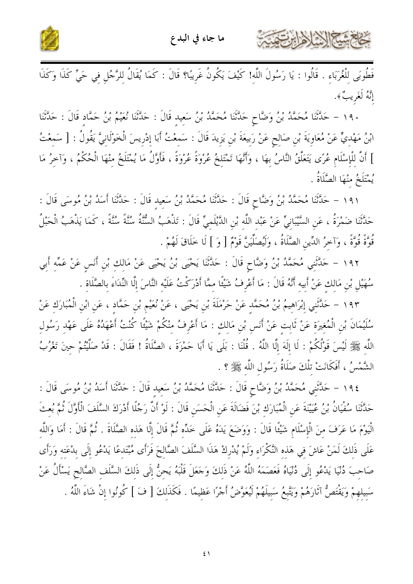

كالحشي الأخ لأحايرت

فَطُوبَى للْغُرَبَاء . قَالُوا : يَا رَسُولَ اللَّه! كَيْفَ يَكُونُ غَرِيبًا؟ قَالَ : كَمَا يُقَالُ لِلرَّجُلِ فِي حَيٍّ كَذَا وَكَذَا إِنَّهُ لَغَرِيبٌ ﴾.

١٩٠ – حَلَّتْنَا مُحَمَّدُ بْنُ وَضَّاحٍ حَلَّتْنَا مُحَمَّدُ بْنُ سَعيد قَالَ : حَلَّتْنَا نُعَيْمُ بْنُ حَمَّاد قَالَ : حَلَّتْنَا ابْنُ مَهْدِيٍّ عَنْ مُعَاوِيَةَ بْنِ صَالِحٍ عَنْ رَبِيعَةَ بْنِ يَزِيدَ قَالَ : سَمعْتُ أَبَا إِدْرِيسَ الْخَوْلَانِيَّ يَقُولُ : [ سَمعْتُ ] أَنَّ لِلْإِسْلَامِ عُرًى يَتَعَلَّقُ النَّاسُ بِهَا ، وَأَنَّهَا تَمْتَلِخُ عُرُوَةً ، فَأَوَّلُ مَا يُمْتَلَخُ منْهَا الْحُكْمُ ، وَآخرُ مَا يُمْتَلَخُ منْهَا الصَّلَاةُ .

١٩١ – حَلَّتْنَا مُحَمَّدُ بْنُ وَضَّاحٍ قَالَ : حَلَّتْنَا مُحَمَّدُ بْنُ سَعيد قَالَ : حَلَّتْنَا أَسَدُ بْنُ مُوسَى قَالَ : حَدَّثَنَا ضَمْرَةُ ، عَنِ السَّيْبَانِيِّ عَنْ عَبْد اللَّه بْنِ الدَّيْلَميِّ قَالَ : تَذْهَبُ السُّنَّةُ سُنَّةً ، كَمَا يَذْهَبُ الْحَبْلُ قُوَّةً قُوَّةً ، وَآخرُ الدِّينِ الصَّلَاةُ ، وَلَيُصَلِّيَنَّ قَوْمٌ [ وَ ] لَا خَلَاقَ لَهُمْ .

١٩٢ – حَلَّتَنِي مُحَمَّدُ بْنُ وَضَّاحٍ قَالَ : حَلَّتْنَا يَحْيَى بْنُ يَحْيَى عَنْ مَالِكِ بْنِ أَنَسٍ عَنْ عَمِّه أَبِي سُهَيْلٍ بْنِ مَالكِ عَنْ أَبِيه أَنَّهُ قَالَ : مَا أَعْرِفُ شَيْئًا ممَّا أَدْرَكْتُ عَلَيْه النَّاسَ إلَّا النِّدَاءَ بالصَّلَاة .

١٩٣ – حَلَّتَني إبْرَاهيمُ بْنُ مُحَمَّد عَنْ حَرْمَلَةَ بْن يَحْيَى ، عَنْ نُعَيْم بْن حَمَّاد ، عَن ابْن الْمُبَارَك عَنْ سُلَيْمَانَ بْنِ الْمُغيرَة عَنْ ثَابت عَنْ أَنَس بْنِ مَالك : مَا أَعْرِفُ منْكُمْ شَيْئًا كُنْتُ أَعْهَدُهُ عَلَى عَهْد رَسُول اللَّه ﷺ لَيْسَ قَوْلُكُمْ : لَا إِلَهَ إِلَّا اللَّهُ . قُلْنَا : بَلَى يَا أَبَا حَمْزَةَ ، الصَّلَاةُ ! فَقَالَ : قَدْ صَلَّيْتُمْ حينَ تَغْرُبُ الشَّمْسُ ، أَفَكَانَتْ تلْكَ صَلَاةُ رَسُولِ اللَّهِ ﷺ ؟ .

١٩٤ – حَلَّتَني مُحَمَّدُ بْنُ وَضَّاحٍ قَالَ : حَلَّتَنَا مُحَمَّدُ بْنُ سَعيد قَالَ : حَلَّتْنَا أَسَدُ بْنُ مُوسَى قَالَ : حَدَّثَنَا سُفْيَانُ بْنُ عُيَيْنَةَ عَنِ الْمُبَارَكِ بْنَ فَضَالَةَ عَنِ الْحَسَنِ قَالَ : لَوْ أَنَّ رَجُلًا أَدْرَكَ السَّلَفَ الْأَوَّلَ ثُمَّ بُعِثَ الْيَوْمَ مَا عَرَفَ مِنَ الْإِسْلَامِ شَيْئًا قَالَ : وَوَضَعَ يَدَهُ عَلَى خَدِّهِ ثُمَّ قَالَ إِلَّا هَذِهِ الصَّلَاةَ . ثُمَّ قَالَ : أَمَا وَاللَّه عَلَى ذَلكَ لَمَنْ عَاشَ فِي هَذِه النَّكْرَاءِ وَلَمْ يُدْرِكْ هَذَا السَّلَفَ الصَّالحَ فَرَأَى مُبْتَدعًا يَدْعُو إِلَى بدْعَته وَرَأَى صَاحبَ دُنْيَا يَدْعُو إِلَى دُنْيَاهُ فَعَصَمَهُ اللَّهُ عَنْ ذَلكَ وَجَعَلَ قَلْبَهُ يَحنُّ إِلَى ذَلكَ السَّلَف الصَّالح يَسْأَلُ عَنْ سَبيلهمْ وَيَقْتَصُّ آثَارَهُمْ وَيَتَّبعُ سَبيلَهُمْ لَيُعَوَّضُ أَجْرًا عَظِيمًا . فَكَذَلكَ [ فَ ] كُونُوا إنْ شَاءَ اللَّهُ .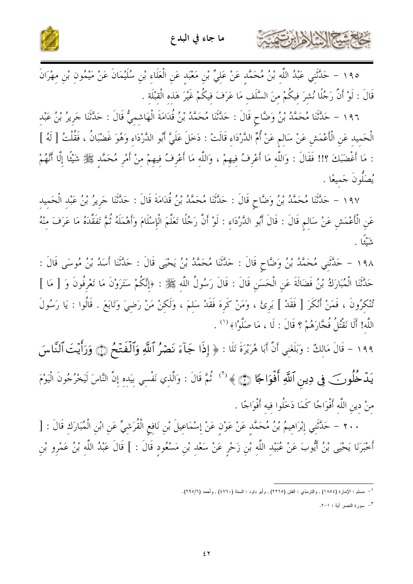

١٩٥ – حَلَّتَنِي عَبْدُ اللَّهِ بْنُ مُحَمَّدٍ عَنْ عَلِيٍّ بْنِ مَعْبَدٍ عَنِ الْعَلَاءِ بْنِ سُلَيْمَانَ عَنْ مَيْمُونِ بْنِ مِهْرَانَ قَالَ : لَوْ أَنَّ رَجُلًا نُشِرَ فِيكُمْ مِنَ السَّلَفِ مَا عَرَفَ فِيكُمْ غَيْرَ هَذِهِ الْقِبْلَةِ .

١٩٦ - حَلَّتْنَا مُحَمَّدُ بْنُ وَضَّاحٍ قَالَ : حَلَّتْنَا مُحَمَّدُ بْنُ قُدَامَةَ الْهَاشِمِيُّ قَالَ : حَلَّتْنا جَرِيرُ بْنُ عَبْد الْحَمِيدِ عَنِ الْأَعْمَشِ عَنْ سَالِمٍ عَنْ أُمِّ الدَّرْدَاءِ قَالَتْ : دَخَلَ عَلَيَّ أَبُو الدَّرْدَاءِ وَهُوَ غَضْبَانُ ، فَقُلْتُ [ لَهُ ] : مَا أَغْضَبَكَ ؟!! فَقَالَ : وَاللَّهِ مَا أَعْرِفُ فِيهِمْ ، وَاللَّهِ مَا أَعْرِفُ فِيهِمْ مِنْ أَمْرِ مُحَمَّدٍ ﷺ شَيْئًا إِلَّا أَنَّهُمْ يُصَلُّونَ جَميعًا .

١٩٧ – حَلَّتْنَا مُحَمَّدُ بْنُ وَضَّاحٍ قَالَ : حَلَّتْنَا مُحَمَّدُ بْنُ قُدَامَةَ قَالَ : حَلَّتْنَا جَرِيرُ بْنُ عَبْد الْحَميد عَنِ الْأَعْمَشِ عَنْ سَالِمٍ قَالَ : قَالَ أَبُو الدَّرْدَاءِ : لَوْ أَنَّ رَجُلًا تَعَلَّمَ الْإِسْلَامَ وَأَهْمَلَهُ ثُمَّ تَفَقَّدَهُ مَا عَرَفَ مِنْهُ ي<sup>ره</sup>ً .

١٩٨ – حَدَّثَنِي مُحَمَّدُ بْنُ وَضَّاحٍ قَالَ : حَدَّثَنَا مُحَمَّدُ بْنُ يَحْيَى قَالَ : حَدَّثَنَا أَسَدُ بْنُ مُوسَى قَالَ : حَدَّثَنَا الْمُبَارَكُ بْنُ فَضَالَةَ عَنِ الْحَسَنِ قَالَ : قَالَ رَسُولُ اللَّه ﷺ : ﴿إِنَّكُمْ سَتَرَوْنَ مَا تَعْرفُونَ وَ [ مَا ] تُنْكرُونَ ، فَمَنْ أَنْكَرَ [ فَقَدْ ] بَرئَ ، وَمَنْ كَرة فَقَدْ سَلَمَ ، وَلَكنْ مَنْ رَضيَ وَتَابَعَ . قَالُوا : يَا رَسُولَ اللَّه! أَلَا نَقْتُلُ فُجَّارَهُمْ ؟ قَالَ : لَا ، مَا صَلَّوْا﴾ ('' .

١٩٩ - قَالَ مَالِكٌ : وَبَلَغَنِي أَنَّ أَبَا هُرَيْرَةَ تَلَا : ﴿ إِذَا جَآءَ نَصۡرُ ٱللَّهِ وَٱلۡفَتۡخُ ۞ وَرَأَيۡتَ ٱلنَّاسَ يَـدۡ خُلُوبَ فِي دِينِ ٱللَّهِ أَفۡوَاجَا ۞ ﴾ `` نُمَّ قَالَ : وَالَّذِي نَفْسِي بَيَدِهِ إِنَّ النَّاسَ لَيَخْرُجُونَ الْيَوْمَ منْ دين اللَّه أَفْوَاجًا كَمَا دَخَلُوا فيه أَفْوَاجًا .

٢٠٠ – حَلَّتَنِي إِبْرَاهِيمُ بْنُ مُحَمَّدٍ عَنْ عَوْنِ عَنْ إِسْمَاعِيلَ بْنِ نَافِعِ الْقُرَشِيِّ عَنِ ابْنِ الْمُبَارَكِ قَالَ : [ أَخْبَرَنَا يَحْيَى بْنُ أَيُّوبَ عَنْ عُبَيْدِ اللَّهِ بْنِ زَحْرٍ عَنْ سَعْدِ بْنِ مَسْعُودٍ قَالَ : ] قَالَ عَبْدُ اللَّهِ بْنُ عَمْرِو بْنِ

<sup>٢</sup>– سورة النصر أية : ١-٢.

كالحشيخ الأخاريتي

<sup>&</sup>lt;sup>1</sup>– مسلم : الإمارة (١٨٥٤) , والتزمذي : الفتن (٢٢٦٥) , وأبو داود : السنة (٤٧٦٠) , وأحمد (٢٩٥/٦).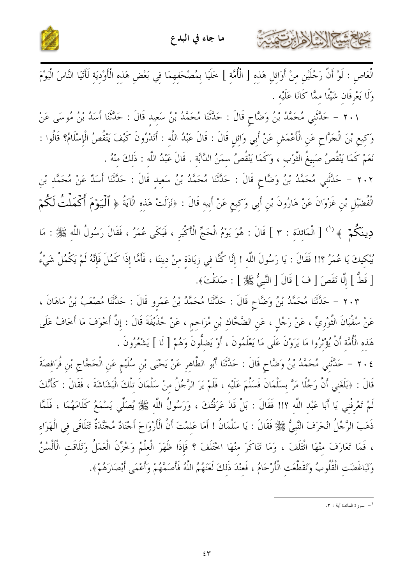

كحاحم شيح الإشاره ابرت

الْعَاصِ : لَوْ أَنَّ رَجُلَيْنِ مِنْ أَوَائِلِ هَذِهِ [ الْأُمَّةِ ] خَلَيَا بِمُصْحَفِهِمَا فِي بَعْضِ هَذِهِ الْأَوْدِيَةِ لَأَتَيَا النَّاسَ الْيَوْمَ وَلَا يَعْرِفَان شَيْئًا ممَّا كَانَا عَلَيْه .

٢٠١ – حَلَّتَنِي مُحَمَّدُ بْنُ وَضَّاحٍ قَالَ : حَلَّتْنَا مُحَمَّدُ بْنُ سَعِيد قَالَ : حَلَّتْنَا أَسَدُ بْنُ مُوسَى عَنْ وَكِيعِ بْنَ الْجَرَّاحِ عَنِ الْأَعْمَشِ عَنْ أَبِي وَائِلِ قَالَ : قَالَ عَبْدُ اللَّه : أَتَدْرُونَ كَيْفَ يَنْقُصُ الْإِسْلَامُ؟ قَالُوا : نَعَمْ كَمَا يَنْقُصُ صَبِيعُ الثَّوْب ، وَكَمَا يَنْقُصُ سِمَنُ الدَّابَّةِ . قَالَ عَبْدُ اللَّه : ذَلكَ منْهُ .

٢٠٢ – حَلَّتْنِي مُحَمَّدُ بْنُ وَضَّاحٍ قَالَ : حَلَّتْنَا مُحَمَّدُ بْنُ سَعِيدِ قَالَ : حَلَّتْنَا أَسَدٌ عَنْ مُحَمَّدِ بْنِ الْفُضَيْلِ بْنِ غَزْوَانَ عَنْ هَارُونَ بْنِ أَبِي وَكِيعٍ عَنْ أَبِيهِ قَالَ : ﴿نَزَلَتْ هَذِهِ الْآيَةُ ﴿ ٱلْمَيَوْمَ أَكْمَلْتُ لَكُمْ دِينَكُمْ ۚ ﴾ '' [ الْمَائِدَةِ : ٣ ] قَالَ : هُوَ يَوْمُ الْحَجِّ الْأَكْبَرِ ، فَبَكَى عُمَرُ ، فَقَالَ رَسُولُ اللّه ﷺ : مَا يُبْكِيكَ يَا عُمَرُ ؟!! فَقَالَ : يَا رَسُولَ اللَّهِ ! إِنَّا كُنَّا فِي زِيَادَةٍ مِنْ دِينِنَا ، فَأَمَّا إِذَا كَمُلَ فَإِنَّهُ لَمْ يَكْمُلْ شَيْءٌ [ قَطُّ ] إِلَّا نَقَصَ [ فَ ] قَالَ [ النَّبِيُّ ﷺ ] : صَدَقْتَ﴾.

٢٠٣ – حَلَّتْنَا مُحَمَّدُ بْنُ وَضَّاحٍ قَالَ : حَلَّتْنَا مُحَمَّدُ بْنُ عَمْروٍ قَالَ : حَلَّتْنَا مُصْعَبُ بْنُ مَاهَانَ ، عَنْ سُفْيَانَ الثَّوْرِيِّ ، عَنْ رَجُلٍ ، عَنِ الضَّحَّاك بْنِ مُزَاحِمٍ ، عَنْ حُذَيْفَةَ قَالَ : إنَّ أخْوَفَ مَا أَخَافُ عَلَى هَذه الْأُمَّة أَنْ يُؤْثَرُوا مَا يَرَوْنَ عَلَى مَا يَعْلَمُونَ ، أَوْ يَضلُّونَ وَهُمْ [ لَا ] يَشْعُرُونَ .

٢٠٤ – حَلَّتَني مُحَمَّدُ بْنُ وَضَّاحٍ قَالَ : حَلَّتْنَا أَبُو الطَّاهر عَنْ يَحْيَى بْن سُلَيْم عَن الْحَجَّاج بْن فُرَافصَةَ قَالَ : ﴿بَلَغَنِي أَنَّ رَجُلًا مَرَّ بِسَلْمَانَ فَسَلَّمَ عَلَيْه ، فَلَمْ يَرَ الرَّجُلُ منْ سَلْمَانَ تلْكَ الْبَشَاشَةَ ، فَقَالَ : كَأَنَّكَ لَمْ تَعْرِفْنِي يَا أَبَا عَبْدِ اللَّهِ ؟!! فَقَالَ : بَلْ قَدْ عَرَفْتُكَ ، وَرَسُولُ اللَّه ﷺ يُصَلِّي يَسْمَعُ كَلَامَهُمَا ، فَلَمَّا ذَهَبَ الرَّجُلُ انْحَرَفَ النَّبِيُّ ﷺ فَقَالَ : يَا سَلْمَانُ ! أَمَا عَلَمْتَ أَنَّ الْأَرْوَاحَ أَجْنَادٌ مُجَنَّدَةٌ تَتَلَاقَى في الْهَوَاء ، فَمَا تَعَارَفَ مِنْهَا اتَّتَلَفَ ، وَمَا تَنَاكَرَ مِنْهَا اخْتَلَفَ ؟ فَإِذَا ظَهَرَ الْعَلْمُ وَخُزِّنَ الْعَمَلُ وَتَلَاقَت الْأَلْسُنُ وَتَبَاغَضَتِ الْقُلُوبُ وَتَقَطَّعَتِ الْأَرْحَامُ ، فَعنْدَ ذَلكَ لَعَنَهُمُ اللَّهُ فَأَصَمَّهُمْ وَأَعْمَى أَبْصَارَهُمْ﴾.

ا \_ سورة المائدة أبة : ٣.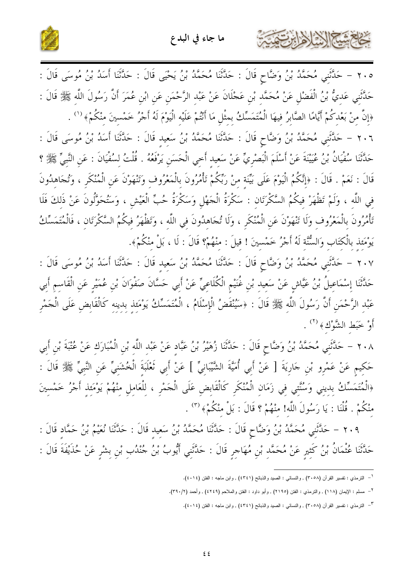



٢٠٥ – حَلَّثَنِي مُحَمَّدُ بْنُ وَضَّاحٍ قَالَ : حَلَّثَنَا مُحَمَّدُ بْنُ يَحْيَى قَالَ : حَلَّثَنَا أَسَدُ بْنُ مُوسَى قَالَ : حَدَّثَني عَديُّ بْنُ الْفَضْلِ عَنْ مُحَمَّد بْن عَجْلَانَ عَنْ عَبْد الرَّحْمَن عَن ابْن عُمَرَ أَنَّ رَسُولَ اللّه ﷺ قَالَ : ﴿إِنَّ مِنْ بَعْدِكُمْ أَيَّامًا الصَّابِرُ فِيهَا الْمُتَمَسِّكُ بِمِثْلِ مَا أَنْتُمْ عَلَيْهِ الْيَوْمَ لَهُ أَجْرُ خَمْسِينَ مِنْكُمْ﴾ (') .

٢٠٦ – حَلَّتْني مُحَمَّدُ بْنُ وَضَّاحٍ قَالَ : حَلَّتْنَا مُحَمَّدُ بْنُ سَعيد قَالَ : حَلَّتْنا أَسَدُ بْنُ مُوسَى قَالَ : حَدَّثَنَا سُفْيَانُ بْنُ عُيَيْنَةَ عَنْ أَسْلَمَ الْبَصْرِيِّ عَنْ سَعِيد أَخِي الْحَسَنِ يَرْفَعُهُ . قُلْتُ لسُفْيَانَ : عَنِ النَّبِيّ ﷺ ؟ قَالَ : نَعَمْ . قَالَ : ﴿إِنَّكُمُ الْيَوْمَ عَلَى بَيِّنَة مِنْ رَبِّكُمْ تَأْمُرُونَ بِالْمَعْرُوفِ وَتَنْهَوْنَ عَنِ الْمُنْكَرِ ، وَتُجَاهِدُونَ في اللَّه ، وَلَمْ تَظْهَرْ فيكُمُ السَّكْرَتَان : سَكْرَةُ الْجَهْلِ وَسَكْرَةُ حُبٍّ الْعَيْشِ ، وَسَتُحَوَّلُونَ عَنْ ذَلكَ فَلَا تَأْمُرُونَ بِالْمَعْرُوف وَلَا تَنْهَوْنَ عَنِ الْمُنْكَرِ ، وَلَا تُجَاهدُونَ في اللَّه ، وَتَظْهَرُ فيكُمُ السَّكْرَتَان ، فَالْمُتَمَسِّكُ يَوْمَئِذ بِالْكَتَابِ وَالسُّنَّة لَهُ أَجْرُ خَمْسِينَ ! قِيلَ : منْهُمْ؟ قَالَ : لَا ، بَلْ مِنْكُمْ﴾.

٢٠٧ – حَلَّتْنِي مُحَمَّدُ بْنُ وَضَّاحٍ قَالَ : حَلَّتْنَا مُحَمَّدُ بْنُ سَعِيدِ قَالَ : حَدَّثْنا أَسَدُ بْنُ مُوسَى قَالَ : حَدَّثَنَا إِسْمَاعِيلُ بْنُ عَيَّاشٍ عَنْ سَعِيدٍ بْنِ غُنَيْمِ الْكُلَاعِيِّ عَنْ أَبِي حَسَّانَ صَفْوَانَ بْنِ عُمَيْرِ عَنِ الْقَاسِمِ أَبِي عَبْدِ الرَّحْمَنِ أَنَّ رَسُولَ اللَّهِ ﷺ قَالَ : ﴿سَيُنْقَضُ الْإِسْلَامُ ، الْمُتَمَسِّكُ يَوْمَئذ بدينه كَالْقَابضِ عَلَى الْجَمْرِ أَوْ خَبَط الشَّوْكَ﴾ <sup>(٢)</sup> .

٢٠٨ – حَلَّتَني مُحَمَّدُ بْنُ وَضَّاحٍ قَالَ : حَدَّثَنَا زُهَيْرُ بْنُ عَبَّادٍ عَنْ عَبْدِ اللَّه بْن الْمُبَارَك عَنْ عُتْبَةَ بْنِ أَبِي حَكيم عَنْ عَمْرو بْن جَارِيَةَ [ عَنْ أَبِي أُمَيَّةَ الشَّيْبَانِيِّ ] عَنْ أَبِي تَعْلَبَةَ الْخُشَنيِّ عَن النَّبيِّ ﷺ قَالَ : ﴿الْمُتَمَسِّكُ بديني وَسُنَّتي في زَمَانِ الْمُنْكَرِ كَالْقَابِضِ عَلَى الْجَمْرِ ، لِلْعَامِلِ مِنْهُمْ يَوْمَئِذِ أَجْرُ خَمْسِينَ منْكُمْ . قُلْنَا : يَا رَسُولَ اللَّه! منْهُمْ ؟ قَالَ : بَلْ منْكُمْ﴾ (٣) .

٢٠٩ – حَلَّتَنِي مُحَمَّدُ بْنُ وَضَّاحٍ قَالَ : حَلَّتْنَا مُحَمَّدُ بْنُ سَعِيد قَالَ : حَلَّتْنَا نُعَيْمُ بْنُ حَمَّاد قَالَ : حَدَّثَنَا عُثْمَانُ بْنُ كَثِيرٍ عَنْ مُحَمَّدِ بْنِ مُهَاجِرٍ قَالَ : حَدَّثَنِي أَيُّوبُ بْنُ جُنْدُبِ بْنِ بشْرِ عَنْ حُذَيْفَةَ قَالَ :

<sup>&</sup>lt;sup>١</sup>– النترمذي : نفسير القرآن (٣٠٥٨) , والنسائي : الصيد والذبائح (٤٣٤١) , وابن ماجه : الفتن (٤٠١٤).

<sup>&</sup>lt;sup>٢</sup>– مسلم : الإيمان (١١٨) , والنرمذي : الفتن (٢١٩٥) , وأبو داود : الفتن والملاحم (٤٢٤٩) , وأحمد (٣٩٠/٢).

<sup>&</sup>lt;sup>٣</sup>– الترمذي : نفسير القرآن (٣٠٥٨) , والنسائي : الصيد والذبائح (٤٣٤١) , وابن ماجه : الفتن (٤٠١٤).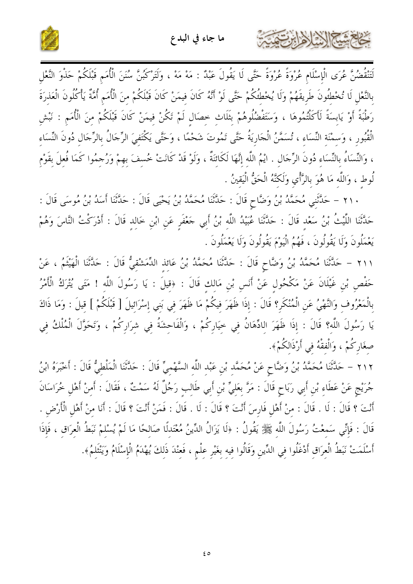



لَتَنْقُضُنَّ عُرَى الْإِسْلَامِ عُرْوَةً عُرْوَةً حَتَّى لَا يَقُولَ عَبْدٌ : مَهْ مَهْ ، وَلَتَرْكَبُنَّ سُنَنَ الْأُمَم قَبْلَكُمْ حَذْوَ النَّعْل بِالنَّعْلِ لَا تُخْطِئُونَ طَرِيقَهُمْ وَلَا يُخْطُئِكُمْ حَتَّى لَوْ أَنَّهُ كَانَ فيمَنْ كَانَ قَبْلَكُمْ منَ الْأُمَم أُمَّةٌ يَأْكُلُونَ الْعَذرَةَ رَطْبَةً أَوْ يَابِسَةً لَأَكَلْتُمُوهَا ، وَسَتَفْضُلُوهُمْ بِثَلَاث خصَال لَمْ تَكُنْ فيمَنْ كَانَ قَبْلَكُمْ منَ الْأُمَم : نَبْش الْقُبُور ، وَسمْنَة النِّسَاء ، تُسَمَّنُ الْجَارِيَةُ حَتَّى تَمُوتَ شَحْمًا ، وَحَتَّى يَكْتَفيَ الرِّجَالُ بالرِّجَال دُونَ النِّسَاء ، وَالنِّسَاءُ بِالنِّسَاءِ دُونَ الرِّجَال . ايْمُ اللَّه إنَّهَا لَكَائِنَةٌ ، وَلَوْ قَدْ كَانَتْ خُسفَ بهمْ وَرُجمُوا كَمَا فُعلَ بقَوْم لُوط ، وَاللَّه مَا هُوَ بالرَّأْيِ وَلَكنَّهُ الْحَقُّ الْيَقينُ .

٢١٠ – حَلَّتْنِي مُحَمَّدُ بْنُ وَضَّاحٍ قَالَ : حَلَّتْنَا مُحَمَّدُ بْنُ يَحْيَى قَالَ : حَلَّتْنَا أَسَدُ بْنُ مُوسَى قَالَ : حَدَّثَنَا اللَّيْتُ بْنُ سَعْد قَالَ : حَدَّثَنَا عُبَيْدُ اللَّه بْنُ أَبِي حَعْفَرِ عَنِ ابْنِ خَالِدِ قَالَ : أَدْرَكْتُ النَّاسَ وَهُمْ يَعْمَلُونَ وَلَا يَقُولُونَ ، فَهُمُ الْيَوْمَ يَقُولُونَ وَلَا يَعْمَلُونَ .

٢١١ – حَلَّثَنَا مُحَمَّدُ بْنُ وَضَّاحٍ قَالَ : حَلَّتْنَا مُحَمَّدُ بْنُ عَائِذِ الدِّمَشْقِيُّ قَالَ : حَلَّتْنَا الْهَيْثَمُ ، عَنْ حَفْصٍ بْنِ غَيْلَانَ عَنْ مَكْحُولٍ عَنْ أَنَسٍ بْنِ مَالكِ قَالَ : ﴿قِيلَ : يَا رَسُولَ اللَّهِ ! مَتَى يُتْرَكُ الْأَمْرُ بِالْمَعْرُوفِ وَالنَّهْيُ عَنِ الْمُنْكَرِ؟ قَالَ : إِذَا ظَهَرَ فِيكُمْ مَا ظَهَرَ فِي بَنِي إِسْرَائِيلَ [ قَبْلكُمْ ] قِيلَ : وَمَا ذَاكَ يَا رَسُولَ اللَّه؟ قَالَ : إِذَا ظَهَرَ اللاِّهَانُ فِي خِيَارِكُمْ ، وَالْفَاحِشَةُ فِي شِرَارِكُمْ ، وَتَحَوَّلَ الْمُلْكُ فِي صغَارِكُمْ ، وَالْفقْهُ في أَرْذَالكُمْ﴾.

٢١٢ – حَلَّثَنَا مُحَمَّدُ بْنُ وَضَّاحٍ عَنْ مُحَمَّدِ بْنِ عَبْدِ اللَّهِ السَّهْمِيِّ قَالَ : حَدَّثَنَا الْمَلْطِيُّ قَالَ : أَحْبَرَهُ ابْنُ جُرَيْجِ عَنْ عَطَاء بْن أَبي رَبَاحٍ قَالَ : مَرَّ بعَليٍّ بْن أَبي طَالب رَجُلٌ لَهُ سَمْتٌ ، فَقَالَ : أَمنْ أَهْل خُرَاسَانَ أَنْتَ ؟ قَالَ : لَا . قَالَ : منْ أَهْل فَارِسَ أَنْتَ ؟ قَالَ : لَا . قَالَ : فَمَنْ أَنْتَ ؟ قَالَ : أَنَا منْ أَهْل الْأَرْض . قَالَ : فَإِنِّي سَمعْتُ رَسُولَ اللَّه ﷺ يَقُولُ : ﴿لَا يَزَالُ الدِّينُ مُعْتَدلًا صَالِحًا مَا لَمْ يُسْلِمْ نَبَطُ الْعِرَاقِ ، فَإِذَا أَسْلَمَتْ نَبَطُ الْعِرَاقِ أَدْغَلُوا فِي الدِّينِ وَقَالُوا فِيه بغَيْرِ عِلْمٍ ، فَعِنْدَ ذَلِكَ يُهْدَمُ الْإِسْلَامُ وَيَنْثَلَمُ﴾.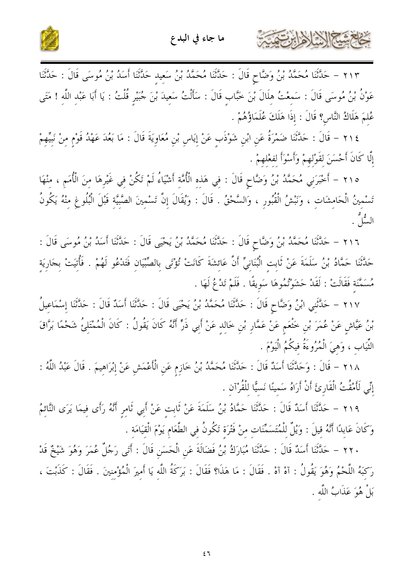

كالحشيخ الأخالة التيمة



٢١٣ – حَلَّتْنَا مُحَمَّدُ بْنُ وَضَّاحٍ قَالَ : حَلَّتْنَا مُحَمَّدُ بْنُ سَعِيد حَلَّتْنَا أَسَدُ بْنُ مُوسَى قَالَ : حَلَّتْنَا عَوْنُ بْنُ مُوسَى قَالَ : سَمِعْتُ هِلَالَ بْنَ خَبَّابٍ قَالَ : سَأَلْتُ سَعِيدَ بْنَ جُبَيْرٍ قُلْتُ : يَا أَبَا عَبْدِ اللَّهِ ! مَتَى عُلمَ هَلَاكُ النَّاسِ؟ قَالَ : إذَا هَلَكَ عُلَمَاؤُهُمْ .

٢١٤ – قَالَ : حَلَّتْنَا ضَمْرَةُ عَنِ ابْنِ شَوْذَبٍ عَنْ إِيَاسٍ بْنِ مُعَاوِيَةَ قَالَ : مَا بَعُدَ عَهْدُ قَوْمٍ مِنْ نَبِيِّهِمْ إِلَّا كَانَ أَحْسَنَ لقَوْلهمْ وَأَسْوَأَ لفعْلهمْ .

٢١٥ – أَخْبَرَنِي مُحَمَّدُ بْنُ وَضَّاحٍ قَالَ : فِي هَذِهِ الْأُمَّةِ أَشْيَاءُ لَمْ تَكُنْ فِي غَيْرِهَا مِنَ الْأُمَمِ ، مِنْهَا تَسْمِينُ الْحَامِشَاتِ ، وَنَبْشُ الْقُبُورِ ، وَالسَّحْقُ . قَالَ : وَيُقَالَ إِنَّ تَسْمِينَ الصَّبِيَّةِ قَبْلَ الْبُلُوعِ مِنْهُ يَكُونُ السُّاتُهِ .

٢١٦ – حَلَّتْنَا مُحَمَّدُ بْنُ وَضَّاحٍ قَالَ : حَلَّتْنَا مُحَمَّدُ بْنُ يَحْيَى قَالَ : حَلَّتْنَا أَسَدُ بْنُ مُوسَى قَالَ : حَلَّتُنَا حَمَّادُ بْنُ سَلَمَةَ عَنْ ثَابت الْبُنَانِيِّ أَنَّ عَائشَةَ كَانَتْ تُؤْتَى بالصِّيِّيَان فَتَدْعُو لَهُمْ . فَأُتَيتْ بجَارِيَة مُسَمَّنَة فَقَالَتْ : لَقَدْ حَشَوْتُمُوهَا سَوِيقًا . فَلَمْ تَدْعُ لَهَا .

٢١٧ – حَلَّتَنِي ابْنُ وَضَّاحٍ قَالَ : حَلَّتْنَا مُحَمَّدُ بْنُ يَحْيَى قَالَ : حَلَّتْنَا أَسَدٌ قَالَ : حَلَّتَنا إسْمَاعيلُ بْنُ عَيَّاشٍ عَنْ عُمَرَ بْنِ خَتْعَمٍ عَنْ عَمَّارِ بْنِ خَالِدٍ عَنْ أَبِي ذَرٍّ أَنَّهُ كَانَ يَقُولُ : كَانَ الْمُمْتَلِئُ شَحْمًا بَرَّاقَ الثِّيَاب ، وَهيَ الْمُرُوءَةُ فيكُمُ الْيَوْمَ .

٢١٨ – قَالَ : وَحَلَّثَنَا أَسَدٌ قَالَ : حَلَّتْنَا مُحَمَّدُ بْنُ خَازِمٍ عَنِ الْأَعْمَشِ عَنْ إِبْرَاهِيمَ . قَالَ عَبْدُ اللَّهُ : إِنِّي لَأَمْقُتُ الْقَارِئَ أَنْ أَرَاهُ سَمينًا نَسيًّا للْقُرْآن .

٢١٩ – حَلَّتْنَا أَسَلُهُ قَالَ : حَلَّتْنَا حَمَّادُ بْنُ سَلَمَةَ عَنْ ثَابِتٍ عَنْ أَبِي ثَامِرٍ أَنَّهُ رَأَى فِيمَا يَرَى النَّائِمُ وَكَانَ عَابِدًا أَنَّهُ قِيلَ : وَيْلٌ لِلْمُتَسَمِّنَات مِنْ فَتْرَة تَكُونُ في الطَّعَام يَوْمَ الْقيَامَة .

٢٢٠ – حَلَّتْنَا أَسَدٌ قَالَ : حَلَّتْنَا مُبَارَكُ بْنُ فَضَالَةَ عَنِ الْحَسَنِ قَالَ : أَتَى رَجُلٌ عُمَرَ وَهُوَ شَيْخٌ قَدْ رَكَبَهُ اللَّحْمُ وَهُوَ يَقُولُ : آهْ آهْ . فَقَالَ : مَا هَذَا؟ فَقَالَ : بَرَكَةُ اللَّه يَا أَميرَ الْمُؤْمنينَ . فَقَالَ : كَذَبْتَ ، بَلْ هُوَ عَذَابُ اللَّه .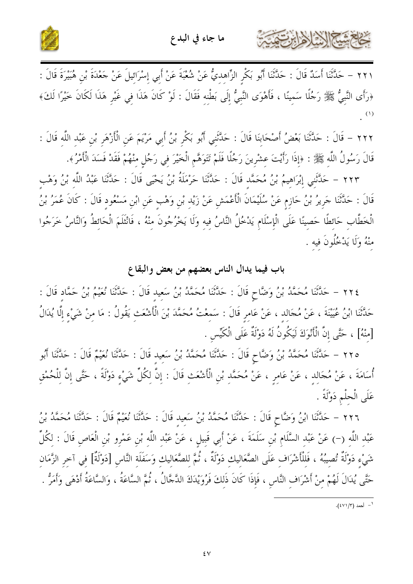



حشلي الأخ لأهرابين تنهي

٢٢١ – حَدَّثَنَا أَسَدٌ قَالَ : حَدَّثَنَا أَبُو بَكْرِ الزِّاهِدِيُّ عَنْ شُعْبَةَ عَنْ أَبِي إِسْرَائِيلَ عَنْ حَعْدَةَ بْنِ هُبَيْرَةَ قَالَ : ﴿رَأَى النَّبِيُّ ﷺ رَجُلًا سَمِينًا ، فَأَهْوَى النَّبِيُّ إِلَى بَطْنِهِ فَقَالَ : لَوْ كَانَ هَذَا فِي غَيْرِ هَذَا لَكَانَ خَيْرًا لَكَ﴾  $(1)$ 

٢٢٢ – قَالَ : حَدَّثَنَا بَعْضُ أَصْحَابِنَا قَالَ : حَدَّثَنِي أَبُو بَكْرِ بْنُ أَبِي مَرْيَمَ عَنِ الْأَزْهَرِ بْنِ عَبْدِ اللَّهِ قَالَ : قَالَ رَسُولُ اللَّهِ ﷺ : ﴿إِذَا رَأَيْتَ عِشْرِينَ رَجُلًا فَلَمْ تَتَوَهَّمِ الْخَيْرَ فِي رَجُلٍ منْهُمْ فَقَدْ فَسَدَ الْأَمْرُ﴾.

٢٢٣ – حَلَّتَني إِبْرَاهِيمُ بْنُ مُحَمَّدٍ قَالَ : حَلَّتْنَا حَرْمَلَةُ بْنُ يَحْيَى قَالَ : حَلَّتْنَا عَبْدُ اللَّه بْنُ وَهْب قَالَ : حَلَّتْنَا جَرِيرُ بْنُ حَازِمٍ عَنْ سُلَيْمَانَ الْأَعْمَشِ عَنْ زَيْدٍ بْنِ وَهْبٍ عَنِ ابْنِ مَسْعُودٍ قَالَ : كَانَ عُمَرُ بْنُ الْخَطَّابِ حَائِطًا حَصِينًا عَلَى الْإِسْلَامِ يَدْخُلُ النَّاسُ فِيهِ وَلَا يَخْرُجُونَ مِنْهُ ، فَانْثَلَمَ الْحَائِطُ وَالنَّاسُ خَرَجُوا منْهُ وَلَا يَدْخُلُونَ فيه .

## باب فيما يدال الناس بعضهم من بعض والبقاع

٢٢٤ – حَلَّتْنَا مُحَمَّدُ بْنُ وَضَّاحٍ قَالَ : حَلَّتْنَا مُحَمَّدُ بْنُ سَعيد قَالَ : حَلَّتْنَا نُعَيْمُ بْنُ حَمَّاد قَالَ : حَدَّثَنَا ابْنُ عُيَيْنَةَ ، عَنْ مُجَالِد ، عَنْ عَامِرٍ قَالَ : سَمعْتُ مُحَمَّدَ بْنَ الْأَشْعَثِ يَقُولُ : مَا مِنْ شَيْءِ إِلَّا يُدَالُ [مِنْهُ] ، حَتَّى إِنَّ الْأَنْوَكَ لَيَكُونُ لَهُ دَوْلَةٌ عَلَى الْكَيِّسِ .

٢٢٥ – حَلَّتْنَا مُحَمَّدُ بْنُ وَضَّاحٍ قَالَ : حَلَّتْنَا مُحَمَّدُ بْنُ سَعِيدِ قَالَ : حَلَّتْنَا نُعَيْمٌ قَالَ : حَلَّتْنَا أَبُو أُسَامَةَ ، عَنْ مُجَالِدٍ ، عَنْ عَامِرٍ ، عَنْ مُحَمَّدٍ بْنِ الْأَشْعَثِ قَالَ : إِنَّ لِكُلِّ شَيْءٍ دَوْلَةً ، حَتَّى إِنَّ لِلْحُمْقِ عَلَى الْحلْمِ دَوْلَةً .

٢٢٦ – حَلَّتْنَا ابْنُ وَضَّاحٍ قَالَ : حَلَّتْنَا مُحَمَّدُ بْنُ سَعيد قَالَ : حَلَّتْنَا نُعَيْمٌ قَالَ : حَلَّتْنَا مُحَمَّدُ بْنُ عَبْد اللَّه (–) عَنْ عَبْد السَّلَام بْنِ سَلَمَةَ ، عَنْ أَبِي قَبِيلِ ، عَنْ عَبْدِ اللَّهِ بْنِ عَمْرِو بْنِ الْعَاصِ قَالَ : لِكُلِّ شَيْءِ دَوْلَةٌ تُصِيبُهُ ، فَللْأَشْرَافِ عَلَى الصَّعَاليكِ دَوْلَةٌ ، ثُمَّ للصَّعَاليكِ وَسَفَلَة النَّاسِ [دَوْلَةٌ] فِي آخرِ الزَّمَانِ حَتَّى يُدَالَ لَهُمْ مِنْ أَشْرَافِ النَّاسِ ، فَإِذَا كَانَ ذَلكَ فَرُوَيْدَكَ الدَّجَّالُ ، ثُمَّ السَّاعَةُ ، وَالسَّاعَةُ أَدْهَى وَأَمَرُّ .

ا – أحمد (٤٧١/٣).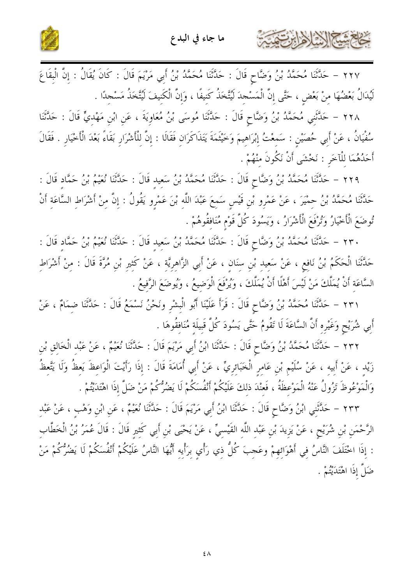



٢٢٧ – حَدَّثَنَا مُحَمَّدُ بْنُ وَضَّاحٍ قَالَ : حَدَّثَنَا مُحَمَّدُ بْنُ أَبِي مَرْيَمَ قَالَ : كَانَ يُقَالُ : إِنَّ الْبقَاعَ لَيُدَالُ بَعْضُهَا مِنْ بَعْضٍ ، حَتَّى إِنَّ الْمَسْجِدَ لَيُتَّخَذُ كَنِيفًا ، وَإِنَّ الْكَنِيفَ لَيُتَّخَذُ مَسْجِدًا .

٢٢٨ – حَلَّتْنِي مُحَمَّدُ بْنُ وَضَّاحٍ قَالَ : حَلَّتْنَا مُوسَى بْنُ مُعَاوِيَةَ ، عَنِ ابْنِ مَهْديٍّ قَالَ : حَلَّتْنَا سُفْيَانُ ، عَنْ أَبِي حُصَيْنِ : سَمعْتُ إبْرَاهيمَ وَخَيْثَمَةَ يَتَذَاكَرَان فَقَالَا : إنَّ للْأشْرَار بَقَاءً بَعْدَ الْأَخْيَارِ . فَقَالَ أَحَدُهُمَا للْآخَرِ : نَخْشَى أَنْ نَكُونَ منْهُمْ .

٢٢٩ – حَلَّتْنَا مُحَمَّدُ بْنُ وَضَّاحٍ قَالَ : حَلَّتْنَا مُحَمَّدُ بْنُ سَعيد قَالَ : حَلَّتْنَا نُعَيْمُ بْنُ حَمَّاد قَالَ : حَلَّتْنَا مُحَمَّدُ بْنُ حمْيَرَ ، عَنْ عَمْرِو بْنِ قَيْسٍ سَمِعَ عَبْدَ اللَّهِ بْنَ عَمْرٍو يَقُولُ : إِنَّ مِنْ أَشْرَاطِ السَّاعَةِ أَنْ تُوضَعَ الْأَخْيَارُ وَتُرْفَعَ الْأَشْرَارُ ، وَيَسُودَ كُلَّ قَوْمٍ مُنَافقُوهُمْ .

٢٣٠ – حَلَّتْنَا مُحَمَّدُ بْنُ وَضَّاحٍ قَالَ : حَلَّتْنَا مُحَمَّدُ بْنُ سَعيد قَالَ : حَلَّتْنَا نُعَيْمُ بْنُ حَمَّاد قَالَ : حَلَّتْنَا الْحَكَمُ بْنُ نَافع ، عَنْ سَعِيد بْنِ سنَانٍ ، عَنْ أَبِي الزَّاهِرِيَّةِ ، عَنْ كَثِيرٍ بْنِ مُرَّةَ قَالَ : مِنْ أَشْرَاطِ السَّاعَة أَنْ يُمَلَّكَ مَنْ لَيْسَ أَهْلًا أَنْ يُمَلَّكَ ، وَيُرْفَعَ الْوَضِيعُ ، وَيُوضَعَ الرَّفِيعُ .

٢٣١ – حَلَّتْنَا مُحَمَّدُ بْنُ وَضَّاحٍ قَالَ : قَرَأَ عَلَيْنَا أَبُو الْبشْرِ ونَحْنُ نَسْمَعُ قَالَ : حَلَّتْنا ضمَامٌ ، عَنْ أَبِي شُرَيْحٍ وَغَيْرِه أَنَّ السَّاعَةَ لَا تَقُومُ حَتَّى يَسُودَ كُلَّ قَبِيلَة مُنَافقُوهَا .

٢٣٢ – حَلَّتْنَا مُحَمَّدُ بْنُ وَضَّاحٍ قَالَ : حَلَّتْنَا ابْنُ أَبِي مَرْيَمَ قَالَ : حَلَّتْنَا نُعَيْمٌ ، عَنْ عَبْد الْخَالق بْن زَيْد ، عَنْ أَبيه ، عَنْ سُلَيْم بْن عَامر الْخَبَائريِّ ، عَنْ أَبي أُمَامَةَ قَالَ : إذَا رَأَيتَ الْوَاعظَ يَعظُ وَلَا يَتَّعظُ وَالْمَوْعُوظَ تَزُولُ عَنْهُ الْمَوْعظَةُ ، فَعنْدَ ذلكَ عَلَيْكُمْ أَنْفُسَكُمْ لَا يَضُرُّكُمْ مَنْ ضَلَّ إذَا اهْتَدَيْتُمْ .

٢٣٣ – حَلَّتَنِي ابْنُ وَضَّاحٍ قَالَ : حَلَّتْنَا ابْنُ أَبِي مَرْيَمَ قَالَ : حَلَّتْنَا نُعَيْمٌ ، عَنِ ابْنِ وَهْبٍ ، عَنْ عَبْدِ الرَّحْمَنِ بْنِ شُرَيْحٍ ، عَنْ يَزِيدَ بْنِ عَبْدِ اللَّهِ القَيْسِيِّ ، عَنْ يَحْيَى بْنِ أَبِي كَثِيرِ قَالَ : قَالَ عُمَرُ بْنُ الْخَطَّابِ : إِذَا اخْتَلَفَ النَّاسُ فِي أَهْوَائِهِمْ وعَجِبَ كُلُّ ذِي رَأْيِ بِرَأْيِهِ أَيُّهَا النَّاسُ عَلَيْكُمْ أَنْفُسَكُمْ لَا يَضُرُّكُمْ مَنْ ضَلَّ إذَا اهْتَدَيْتُمْ .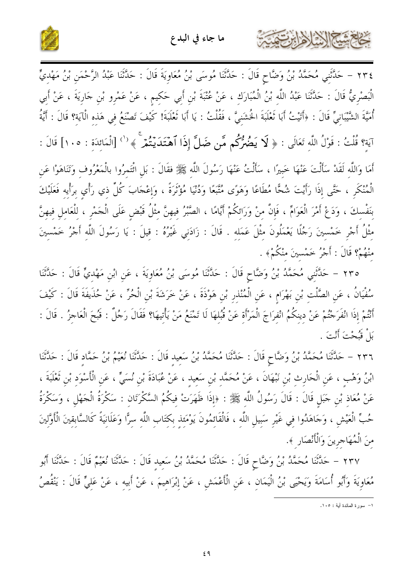



٢٣٤ – حَلَّثَنِي مُحَمَّدُ بْنُ وَضَّاحٍ قَالَ : حَلَّتْنَا مُوسَى بْنُ مُعَاوِيَةَ قَالَ : حَلَّتْنَا عَبْدُ الرَّحْمَنِ بْنُ مَهْدِيٍّ الْبَصْرِيُّ قَالَ : حَلَّتْنَا عَبْدُ اللَّهِ بْنُ الْمُبَارَكِ ، عَنْ عُتْبَةَ بْنِ أَبِي حَكِيمٍ ، عَنْ عَمْرِو بْنِ حَارِيَةَ ، عَنْ أَبِي أُمَيَّةَ الشَّيْبَانِيِّ قَالَ : ﴿أَتَيْتُ أَبَا تُعْلَبَةَ الْخُشَنِيَّ ، فَقُلْتُ : يَا أَبَا تُعْلَبَةَ! كَيْفَ تَصْنَعُ فِي هَذِهِ الْآيَةِ؟ قَالَ : أَيَّةُ آيَةٍ؟ قُلْتُ : قَوْلُ اللَّهِ تَعَالَى : ﴿ لَا يَضُمُّرُكُم مَّن ضَلَّ إِذَا ٱهْتَدَيْتُمْ ۚ ﴾ <sup>(')</sup> [الْمَائدَة : ١٠٥] قَالَ :

أَمَا وَاللَّهِ لَقَدْ سَأَلْتَ عَنْهَا خَبِيرًا ، سَأَلْتُ عَنْهَا رَسُولَ اللَّهِ ﷺ فقَالَ : بَلِ ائْتَمِرُوا بالْمَعْرُوف وَتَنَاهَوْا عَنِ الْمُنْكَرِ ، حَتَّى إذَا رَأَيْتَ شُحًّا مُطَاعًا وَهَوًى مُتَّبَعًا وَدُنْيَا مُؤْثَرَةً ، وَإِعْجَابَ كُلِّ ذِي رَأْيِ برَأْيهِ فَعَلَيْكَ بِنَفْسِكَ ، وَدَعْ أَمْرَ الْعَوَامِّ ، فَإِنَّ مِنْ وَرَائِكُمْ أَيَّامًا ، الصَّبْرُ فِيهِنَّ مِثْلُ قَبْضِ عَلَى الْجَمْرِ ، لِلْعَامِلِ فِيهِنَّ مِثْلُ أَجْرٍ خَمْسِينَ رَجُلًا يَعْمَلُونَ مِثْلَ عَمَلِهِ . قَالَ : زَادَنِي غَيْرُهُ : قِيلَ : يَا رَسُولَ اللَّه أَجْرُ خَمْسينَ منْهُمْ؟ قَالَ : أَجْرُ خَمْسينَ منْكُمْ﴾ .

٢٣٥ – حَلَّتْنِي مُحَمَّدُ بْنُ وَضَّاحٍ قَالَ : حَلَّتْنَا مُوسَى بْنُ مُعَاوِيَةَ ، عَنِ ابْنِ مَهْديٍّ قَالَ : حَلَّتْنَا سُفْيَانُ ، عَنِ الصَّلْتِ بْنِ بَهْرَامٍ ، عَنِ الْمُنْذِرِ بْنِ هَوْذَةَ ، عَنْ خَرَشَةَ بْنِ الْحُرِّ ، عَنْ حُذَيفَةَ قَالَ : كَيْفَ أَنْتُمْ إِذَا انْفَرَحْتُمْ عَنْ دِينكُمُ انْفِرَاجَ الْمَرْأَةِ عَنْ قُبُلهَا لَا تَمْنَعُ مَنْ يَأْتِيهَا؟ فَقَالَ رَجُلٌ : قَبُحَ الْعَاجِزُ . قَالَ : بَلْ قَبُحْتَ أَنْتَ .

٢٣٦ – حَلَّتْنَا مُحَمَّدُ بْنُ وَضَّاحٍ قَالَ : حَلَّتْنَا مُحَمَّدُ بْنُ سَعِيد قَالَ : حَلَّتْنَا نُعَيْمُ بْنُ حَمَّاد قَالَ : حَلَّتْنَا ابْنُ وَهْبٍ ، عَنِ الْحَارِثِ بْنِ نَبْهَانَ ، عَنْ مُحَمَّد بْنِ سَعِيدٍ ، عَنْ عُبَادَةَ بْنِ نُسَيٍّ ، عَنِ الْأَسْوَدِ بْنِ ثَعْلَبَةَ ، عَنْ مُعَاذِ بْنِ حَبَلٍ قَالَ : قَالَ رَسُولُ اللَّهِ ﷺ : ﴿إِذَا ظَهَرَتْ فِيكُمُ السَّكْرَتَانِ : سَكْرَةُ الْحَهْلِ ، وَسَكْرَةُ حُبٍّ الْعَيْشِ ، وَجَاهَدُوا فِي غَيْرِ سَبِيلِ اللَّهِ ، فَالْقَائِمُونَ يَوْمَءِذ بِكِتَابِ اللَّهِ سِرًّا وَعَلَانِيَةً كَالسَّابِقِينَ الْأَوَّلِينَ منَ الْمُهَاجرينَ وَالْأَنْصَارِ ﴾.

٢٣٧ – حَلَّتْنَا مُحَمَّدُ بْنُ وَضَّاحٍ قَالَ : حَلَّتْنَا مُحَمَّدُ بْنُ سَعِيدِ قَالَ : حَلَّتْنَا أَنفَهُمْ قَالَ : حَلَّتْنَا أَبُو مُعَاوِيَةَ وَأَبُو أُسَامَةَ وَيَحْيَى بْنُ الْيَمَانِ ، عَنِ الْأَعْمَشِ ، عَنْ إِبْرَاهِيمَ ، عَنْ أبيهِ ، عَنْ عَلِيٍّ قَالَ : يَنْقُصُ

۱– سورة المائدة أية : ۱۰۰.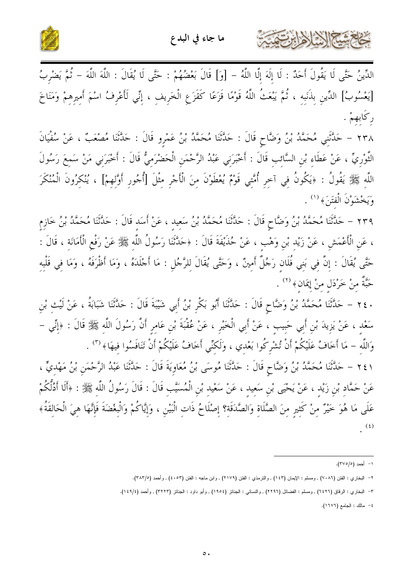



حَاجَمْسَةِ اللَّهِ إِهْرَابِرِتَّ

الدِّينُ حَتَّى لَا يَقُولَ أَحَدٌ : لَا إِلَهَ إِلَّا اللَّهُ – [وَ] قَالَ بَعْضُهُمْ : حَتَّى لَا يُقَالَ : اللَّهَ اللَّهَ – ثُمَّ يَضْرِبُ [يَعْسُوبُ] الدِّينِ بِذَنَبِهِ ، ثُمَّ يَبْعَثُ اللَّهُ قَوْمًا قَزَعًا كَقَزَعِ الْخَرِيفِ ، إِنِّي لَأَعْرِفُ اسْمَ أَمِيرِهِمْ وَمَنَاخَ ركابھىمْ .

٢٣٨ – حَدَّثَنِي مُحَمَّدُ بْنُ وَضَّاحٍ قَالَ : حَدَّثَنَا مُحَمَّدُ بْنُ عَمْرِو قَالَ : حَدَّثَنَا مُصْعَبٌ ، عَنْ سُفْيَانَ الثَّوْرِيِّ ، عَنْ عَطَاءِ بْنِ السَّائِبِ قَالَ : أَخْبَرَنِي عَبْدُ الرَّحْمَنِ الْحَضْرَمِيُّ قَالَ : أَخْبَرَنِي مَنْ سَمِعَ رَسُولَ اللَّهِ ﷺ يَقُولُ : ﴿يَكُونُ فِي آخِرِ أُمَّتِي قَوْمٌ يُعْطَوْنَ مِنَ الْأَحْرِ مِثْلَ [أُحُورِ أَوَّلِهِمْ] ، يُنْكِرُونَ الْمُنْكَرَ وَيَخْشَوْنَ الْفَتَنَ﴾ (١) .

٢٣٩ – حَلَّتْنَا مُحَمَّدُ بْنُ وَضَّاحٍ قَالَ : حَلَّتْنَا مُحَمَّدُ بْنُ سَعِيدِ ، عَنْ أَسَد قَالَ : حَلَّتْنَا مُحَمَّدُ بْنُ خَازِم ، عَنِ الْأَعْمَشِ ، عَنْ زَيْدِ بْنِ وَهْبِ ، عَنْ حُذَيْفَةَ قَالَ : ﴿حَدَّثَنَا رَسُولُ اللَّهِ ﷺ عَنْ رَفْع الْأَمَانَةِ ، قَالَ : حَتَّى يُقَالَ : إِنَّ فِي بَنِي فُلَانٍ رَجُلٌ أَمِينٌ ، وَحَتَّى يُقَالَ لِلرَّجُلِ : مَا أَجْلَدَهُ ، وَمَا أظْرَفَهُ ، وَمَا فِي قَلْبِهِ حَبَّةٌ مِنْ خَرْدَلٍ مِنْ إِيمَانٍ﴾ <sup>(٢)</sup> .

٢٤٠ – حَلَّتَنَا مُحَمَّدُ بْنُ وَضَّاحٍ قَالَ : حَلَّتَنَا أَبُو بَكْرٍ بْنُ أَبِي شَيْبَةَ قَالَ : حَلَّتَنَا شَبَابَةُ ، عَنْ لَيْث بْن سَعْدِ ، عَنْ يَزِيدَ بْنِ أَبِي حَبِيبٍ ، عَنْ أَبِي الْخَيْرِ ، عَنْ عُقْبَةَ بْنِ عَامِرٍ أَنَّ رَسُولَ اللّهِ ﷺ قَالَ : ﴿إِنِّي – وَاللَّهِ – مَا أَخَافُ عَلَيْكُمْ أَنْ تُشْرِكُوا بَعْدِي ، وَلَكِنِّي أَخَافُ عَلَيْكُمْ أَنْ تَنَافَسُوا فيهَا﴾ (٣) .

٢٤١ – حَلَّتْنَا مُحَمَّدُ بْنُ وَضَّاحٍ قَالَ : حَلَّتْنَا مُوسَى بْنُ مُعَاوِيَةَ قَالَ : حَلَّتْنَا عَبْدُ الرَّحْمَنِ بْنُ مَهْدِيٍّ ، عَنْ حَمَّادٍ بْنِ زَيْدٍ ، عَنْ يَحْيَى بْنِ سَعِيدٍ ، عَنْ سَعْيدِ بْنِ الْمُسَيَّبِ قَالَ : قَالَ رَسُولُ اللّه ﷺ : ﴿أَلَا أَدُلَّكُمْ عَلَى مَا هُوَ خَيْرٌ مِنْ كَثِيرٍ مِنَ الصَّلَاةِ وَالصَّدَقَةِ؟ إِصْلَاحُ ذَاتِ الْبَيْنِ ، وَإِيَّاكُمْ وَالْبِغْضَةَ فَإِنَّهَا هِيَ الْحَالِقَةُ﴾  $(\mathfrak{t})$ 

١- أحمد (٣٧٥/٥).

٢– البخاري : الفتن (٧٠٨٦) , ومسلم : الإيمان (١٤٣) , والنرمذي : الفتن (٢١٧٩) , وابن ماجه : الفتن (٤٠٥٣) , وأحمد (٣٨٣/٥).

٣- البخاري : الرقاق (٦٤٢٦) , ومسلم : الفضائل (٢٢٩٦) , والنسائي : الجنائز (١٩٥٤) , وأبو داود : الجنائز (٣٢٢٣) , وأحمد (١٤٩/٤).

٤- مالك : الجامع (١٦٧٦).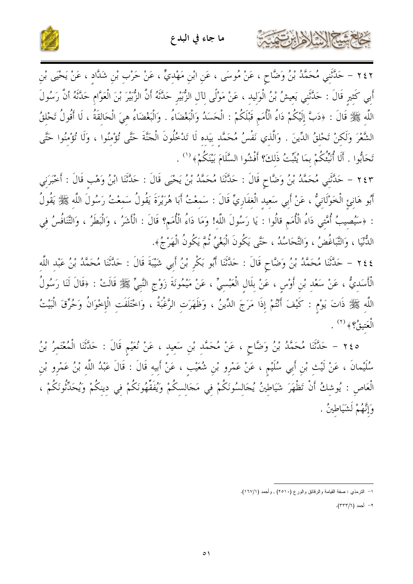



٢٤٢ – حَلَّتْنِي مُحَمَّدُ بْنُ وَضَّاحٍ ، عَنْ مُوسَى ، عَنِ ابْنِ مَهْدِيٍّ ، عَنْ حَرْبٍ بْنِ شَدَّادٍ ، عَنْ يَحْيَى بْنِ أَبِي كَثِيرٍ قَالَ : حَدَّثَنِي يَعِيشُ بْنُ الْوَلِيدِ ، عَنْ مَوْلًى لِآلِ الزُّبَيْرِ حَدَّثَهُ أَنَّ الزُّبَيرَ بْنَ الْعَوَّامِ حَدَّثَهُ أَنَّ رَسُولَ اللَّه ﷺ قَالَ : ﴿دَبَّ إِلَيْكُمْ دَاءُ الْأُمَمِ قَبْلَكُمْ : الْحَسَنُ وَالْبَغْضَاءُ . وَالْبَغْضَاءُ هيَ الْحَالقَةُ ، لَا أَقُولُ تَحْلقُ الشَّعْرَ وَلَكنْ تَحْلقُ الدِّينَ . وَالَّذي نَفْسُ مُحَمَّد بيَده لَا تَدْخُلُونَ الْجَنَّةَ حَتَّى تُؤْمُنُوا ، وَلَا تُؤْمُنُوا حَتَّى تَحَابُوا . أَلَا أُنَبِّئُكُمْ بِمَا يُثَبِّتُ ذَلكَ؟ أَفْشُوا السَّلَامَ بَيْنَكُمْ﴾ <sup>(١</sup>′ .

٢٤٣ – حَلَّتَنِي مُحَمَّدُ بْنُ وَضَّاحٍ قَالَ : حَلَّتَنَا مُحَمَّدُ بْنُ يَحْيَى قَالَ : حَلَّتَنَا ابْنُ وَهْب قَالَ : أَخْبَرَنِي أَبُو هَانِئِ الْخَوْلَانِيُّ ، عَنْ أَبِي سَعيدِ الْغفَارِيِّ قَالَ : سَمعْتُ أَبَا هُرَيْرَةَ يَقُولُ سَمعْتُ رَسُولَ اللَّه ﷺ يَقُولُ : ﴿سَيُصِيبُ أُمَّتِي دَاءُ الْأُمَم قالُوا : يَا رَسُولَ اللَّه! وَمَا دَاءُ الْأُمَمِ؟ قَالَ : الْأَشَرُ ، وَالْبَطَرُ ، وَالتَّنَافُسُ في الدُّنْيَا ، وَالتَّبَاغُضُ ، وَالتَّحَاسُدُ ، حَتَّى يَكُونَ الْبَغْيُ ثُمَّ يَكُونُ الْهَرْجُ﴾.

٢٤٤ – حَلَّتْنَا مُحَمَّدُ بْنُ وَضَّاحٍ قَالَ : حَلَّتْنَا أَبُو بَكْرٍ بْنُ أَبِي شَيْبَةَ قَالَ : حَلَّتْنَا مُحَمَّدُ بْنُ عَبْدِ اللَّهِ الْأَسَدِيُّ ، عَنْ سَعْدِ بْنِ أَوْسٍ ، عَنْ بِلَالِ الْعَبْسِيِّ ، عَنْ مَيْمُونَةَ زَوْجِ النَّبِيّ ﷺ قَالَتْ : ﴿قَالَ لَنَا رَسُولُ اللَّهِ ﷺ ذَاتَ يَوْمٍ : كَيْفَ أَنْتُمْ إِذَا مَرَجَ الدِّينُ ، وَظَهَرَتِ الرَّغْبَةُ ، وَاخْتَلَفَتِ الْإِخْوَانُ وَحُرِّقَ الْبَيْتُ  $\hat{\mathcal{L}}^{(7)}$  وَ $\hat{\mathcal{L}}^{(7)}$  وَ

٢٤٥ – حَلَّتْنَا مُحَمَّدُ بْنُ وَضَّاحٍ ، عَنْ مُحَمَّد بْنِ سَعيد ، عَنْ نُعَيْم قَالَ : حَلَّتْنَا الْمُعْتمرُ بْنُ سُلَيْمانَ ، عَنْ لَيْتِ بْنِ أَبِي سُلَيْمٍ ، عَنْ عَمْرِو بْنِ شُعَيْبِ ، عَنْ أَبِيه قَالَ : قَالَ عَبْدُ اللَّه بْنُ عَمْرو بْن الْعَاصِ : يُوشِكُ أَنْ تَظْهَرَ شَيَاطِينُ يُجَالِسُونَكُمْ فِي مَجَالِسِكُمْ وَيُفَقِّهُونَكُمْ فِي دينكُمْ وَيُحَدِّثُونَكُمْ ، وَإِنَّهُمْ لَشَيَاطِينُ .

٢– أحمد (٣٣٣/٦).

١- النترمذي : صفة القيامة والرقائق والورع (٢٥١٠) , وأحمد (١٦٧/١).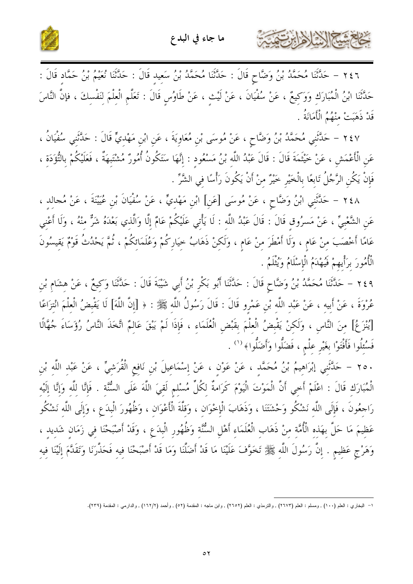



٢٤٦ – حَلَّتْنَا مُحَمَّدُ بْنُ وَضَّاحٍ قَالَ : حَلَّتْنَا مُحَمَّدُ بْنُ سَعِيدِ قَالَ : حَلَّتْنَا نُعَيْمُ بْنُ حَمَّادٍ قَالَ : حَدَّثَنَا ابْنُ الْمُبَارَكِ وَوَكِيعٌ ، عَنْ سُفْيَانَ ، عَنْ لَيْثِ ، عَنْ طَاوُسٍ قَالَ : تَعَلّمِ الْعِلْمَ لِنَفْسِكَ ، فإنَّ النَّاسَ قَدْ ذَهَبَتْ منْهُمُ الْأَمَانَةُ .

٢٤٧ – حَلَّتَنِي مُحَمَّدُ بْنُ وَضَّاحٍ ، عَنْ مُوسَى بْنِ مُعَاوِيَةَ ، عَنِ ابْنِ مَهْدِيٍّ قَالَ : حَدَّثني سُفْيَانُ ، عَنِ الْأَعْمَشِ ، عَنْ خَيْتَمَةَ قَالَ : قَالَ عَبْدُ اللَّه بْنُ مَسْعُود : إِنَّهَا سَتَكُونُ أُمُورٌ مُشْتَبِهَةٌ ، فَعَلَيْكُمْ بِالتُّؤَدَة ، فَإِنْ يَكُن الرَّجُلُ تَابعًا بِالْخَيْرِ خَيْرٌ منْ أَنْ يَكُونَ رَأْسًا في الشَّرِّ .

٢٤٨ – حَلَّتْنِي ابْنُ وَضَّاحٍ ، عَنْ مُوسَى [عَنِ] ابْنِ مَهْديٍّ ، عَنْ سُفْيَانَ بْنِ عُيَيْنَةَ ، عَنْ مُجالد ، عَنِ الشَّعْبِيِّ ، عَنْ مَسرُوقٍ قَالَ : قَالَ عَبْدُ اللَّهِ : لَا يَأْتِي عَلَيْكُمْ عَامٌ إِلَّا وَالَّذِي بَعْدَهُ شَرٌّ مِنْهُ ، وَلَا أَعْنِي عَامًا أَحْصَبَ مِنْ عَامٍ ، وَلَا أَمْطَرَ مِنْ عَامٍ ، وَلَكِنْ ذَهَابُ حِيَارِكُمْ وَعُلَمَائِكُمْ ، ثُمَّ يَحْدُثُ قَوْمٌ يَقيسُونَ الْأُمُورَ بِرَأْيِهِمْ فَيُهْدَمُ الْإِسْلَامُ وَيُثْلَمُ .

٢٤٩ – حَلَّتْنَا مُحَمَّدُ بْنُ وَضَّاحٍ قَالَ : حَلَّتْنَا أَبُو بَكْرٍ بْنُ أَبِي شَيْبَةَ قَالَ : حَلَّتْنَا وَكيعٌ ، عَنْ هشَام بْن عُرْوَةَ ، عَنْ أَبِيهِ ، عَنْ عَبْدِ اللَّهِ بْنِ عَمْرِو قَالَ : قَالَ رَسُولُ اللَّهِ ﷺ : ﴿ [إِنَّ اللَّهَ] لَا يَقْبضُ الْعَلْمَ انْتزَاعًا [يُنْزَعُ] منَ النَّاس ، وَلَكنْ يَقْبِضُ الْعِلْمَ بِقَبْضِ الْعُلَمَاءِ ، فَإِذَا لَمْ يَبْقَ عَالِمٌ اتَّخذَ النَّاسُ رُؤَسَاءَ جُهَّالًا فَسُئِلُوا فَأَفْتَوْا بِغَيْرِ عِلْمٍ ، فَضَلُّوا وَأَضَلُّوا﴾ <sup>(١)</sup> .

٢٥٠ – حَلَّثَنِي إبْرَاهِيمُ بْنُ مُحَمَّدٍ ، عَنْ عَوْنِ ، عَنْ إِسْمَاعِيلَ بْنِ نَافِعِ الْقُرَشِيِّ ، عَنْ عَبْدِ اللَّهِ بْنِ الْمُبَارَكِ قَالَ : اعْلَمْ أَحِي أَنَّ الْمَوْتَ الْيَوْمَ كَرَامةٌ لِكُلِّ مُسْلِمٍ لَقِيَ اللَّهَ عَلَى السُّنَّةِ . فَإِنَّا لِلَّهِ وَإِنَّا إِلَيْهِ رَاحِعُونَ ، فَإِلَى اللَّهِ نَشْكُو وَحْشَتَنَا ، وَذَهَابَ الْإِحْوَانِ ، وَقِلَّةَ الْأَعْوَانِ ، وَظُهُورَ الْبِدَعِ ، وَإِلَى اللَّهِ نَشْكُو عَظِيمَ مَا حَلَّ بِهَذِهِ الْأُمَّةِ مِنْ ذَهَابِ الْعُلَمَاءِ أَهْلِ السُّنَّةِ وَظُهُورِ الْبِدَعِ ، وَقَدْ أَصْبَحْنَا فِي زَمَانِ شَدِيدِ ، وَهَرْجِ عَظِيمٍ . إِنَّ رَسُولَ اللَّهِ ﷺ تَخَوَّفَ عَلَيْنَا مَا قَدْ أَضَلَّنَا وَمَا قَدْ أَصْبَحْنَا فيه فَحَذَّرَنَا وَتَقَدَّمَ إلَيْنَا فيه

١– البخاري : العلم (١٠٠) , ومسلم : العلم (٢٦٧٣) , والترمذي : العلم (٢٦٥٢) , وابن ماجه : المقدمة (٥٢) , وأحمد (١٦٢/٢) , والدارمي : المقدمة (٢٣٩).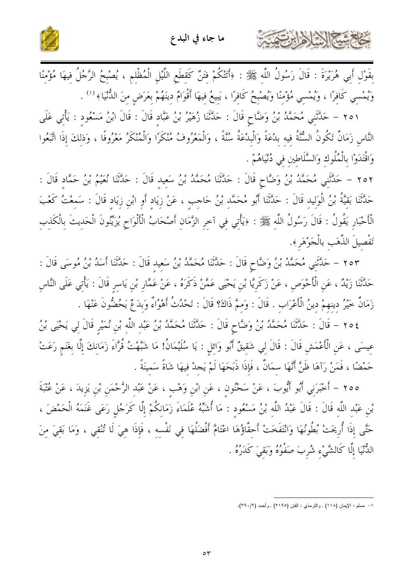



بِقَوْلِ أَبِي هُرَيْرَةَ : قَالَ رَسُولُ اللَّهِ ﷺ : ﴿أَتَنْكُمْ فَتَنْ كَقِطَعِ اللَّيْلِ الْمُظْلِمِ ، يُصْبِحُ الرَّجُلُ فِيهَا مُؤْمِنًا وَيُمْسِي كَافِرًا ، وَيُمْسِي مُؤْمِنًا وَيُصْبِحُ كَافِرًا ، يَبِيعُ فِيهَا أَقْوَامٌ دِينَهُمْ بِعَرَضٍ مِنَ الدُّنْيَا﴾ ('' .

٢٥١ – حَلَّتَنِي مُحَمَّدُ بْنُ وَضَّاحٍ قَالَ : حَلَّتَنَا زُهَيْرُ بْنُ عَبَّاد قَالَ : قَالَ ابْنُ مَسْعُود : يَأْتي عَلَى النَّاسِ زَمَانٌ تَكُونُ السُّنَّةُ فيه بِدْعَةً وَالْبِدْعَةُ سُنَّةً ، وَالْمَعْرُوفُ مُنْكَرًا وَالْمُنْكَرُ مَعْرُوفًا ، وَذلكَ إذَا اتَّبَعُوا وَاقْتَدَوْا بِالْمُلُوكِ وَالسَّلَاطين في دُنْيَاهُمْ .

٢٥٢ – حَلَّتَنِي مُحَمَّدُ بْنُ وَضَّاحٍ قَالَ : حَلَّتْنَا مُحَمَّدُ بْنُ سَعِيد قَالَ : حَلَّتْنَا نُعَيْمُ بْنُ حَمَّاد قَالَ : حَلَّتَنَا بَقيَّةُ بْنُ الْوَليد قَالَ : حَلَّتَنَا أَبُو مُحَمَّد بْنُ حَاجب ، عَنْ زِيَادِ أَوِ ابْنِ زِيَادِ قَالَ : سَمِعْتُ كَعْبَ الْأَحْبَارِ يَقُولُ : قَالَ رَسُولُ اللَّهِ ﷺ : ﴿يَأْتِي فِي آخِرِ الزَّمَانِ أَصْحَابُ الْأَلْوَاحِ يُزَيِّنُونَ الْحَدِيثَ بِالْكَذِبِ تَفْصيلَ الذَّهَب بالْجَوْهَرِ ﴾.

٢٥٣ – حَلَّتَنِي مُحَمَّدُ بْنُ وَضَّاحٍ قَالَ : حَلَّتْنَا مُحَمَّدُ بْنُ سَعِيد قَالَ : حَلَّتْنَا أَسَدُ بْنُ مُوسَى قَالَ : حَدَّثَنَا زَيْدٌ ، عَن الْأَحْوَص ، عَنْ زَكَريَّا بْن يَحْيَى عَمَّنْ ذَكَرَهُ ، عَنْ عَمَّار بْن يَاسر قَالَ : يَأْتي عَلَى النَّاس زَمَانٌ خَيْرُ دينهمْ دينُ الْأَعْرَاب . قَالَ : وَممَّ ذَاكَ؟ قَالَ : تَحْدُثُ أَهْوُاءٌ وَبدَعٌ يَحُضُّونَ عَنْهَا .

٢٥٤ – قَالَ : حَلَّثَنَا مُحَمَّدُ بْنُ وَضَّاحٍ قَالَ : حَلَّتْنَا مُحَمَّدُ بْنُ عَبْد اللَّه بْن نُمَيْر قَالَ لي يَحْيَى بْنُ عِيسَى ، عَنِ الْأَعْمَشِ قَالَ : قَالَ لِي شَقِيقٌ أَبُو وَائلِ : يَا سُلَيْمَانُ! مَا شَبَّهْتُ قُرَّاءَ زَمَانكَ إلَّا بغَنَم رَعَتْ حَمْضًا ، فَمَنْ رَآهَا ظَنَّ أَنَّهَا سمَانٌ ، فَإِذَا ذَبَحَهَا لَمْ يَجِدْ فيهَا شَاةً سَمينَةً .

٢٥٥ – أَخْبَرَنِي أَبُو أَيُّوبَ ، عَنْ سَخْنُونِ ، عَنِ ابْنِ وَهْبِ ، عَنْ عَبْدِ الرَّحْمَنِ بْنِ يَزِيدَ ، عَنْ عُتْبَةَ بْنِ عَبْد اللَّه قَالَ : قَالَ عَبْدُ اللَّه بْنُ مَسْعُودٍ : مَا أُشَبِّهُ عُلَمَاءَ زَمَانِكُمْ إِلَّا كَرَجُلٍ رَعَى غَنَمَهُ الْحَمْضَ ، حَتَّى إِذَا أُرِيحَتْ بُطُونُهَا وَانْتَفَخَتْ أَحِقَّاؤُهَا اعْتَامَّ أَفْضَلُهَا فِي نَفْسِهِ ، فَإِذَا هِيَ لَا تُنْقِي ، وَمَا بَقِيَ مِنَ الدُّنْيَا إِلَّا كَالشَّيْءِ شُربَ صَفْوُهُ وَبَقيَ كَدَرُهُ .

١- مسلم : الإيمان (١١٨) , والترمذي : الفتن (٢١٩٥) , وأحمد (٢٩٠/٢).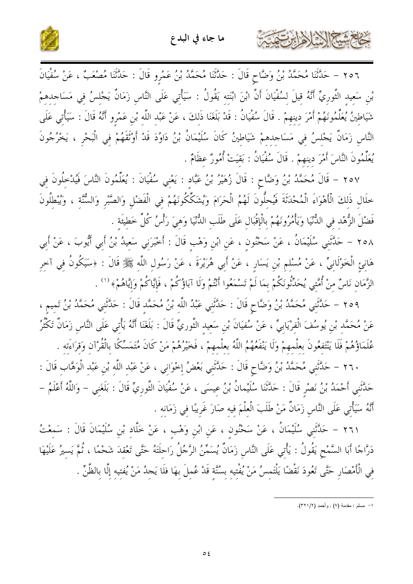



٢٥٦ – حَلَّتْنَا مُحَمَّدُ بْنُ وَضَّاحٍ قَالَ : حَلَّتْنَا مُحَمَّدُ بْنُ عَمْرِو قَالَ : حَلَّتْنَا مُصْعَبٌ ، عَنْ سُفْيَانَ بْن سَعيد النَّوريِّ أَنَّهُ قيلَ لسُفْيَانَ أَنَّ ابْنَ ابْنَته يَقُولُ : سَيَأْتي عَلَى النَّاس زَمَانٌ يَجْلسُ في مَسَاجدهمْ شَيَاطينُ يُعَلِّمُونَهُمْ أَمْرَ دينهمْ . قَالَ سُفْيَانُ : قَدْ بَلَغَنَا ذَلكَ ، عَنْ عَبْد اللَّه بْن عَمْرو أَنَّهُ قَالَ : سَيَأْتي عَلَى النَّاس زَمَانٌ يَجْلسُ في مَسَاحِدهمْ شَيَاطينُ كَانَ سُلَيْمَانُ بْنُ دَاوُدَ قَدْ أَوْتَقَهُمْ في الْبَحْر ، يَخْرُجُونَ يُعَلِّمُونَ النَّاسَ أَمْرَ دِينِهِمْ . قَالَ سُفْيَانُ : بَقيَتْ أُمُورٌ عظَامٌ .

٢٥٧ – قَالَ مُحَمَّدُ بْنُ وَضَّاحٍ : قَالَ زُهَيْرُ بْنُ عَبَّادٍ : يَعْنِي سُفْيَانَ : يُعَلِّمُونَ النَّاسَ فَيُدْخِلُونَ فِي خلَال ذَلكَ الْأَهْوَاءَ الْمُحْدَثَةَ فَيُحلُّونَ لَهُمُ الْحَرَامَ وَيُشَكِّكُونَهُمْ في الْفَضْلِ وَالصَّبْر وَالسُّنَّة ، وَيُبْطلُونَ فَضْلَ الزُّهْد في الدُّنْيَا وَيَأْمُرُونَهُمْ بِالْإِقْبَالِ عَلَى طَلَبِ الدُّنْيَا وَهيَ رَأْسُ كُلِّ خَطيئَة .

٢٥٨ – حَلَّتْنِي سُلَيْمَانُ ، عَنْ سَحْنُونِ ، عَنِ ابْنِ وَهْبِ قَالَ : أَخْبَرَنِي سَعِيدُ بْنُ أَبِي أَيُّوبَ ، عَنْ أَبِي هَانِئِ الْخَوْلَانِيِّ ، عَنْ مُسْلِمٍ بْنِ يَسَارٍ ، عَنْ أَبِي هُرَيْرَةَ ، عَنْ رَسُولِ اللَّهِ ﷺ قَالَ : ﴿سَيَكُونُ فِي آخِرِ الزَّمَان نَاسٌ منْ أُمَّتي يُحَدِّثُونَكُمْ بمَا لَمْ تَسْمَعُوا أَنْتُمْ وَلَا آبَاؤُكُمْ ، فَإِيَّاكُمْ وَإِيَّاهُمْ﴾ ('' .

٢٥٩ – حَلَّتَني مُحَمَّدُ بْنُ وَضَّاحٍ قَالَ : حَلَّتَني عَبْدُ اللَّه بْنُ مُحَمَّد قَالَ : حَلَّتَني مُحَمَّدُ بْنُ تَميم ، عَنْ مُحَمَّدِ بْنِ يُوسُفَ الْفِرْيَابِيِّ ، عَنْ سُفيَانَ بْنِ سَعِيدِ التَّورِيِّ قَالَ : بَلَغَنَا أَنَّهُ يَأْتي عَلَى النَّاس زَمَانٌ تَكْثُرُ عُلَمَاؤُهُمْ فَلَا يَنْتَفِعُونَ بِعِلْمِهِمْ وَلَا يَنْفَعُهُمُ اللَّهُ بِعِلْمِهِمْ ، فَخَيْرُهُمْ مَنْ كَانَ مُتَمَسِّكًا بِالْقُرْآنِ وَقِرَاءَتِه .

٢٦٠ – حَدَّثَنِي مُحَمَّدُ بْنُ وَضَّاحٍ قَالَ : حَدَّثَنِي بَعْضُ إِحْوَانِي ، عَنْ عَبْدِ اللَّهِ بْنِ عَبْدِ الْوَهَّابِ قَالَ : حَلَّثَني أَحْمَدُ بْنُ نَصْرٍ قَالَ : حَلَّتْنَا سُلَيْمانُ بْنُ عيسَى ، عَنْ سُفْيَانَ الثَّوريِّ قَالَ : بَلَغَني – وَاللَّهُ أَعْلَمُ – أَنَّهُ سَيَأْتِي عَلَى النَّاس زَمَانٌ مَنْ طَلَبَ الْعِلْمَ فيه صَارَ غَرِيبًا في زَمَانه .

٢٦١ – حَلَّتَنِي سُلَيْمَانُ ، عَنْ سَحْنُونِ ، عَنِ ابْنِ وَهْبِ ، عَنْ خَلَّادِ بْنِ سُلَيْمَانَ قَالَ : سَمعْتُ دَرَّاجًا أَبَا السَّمْحِ يَقُولُ : يَأْتِي عَلَى النَّاسِ زَمَانٌ يُسَمِّنُ الرَّجُلُ رَاحلَتَهُ حَتَّى تَعْقدَ شَحْمًا ، ثُمَّ يَسيرُ عَلَيْهَا في الْأَمْصَارِ حَتَّى تَعُودَ نَقْضًا يَلْتَمسُ مَنْ يُفْتيه بسُنَّة قَدْ عُملَ بهَا فلَا يَجدُ مَنْ يُفتيه إلَّا بالظَّنِّ .

١– مسلم : مقدمة (٧) , وأحمد (٣٢١/٢).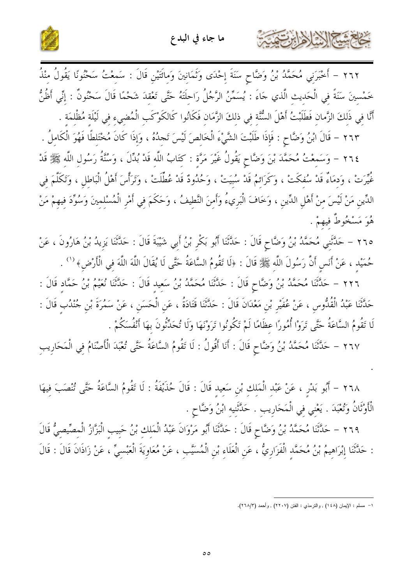

٢٦٢ – أَحْبَرَنِي مُحَمَّدُ بْنُ وَضَّاحٍ سَنَةَ إِحْدَى وَثَمَانِينَ وَمِائَتَيْنِ قَالَ : سَمِعْتُ سَحْنُونًا يَقُولُ مِنْذُ

حشيهم الجزارة المزار

خَمْسِينَ سَنَةً فِي الْحَدِيثِ الَّذي جَاءَ : يُسَمِّنُ الرَّجُلُ رَاحِلَتَهُ حَتَّى تَعْقِدَ شَحْمًا قَالَ سَحْنُونٌ : إِنِّي أَظُنُّ أَنَّا في ذَلكَ الزَّمان فَطَلَبْتُ أَهْلَ السُّنَّة فِي ذلِكَ الزَّمَانِ فَكَانُوا كَالكَوْكَبِ الْمُضِيءِ فِي لَيْلَةِ مُظْلِمَةٍ .

٢٦٣ – قَالَ ابْنُ وَضَّاحٍ : فَإِذَا طَلَبْتَ الشَّيْءَ الْخَالصَ لَيْسَ تَجدُهُ ، وَإِذَا كَانَ مُخْتَلطًا فَهُوَ الْكَاملُ .

٢٦٤ – وَسَمعْتُ مُحَمَّدَ بْنَ وَضَّاحٍ يَقُولُ غَيْرَ مَرَّةٍ : كَتَابُ اللَّهِ قَدْ بُدِّلَ ، وَسُنَّةُ رَسُولِ اللَّهِ ﷺ قَدْ غُيِّرَتْ ، وَدمَاءُ قَدْ سُفكَتْ ، وَكَرَائمُ قَدْ سُبَيَتْ ، وَحُدُودٌ قَدْ عُطِّلَتْ ، وَتَرَأَّسَ أَهْلُ الْبَاطل ، وَتَكَلَّمَ في الدِّينِ مَنْ لَيْسَ مِنْ أَهْلِ الدِّينِ ، وَخَافَ الْبَرِيءُ وَأَمِنَ النَّطِيفُ ، وَحَكَمَ فِي أَمْرِ الْمُسْلمينَ وَسُوِّدَ فِيهِمْ مَنْ هُوَ مَسْخُوطٌ فيهمْ .

٢٦٥ – حَلَّتَنِي مُحَمَّدُ بْنُ وَضَّاحٍ قَالَ : حَلَّتْنَا أَبُو بَكْرِ بْنُ أَبِي شَيْبَةَ قَالَ : حَلَّتَنَا يَزِيدُ بْنُ هَارُونَ ، عَنْ حُمَيْدِ ، عَنْ أَنَسٍ أَنَّ رَسُولَ اللَّهِ ﷺ قَالَ : ﴿لَا تَقُومُ السَّاعَةُ حَتَّى لَا يُقَالَ اللَّهَ اللَّهَ في الْأَرْضِ﴾ <sup>(١</sup>′ .

٢٢٦ – حَلَّتْنَا مُحَمَّدُ بْنُ وَضَّاحٍ قَالَ : حَلَّتْنَا مُحَمَّدُ بْنُ سَعيد قَالَ : حَلَّتْنَا نُعَيْمُ بْنُ حَمَّاد قَالَ : حَلَّتْنَا عَبْدُ الْقُلُّوس ، عَنْ عُفَيْر بْن مَعْدَانَ قَالَ : حَلَّتْنَا قَتَادَةُ ، عَن الْحَسَن ، عَنْ سَمُرَةَ بْن جُنْدُب قَالَ : لَا تَقُومُ السَّاعَةُ حَتَّى تَرَوْا أُمُورًا عظَامًا لَمْ تَكُونُوا تَرَوْنَهَا وَلَا تُحَدِّثُونَ بهَا أَنْفُسَكُمْ .

٢٦٧ – حَلَّتْنَا مُحَمَّدُ بْنُ وَضَّاحٍ قَالَ : أَنَا أَقُولُ : لَا تَقُومُ السَّاعَةُ حَتَّى تُعْبَدَ الْأَصْنَامُ فِي الْمَحَارِيبِ

٢٦٨ – أَبُو بَدْرٍ ، عَنْ عَبْدِ الْمَلِكِ بْنِ سَعِيدِ قَالَ : قَالَ حُذَيْفَةُ : لَا تَقُومُ السَّاعَةُ حَتَّى تُنْصَبَ فيهَا الْأَوْثَانُ وَتُعْبَدَ . يَعْنِي فِي الْمَحَارِيبِ . حَدَّثَنِيهِ ابْنُ وَضَّاحٍ .

٢٦٩ – حَلَّتْنَا مُحَمَّدُ بْنُ وَضَّاحٍ قَالَ : حَدَّثَنَا أَبُو مَرْوَانَ عَبْدُ الْمَلكِ بْنُ حَبيب الْبَزَّازُ الْمصِّيصِيُّ قَالَ : حَدَّثَنَا إِبْرَاهِيمُ بْنُ مُحَمَّدٍ الْفَزَارِيُّ ، عَنِ الْعَلَاءِ بْنِ الْمُسَيَّبِ ، عَنْ مُعَاوِيَةَ الْعَبْسِيِّ ، عَنْ زَاذَانَ قَالَ : قَالَ

١- مسلم : الإيمان (١٤٨) , والترمذي : الفتن (٢٢٠٧) , وأحمد (٢٦٨/٣).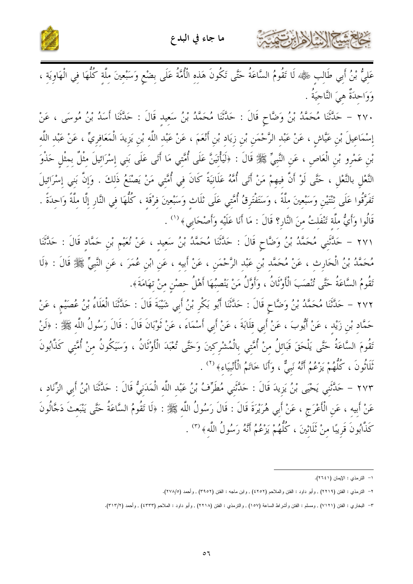



عَلِيُّ بْنُ أَبِي طَالِبٍ ﷺ، لَا تَقُومُ السَّاعَةُ حَتَّى تَكُونَ هَذِهِ الْأُمَّةُ عَلَى بِضْعٍ وَسَبْعِينَ مِلَّةٍ كُلُّهَا فِي الْهَاوِيَةِ ، وَوَاحدَةٌ هيَ النَّاجيَةُ .

٢٧٠ – حَلَّتْنَا مُحَمَّدُ بْنُ وَضَّاحٍ قَالَ : حَلَّتْنَا مُحَمَّدُ بْنُ سَعيد قَالَ : حَلَّتْنَا أَسَدُ بْنُ مُوسَى ، عَنْ إِسْمَاعِيلَ بْنِ عَيَّاشٍ ، عَنْ عَبْدِ الرَّحْمَنِ بْنِ زِيَادٍ بْنِ أَنْعَمَ ، عَنْ عَبْد اللَّه بْنِ يَزِيدَ الْمَعَافِرِيِّ ، عَنْ عَبْد اللَّه بْن عَمْرو بْن الْعَاص ، عَن النَّبيِّ ﷺ قَالَ : ﴿لَيَأْتِيَنَّ عَلَى أُمَّتِي مَا أَتَى عَلَى بَنِي إِسْرَائِيلَ مِثْلٌ بِمِثْلٍ حَذْوَ النَّعْلِ بالنَّعْلِ ، حَتَّى لَوْ أَنَّ فيهمْ مَنْ أَتَى أُمَّهُ عَلَانِيَةً كَانَ فِي أُمَّتِي مَنْ يَصْنَعُ ذَلِكَ . وَإِنَّ بَنِي إِسْرَائِيلَ تَفَرَّقُوا عَلَى تْنْتَيْنِ وَسَبْعينَ مِلَّةً ، وَسَتَفْتَرِقُ أُمَّتِي عَلَى ثلَاثٍ وَسَبْعينَ فِرْقَة ، كُلُّهَا فِي النَّارِ إِلَّا ملَّةً وَاحِدَةً . قَالُوا وَأَيُّ ملَّة تَنْفَلتُ منَ النَّارِ؟ قَالَ : مَا أَنَا عَلَيْه وَأَصْحَابي﴾ <sup>(١)</sup> .

٢٧١ – حَلَّثَنِي مُحَمَّدُ بْنُ وَضَّاحٍ قَالَ : حَلَّتْنَا مُحَمَّدُ بْنُ سَعِيدِ ، عَنْ نُعَيْمٍ بْنِ حَمَّادٍ قَالَ : حَلَّتْنَا مُحَمَّدُ بْنُ الْحَارِثِ ، عَنْ مُحَمَّدِ بْنِ عَبْدِ الرَّحْمَنِ ، عَنْ أَبِيهِ ، عَنِ ابْنِ عُمَرَ ، عَنِ النَّبِيّ ﷺ قَالَ : ﴿لَا تَقُومُ السَّاعَةُ حَتَّى تُنْصَبَ الْأَوْثَانُ ، وَأَوَّلُ مَنْ يَنْصِبُهَا أَهْلُ حصْنِ منْ تهَامَةَ﴾.

٢٧٢ – حَلَّتْنَا مُحَمَّدُ بْنُ وَضَّاحٍ قَالَ : حَلَّتْنَا أَبُو بَكْرٍ بْنُ أَبِي شَيْبَةَ قَالَ : حَلَّتْنَا الْعَلَاءُ بْنُ عُصَيْمٍ ، عَنْ حَمَّاد بْن زَيْد ، عَنْ أَيُّوبَ ، عَنْ أَبي قلَابَةَ ، عَنْ أَبي أَسْمَاءَ ، عَنْ ثَوْبَانَ قَالَ : قَالَ رَسُولُ اللَّه ﷺ : ﴿لَنْ تَقُومَ السَّاعَةُ حَتَّى يَلْحَقَ قَبَائلُ منْ أُمَّتي بالْمُشْركينَ وَحَتَّى تُعْبَدَ الْأَوْثَانُ ، وَسَيَكُونُ منْ أُمَّتي كَذَّابُونَ تَلَاثُونَ ، كُلُّهُمْ يَزْعُمُ أَنَّهُ نَبِيٌّ ، وَأَنَا خَاتَمُ الْأَنْبِيَاءِ﴾ (٢) .

٢٧٣ – حَلَّتَني يَحْيَى بْنُ يَزِيدَ قَالَ : حَلَّتَني مُطَرِّفُ بْنُ عَبْد اللَّه الْمَدَنيُّ قَالَ : حَدَّثَنَا ابْنُ أَبي الزِّنَاد ، عَنْ أَبِيه ، عَن الْأَعْرَج ، عَنْ أَبِي هُرَيْرَةَ قَالَ : قَالَ رَسُولُ اللَّه ﷺ : ﴿لَا تَقُومُ السَّاعَةُ حَتَّى يَنْبَعتَ دَجَّالُونَ كَذَّابُونَ قَرِيبًا منْ ثَلَاثِينَ ، كُلُّهُمْ يَزْعُمُ أَنَّهُ رَسُولُ اللَّه ﴾ (٣) .

١- النترمذي : الإيمان (٢٦٤١).

٢– النترمذي : الفتن (٢٢١٩) , وأبو داود : الفتن والملاحم (٢٥٢) , ولبن ماجه : الفتن (٣٩٥٢), وأحمد (٢٧٨/٥).

٣– البخاري : الفتن (٧١٢١) , ومسلم : الفتن وأشراط الساعة (١٥٧) , والنرمذي : الفتن (٢٢١٨) , وأبو داود : الملاحم (٤٣٣٣) , وأحمد (٣١٣/٢).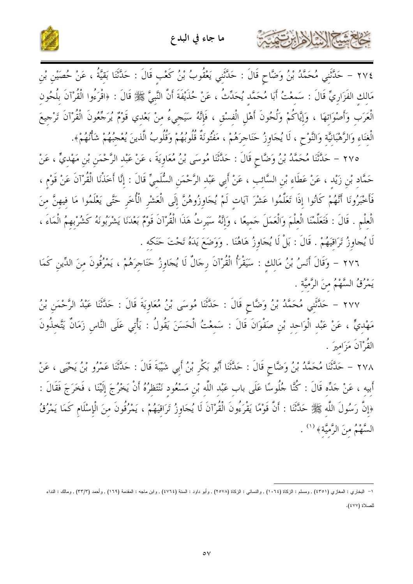



٢٧٤ – حَلَّتْنِي مُحَمَّدُ بْنُ وَضَّاحٍ قَالَ : حَلَّتْنِي يَعْقُوبُ بْنُ كَعْبِ قَالَ : حَلَّتْنَا بَقيَّةُ ، عَنْ حُصَيْنِ بْنِ مَالِكِ الفَزَارِيِّ قَالَ : سَمِعْتُ أَبَا مُحَمَّدِ يُحَدِّثُ ، عَنْ حُذَيْفَةَ أَنَّ النَّبِيَّ ﷺ قَالَ : ﴿اقْرَءُوا الْقُرْآنَ بِلُحُون الْعَرَبِ وَأَصْوَاتِهَا ، وَإِيَّاكُمْ وَلُحُونَ أَهْلِ الْفِسْقِ ، فَإِنَّهُ سَيَجِيءُ مِنْ بَعْدِي قَوْمٌ يُرَجَّعُونَ الْقُرْآنَ تَرْجِيعَ الْغِنَاءِ وَالرَّهْبَانِيَّةِ وَالنَّوْحِ ، لَا يُجَاوِزُ حَنَاجِرَهُمْ ، مَفْتُونَةٌ قُلُوبُهُمْ وَقُلُوبُ الَّذينَ يُعْجُبُهُمْ شَأْنُهُمْ﴾.

٢٧٥ – حَلَّتْنَا مُحَمَّدُ بْنُ وَضَّاحٍ قَالَ : حَلَّتْنَا مُوسَى بْنُ مُعَاوِيَةَ ، عَنْ عَبْدِ الرَّحْمَنِ بْنِ مَهْدِيٍّ ، عَنْ حَمَّاد بْنِ زَيْد ، عَنْ عَطَاء بْنِ السَّائب ، عَنْ أَبِي عَبْدِ الرَّحْمَنِ السُّلَمِيِّ قَالَ : إِنَّا أَخَذْنَا الْقُرْآنَ عَنْ قَوْم ، فَأَخْبَرُونَا أَنَّهُمْ كَانُوا إِذَا تَعَلَّمُوا عَشْرَ آيَاتٍ لَمْ يُجَاوِزُوهُنَّ إِلَى الْعَشْرِ الْأُخَرِ حَتَّى يَعْلَمُوا مَا فِيهِنَّ مِنَ الْعِلْمِ . قَالَ : فَتَعَلَّمْنَا الْعِلْمَ وَالْعَمَلَ حَمِيعًا ، وَإِنَّهُ سَيَرِثُ هَذَا الْقُرْآنَ قَوْمٌ بَعْدَنَا يَشْرَبُونَهُ كَشُرْبهمُ الْمَاءَ ، لَا يُجاوِزُ تَرَاقَيَهُمْ . قَالَ : بَلْ لَا يُجَاوِزُ هَاهُنَا . وَوَضَعَ يَدَهُ تَحْتَ حَنَكَه .

٢٧٦ - وَقَالَ أَنَسُ بْنُ مَالِكِ : سَيَقْرَأُ الْقُرْآنَ رِجَالٌ لَا يُجَاوِزُ حَنَاجِرَهُمْ ، يَمْرُقُونَ مِنَ الدِّينِ كَمَا يَمْرُقُ السَّهْمُ منَ الرَّميَّة .

٢٧٧ – حَدَّثَني مُحَمَّدُ بْنُ وَضَّاحٍ قَالَ : حَدَّثَنَا مُوسَى بْنُ مُعَاوِيَةَ قَالَ : حَدَّثَنَا عَبْدُ الرَّحْمَنِ بْنُ مَهْدِيٍّ ، عَنْ عَبْدِ الْوَاحِدِ بْنِ صَفْوَانَ قَالَ : سَمِعْتُ الْحَسَنَ يَقُولُ : يَأْتِي عَلَى النَّاسِ زَمَانٌ يَتَّخِذُونَ القُرْآنَ مَزَاميرَ .

٢٧٨ – حَلَّتْنَا مُحَمَّدُ بْنُ وَضَّاحٍ قَالَ : حَلَّتْنَا أَبُو بَكْرٍ بْنُ أَبِي شَيْبَةَ قَالَ : حَلَّتْنَا عَمْرُو بْنُ يَحْيَى ، عَنْ أَبيه ، عَنْ حَدِّه قَالَ : كُنَّا حُلُوسًا عَلَى بابِ عَبْدِ اللَّهِ بْنِ مَسْعُودٍ نَنْتَظِرُهُ أَنْ يَخْرُجَ إِلَيْنَا ، فَخَرَجَ فَقَالَ : ﴿إِنَّ رَسُولَ اللَّهِ ﷺ حَلَّتَنَا : أَنَّ قَوْمًا يَقْرَءُونَ الْقُرْآنَ لَا يُجَاوِزُ تَرَاقِيَهُمْ ، يَمْرُقُونَ مِنَ الْإِسْلَامِ كَمَا يَمْرُقُ السَّهْمُ منَ الرَّميَّة ﴾ (١).

١– البخاري : المغازي (٤٣٥١) , ومسلم : الزكاة (١٠٦٤) , والنسائي : الزكاة (٢٥٧٨) , وأبو داود : العنذ (١٤٦٤) , وأسماجه : المقدمة (١٦٩) , وأحمد (٣٣/٣) , ومالك : النداء للصلاة (٤٧٧).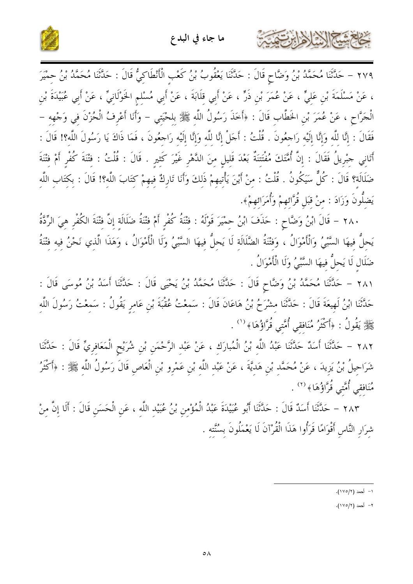



٢٧٩ – حَلَّتْنَا مُحَمَّدُ بْنُ وَضَّاحٍ قَالَ : حَلَّتْنَا يَعْقُوبُ بْنُ كَعْبِ الْأَنْطَاكِيُّ قَالَ : حَلَّتْنَا مُحَمَّدُ بْنُ حمْيَرَ ، عَنْ مَسْلَمَةَ بْنِ عَلِيٍّ ، عَنْ عُمَرَ بْنِ ذَرٍّ ، عَنْ أَبِي قِلَابَةَ ، عَنْ أَبِي مُسْلِمِ الخَوْلَانِيِّ ، عَنْ أَبِي عُبَيْدَةَ بْنِ الْجَرَّاحِ ، عَنْ عُمَرَ بْنِ الخَطَّابِ قَالَ : ﴿أَخَذَ رَسُولُ اللَّهِ ﷺ بِلحْيَتِي – وَأَنَا أَعْرِفُ الْحُزْنَ فِي وَجْهِهِ – فَقَالَ : إنَّا للَّه وَإنَّا إلَيْه رَاحِعُونَ . قُلْتُ : أَحَلْ إنَّا للَّه وَإنَّا إلَيْه رَاحِعُونَ ، فَمَا ذَاكَ يَا رَسُولَ اللَّه؟! قَالَ : أَتَانِي جِبْرِيلُ فَقَالَ : إِنَّ أُمَّتَكَ مُفْتَتِنَةٌ بَعْدَ قَلِيلٍ مِنَ الدَّهْرِ غَيْرَ كَثِيرٍ . قَالَ : قُلْتُ : فِتْنَةَ كُفْرِ أَمْ فِتْنَةَ ضَلَالَة؟ قَالَ : كُلٌّ سَيَكُونُ . قُلْتُ : مِنْ أَيْنَ يَأْتيهِمْ ذَلِكَ وَأَنَا تَارِكٌ فِيهِمْ كِتَابَ اللَّهِ؟! قَالَ : بِكِتَابِ اللَّهِ يَضلُّونَ وَزَادَ : منْ قبَل قُرَّائهمْ وَأُمَرَائهمْ﴾.

٢٨٠ – قَالَ ابْنُ وَضَّاحٍ : حَذَفَ ابْنُ حِمْيَرَ قَوْلَهُ : فِتْنَةُ كُفْرٍ أَمْ فِتْنَةُ ضَلَالَة إِنَّ فِتْنَةَ الكُفْرِ هِيَ الرِّدَّةُ يَحلُّ فيهَا السَّبْيُ وَالْأَمْوَالُ ، وَفتْنَةُ الضَّلَالَة لَا يَحلُّ فيهَا السَّبْيُ وَلَا الْأَمْوَالُ ، وَهَذَا الَّذِي نَحْنُ فِيهِ فتْنَةُ ضَلَالٍ لَا يَحلُّ فيهَا السَّبْيُ وَلَا الْأَمْوَالُ .

٢٨١ – حَلَّثَنَا مُحَمَّدُ بْنُ وَضَّاحٍ قَالَ : حَلَّتُنا مُحَمَّدُ بْنُ يَحْيَى قَالَ : حَلَّتْنَا أَسَدُ بْنُ مُوسَى قَالَ : حَدَّثَنَا ابْنُ لَهيعَةَ قَالَ : حَدَّثَنَا مشْرَحُ بْنُ هَاعَانَ قَالَ : سَمِعْتُ عُقْبَةَ بْنِ عَامِرٍ يَقُولُ : سَمِعْتُ رَسُولَ اللَّهِ ﷺ يَقُولُ : ﴿أَكْثَرُ مُنَافقي أُمَّتِي قُرَّاؤُهَا﴾ <sup>(١)</sup> .

٢٨٢ – حَلَّثَنَا أَسَلٌ حَلَّتْنَا عَبْدُ اللَّهِ بْنُ الْمُبارَكِ ، عَنْ عَبْدِ الرَّحْمَنِ بْنِ شُرَيْحِ الْمَعَافِرِيِّ قَالَ : حَلَّتْنَا شَرَاحِيلُ بْنُ يَزِيدَ ، عَنْ مُحَمَّدِ بْنِ هَدِيَّةَ ، عَنْ عَبْدِ اللَّهِ بْنِ عَمْرِو بْنِ الْعَاصِ قَالَ رَسُولُ اللَّهِ ﷺ : ﴿أَكْثَرُ مُنَافقي أُمَّتي قُرَّاؤُهَا﴾ <sup>(٢)</sup> .

٢٨٣ – حَلَّتْنَا أَسَلًا قَالَ : حَلَّتْنَا أَبُو عُبَيْدَةَ عَبْدُ الْمُؤْمِنِ بْنُ عُبَيْدِ اللَّهِ ، عَنِ الْحَسَنِ قَالَ : أَلَا إِنَّ مِنْ شرَار النَّاس أَقْوَامًا قَرَأُوا هَذَا الْقُرْآنَ لَا يَعْمَلُونَ بِسُنَّته .

١- أحمد (١٧٥/٢).

٢- أحمد (١٧٥/٢).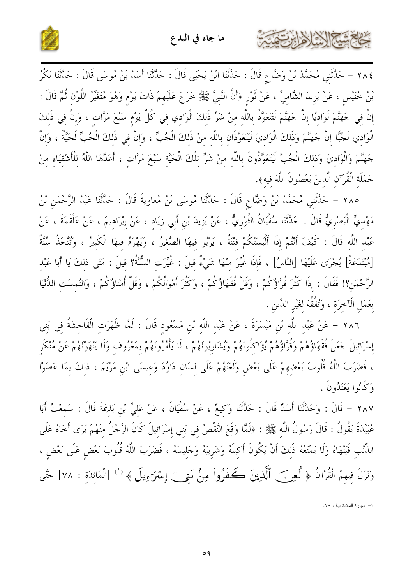



٢٨٤ – حَلَّتْنِي مُحَمَّدُ بْنُ وَضَّاحٍ قَالَ : حَلَّتْنَا ابْنُ يَحْيَى قَالَ : حَلَّتْنَا أَسَدُ بْنُ مُوسَى قَالَ : حَلَّتْنَا بَكْرُ بْنُ خُنَيْسٍ ، عَنْ يَزِيدَ الشَّامِيِّ ، عَنْ ثَوْرٍ ﴿أَنَّ النَّبِيَّ ﷺ خَرَجَ عَلَيْهِمْ ذَاتَ يَوْمٍ وَهُوَ مُتَغَيِّرُ اللَّوْنِ ثُمَّ قَالَ : إِنَّ فِي حَهَنَّمَ لَوَادِيًا إِنَّ حَهَنَّمَ لَتَتَعَوَّذُ بِاللَّهِ مِنْ شَرٍّ ذَلِكَ الْوَادِي فِي كُلِّ يَوْم سَبْعَ مَرَّاتٍ ، وَإِنَّ فِي ذَلِكَ الْوَادِي لَجُبًّا إِنَّ حَهنَّمَ وَذَلِكَ الْوَادِيَ لَيَتَعَوَّذَانِ بِاللَّهِ مِنْ ذَلِكَ الْجُبِّ ، وَإِنَّ فِي ذَلِكَ الْجُبِّ لَحَيَّةٌ ، وَإِنّ حَهَنَّمَ وَالْوَاديَ وَذلكَ الْجُبَّ لَيَتَعَوَّذُونَ باللَّه منْ شَرٍّ تلْكَ الْحَيَّة سَبْعَ مَرَّاتٍ ، أَعَدَّهَا اللَّهُ لِلْأَشْقِيَاءِ مِنْ حَمَلَة الْقُرْآن الَّذينَ يَعْصُونَ اللَّهَ فيه﴾.

٢٨٥ – حَلَّتْنِي مُحَمَّدُ بْنُ وَضَّاحٍ قَالَ : حَلَّتْنَا مُوسَى بْنُ مُعاويةَ قَالَ : حَلَّتْنَا عَبْدُ الرَّحْمَنِ بْنُ مَهْديٍّ الْبَصْرِيُّ قَالَ : حَدَّثَنَا سُفْيَانُ الثَّوْرِيُّ ، عَنْ يَزيدَ بْنِ أَبي زِيَاد ، عَنْ إبْرَاهيمَ ، عَنْ عَلْقَمَةَ ، عَنْ عَبْد اللَّه قَالَ : كَيْفَ أَنْتُمْ إِذَا أَلْبَسَتْكُمْ فْتْنَةٌ ، يَرْبُو فيهَا الصَّغيرُ ، وَيَهْرَمُ فيهَا الْكَبِيرُ ، وَتُتَّخَذُ سُنَّةً [مُبْتَدَعَةً] يُجْرَى عَلَيْهَا [النَّاسُ] ، فَإِذَا غُيِّرَ منْهَا شَيْءٌ قِيلَ : غُيِّرَتِ السُّنَّةُ؟ قِيلَ : مَتَى ذلكَ يَا أَبَا عَبْدِ الرَّحْمَنِ؟! فَقَالَ : إِذَا كَثُرَ قُرَّاؤُكُمْ ، وَقَلَّ فُقَهَاؤُكُمْ ، وَكَثُرَ أَمْوَالُكُمْ ، وَقَلَّ أُمَنَاؤُكُمْ ، وَالتُمسَت الدُّنْيَا بعَمَلِ الْآخرَةِ ، وَتُفُقِّهَ لغَيْرِ الدِّينِ .

٢٨٦ – عَنْ عَبْدِ اللَّهِ بْنِ مَيْسَرَةَ ، عَنْ عَبْدِ اللَّهِ بْنِ مَسْعُودِ قَالَ : لَمَّا ظَهَرَتِ الْفَاحِشَةُ فِي بَنِي إِسْرَائِيلَ حَعَلَ فُقَهَاؤُهُمْ وَقُرَّاؤُهُمْ يُؤَاكِلُونَهُمْ وَيُشَارِبُونَهُمْ ، لَا يَأْمُرُونَهُمْ بمَعْرُوف وَلَا يَنْهَوْنَهُمْ عَنْ مُنْكَرِ ، فَضَرَبَ اللَّهُ قُلُوبَ بَعْضِهِمْ عَلَى بَعْضٍ وَلَعَنَهُمْ عَلَى لِسَانٍ دَاوُدَ وَعِيسَى ابْنِ مَرْيَمَ ، ذلكَ بِمَا عَصَوْا وْكَانُوا يَعْتَدُونَ .

٢٨٧ – قَالَ : وَحَلَّتْنَا أَسَدٌ قَالَ : حَلَّتْنَا وَكِيعٌ ، عَنْ سُفْيَانَ ، عَنْ عَليٍّ بْن بَذيمَةَ قَالَ : سَمعْتُ أَبَا عُبَيْدَةَ يَقُولُ : قَالَ رَسُولُ اللَّه ﷺ : ﴿لَمَّا وَقَعَ النَّقْصُ فِي بَنِي إِسْرَائِيلَ كَانَ الرَّجُلُ مِنْهُمْ يَرَى أَخَاهُ عَلَى الذَّنْبِ فَيَنْهَاهُ وَلَا يَمْنَعُهُ ذَلِكَ أَنْ يَكُونَ أَكِيلَهُ وَشَرِيبَهُ وَجَلِيسَهُ ، فَضَرَبَ اللَّهُ قُلُوبَ بَعْضٍ عَلَى بَعْضٍ ، وَنَزَلَ فِيهِمُ الْقُرْآنُ ﴿ لُعِرَ— ٱلَّذِينَ كَـفَرُواْ مِنْ بَنِيٍّ إِسْرَوِيلَ ﴾ '' [الْمَائِدَةِ : ٧٨] حَتَّى

١– سورة المائدة أية : ٧٨.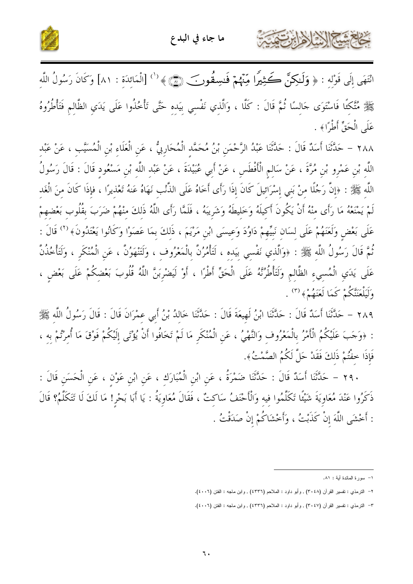





انْتَهَى إِلَى قَوْلِهِ : ﴿ وَلَـٰكِنَّ كَـُثِيرًا مِّنْهُمْ فَـٰسِقُونَ ۖ ﴿ أَالْمَائِدَةِ : ٨١] وَكَانَ رَسُولُ اللَّهِ ﷺ مُتَّكِئًا فَاسْتَوَى حَالِسًا ثُمَّ قَالَ : كَلَّا ، وَالَّذِي نَفْسِي بِيَدِهِ حَتَّى تَأْخُذُوا عَلَى يَدَي الظَّالِمِ فَتَأْطُرُوهُ عَلَى الْحَقِّ أَطْرًا﴾ .

٢٨٨ – حَلَّتْنَا أَسَلُهُ قَالَ : حَلَّتْنَا عَبْدُ الرَّحْمَنِ بْنُ مُحَمَّدِ الْمُحَارِبِيُّ ، عَنِ الْعَلَاءِ بْنِ الْمُسَيَّبِ ، عَنْ عَبْدِ اللَّهِ بْنِ عَمْرِو بْنِ مُرَّةَ ، عَنْ سَالِمِ الْأَفْطَسِ ، عَنْ أَبِي عُبَيْدَةَ ، عَنْ عَبْدِ اللَّهِ بْنِ مَسْعُودِ قَالَ : قَالَ رَسُولُ اللَّهِ ﷺ : ﴿إِنَّ رَجُلًا مِنْ بَنِي إِسْرَائِيلَ كَانَ إِذَا رَأَى أَخَاهُ عَلَى الذُّنْبِ نَهَاهُ عَنهُ تَعْذِيرًا ، فإذَا كَانَ مِنَ الْغَدِ لَمْ يَمْنَعْهُ مَا رَأَى مِنْهُ أَنْ يَكُونَ أَكِيلَهُ وَخَلِيطَهُ وَشَرِيبَهُ ، فَلَمَّا رَأَى اللَّهُ ذَلِكَ مِنْهُمْ ضَرَبَ بِقُلُوبٍ بَعْضِهِمْ عَلَى بَعْضٍ وَلَعَنَهُمْ عَلَى لِسَانٍ نَبِيِّهِمْ دَاوُدَ وَعِيسَى ابْنِ مَرْيَمَ ، ذَلكَ بِمَا عَصَوْا وَكَانُوا يَعْتَدُونَ﴾ ('' قَالَ : ثُمَّ قَالَ رَسُولُ اللَّهِ ﷺ : ﴿وَالَّذِي نَفْسِي بِيَدِهِ ، لَتَأْمُرُنَّ بِالْمَعْرُوفِ ، وَلَتَنْهَوُنَّ ، عَنِ الْمُنْكَرِ ، وَلَتَأْخُذُنَّ عَلَى يَدَي الْمُسِيءِ الظَّالِمِ وَلَتَأْطُرُنَّهُ عَلَى الْحَقِّ أَطْرًا ، أَوْ لَيَضْرِبَنَّ اللَّهُ قُلُوبَ بَعْضِكُمْ عَلَى بَعْضٍ ، وَلَيَلْعَنَنَّكُمْ كَمَا لَعَنَهُمْ﴾ (٣) .

٢٨٩ – حَلَّثَنَا أَسَدٌ قَالَ : حَلَّتْنَا ابْنُ لَهِيعَةَ قَالَ : حَلَّتْنَا خَالِدُ بْنُ أَبِي عِمْرَانَ قَالَ : قَالَ رَسُولُ اللَّهِ ﷺ : ﴿وَحَبَ عَلَيْكُمُ الْأَمْرُ بِالْمَعْرُوفِ وَالنَّهْيُ ، عَنِ الْمُنْكَرِ مَا لَمْ تَخَافُوا أَنْ يُؤْتَى إِلَيْكُمْ فَوْقَ مَا أُمِرْتُمْ بِهِ ، فَإِذَا خفْتُمْ ذَلكَ فَقَدْ حَلَّ لَكُمُ الصَّمْتُ﴾.

٢٩٠ – حَلَّثَنَا أَسَدٌ قَالَ : حَلَّثَنَا ضَمْرَةُ ، عَنِ ابْنِ الْمُبَارَكِ ، عَنِ ابْنِ عَوْنٍ ، عَنِ الْحَسَنِ قَالَ : ذَكَرُوا عَنْدَ مُعَاوِيَةَ شَيْئًا تَكَلَّمُوا فِيهِ وَالْأَحْنَفُ سَاكِتٌ ، فَقَالَ مُعَاوِيَةُ : يَا أَبَا بَحْرِ! مَا لَكَ لَا تَتَكَلَّمُ؟ قَالَ : أَحْشَى اللَّهَ إِنْ كَذَبْتُ ، وَأَحْشَاكُمْ إِنْ صَدَقْتُ .

١– سورة المائدة أية : ٨١.

٢- التزمذي : نفسير القرآن (٢٠٤٨) , وأبو دلود : الملاحم (٤٣٣٦) , وابن ماجه : الفتن (٤٠٠٦).

٣- التزمذي : نفسير القرآن (٢٠٤٧) , وأبو دلود : الملاحم (٤٣٣٦) , وابن ماجه : الفتن (٤٠٠٦).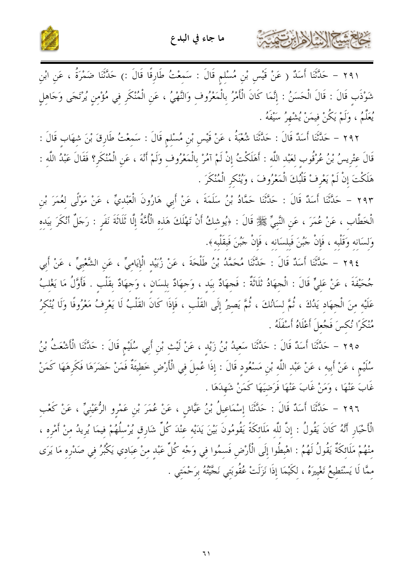



٢٩١ – حَلَّثَنَا أَسَدٌ ( عَنْ قَيْسٍ بْنِ مُسْلِمٍ قَالَ : سَمِعْتُ طَارِقًا قَالَ :) حَلَّثَنَا ضَمْرَةُ ، عَنِ ابْنِ شَوْذَب قَالَ : قَالَ الْحَسَنُ : إِنَّمَا كَانَ الْأَمْرُ بِالْمَعْرُوفِ وَالنَّهْيُ ، عَنِ الْمُنْكَرِ فِي مُؤْمِنٍ يُرْتَجَى وَجَاهِلٍ مِكْمُ ، وَلَمْ يَكُنْ فيمَنْ يُشْهِرُ سَيْفَهُ .

٢٩٢ – حَلَّتْنَا أَسَدٌ قَالَ : حَلَّتْنَا شُعْبَةُ ، عَنْ قَيْسٍ بْنِ مُسْلِمٍ قَالَ : سَمعْتُ طَارِقَ بْنَ شهَابٍ قَالَ : قَالَ عتْريسُ بْنُ عُرْقُوب لعَبْد اللَّه : أَهَلَكْتُ إِنْ لَمْ آمُرْ بِالْمَعْرُوفِ وَلَمْ أَنْهَ ، عَنِ الْمُنْكَرِ؟ فَقَالَ عَبْدُ اللَّهِ : هَلَكْتَ إِنْ لَمْ يَعْرِفْ قَلْبُكَ الْمَعْرُوفَ ، وَيُنْكر الْمُنْكَرَ .

٢٩٣ – حَلَّتْنَا أَسَدٌ قَالَ : حَلَّتْنَا حَمَّادُ بْنُ سَلَمَةَ ، عَنْ أَبِي هَارُونَ الْعَبْدِيِّ ، عَنْ مَوْلًى لِعُمَرَ بْنِ الْخَطَّابِ ، عَنْ عُمَرَ ، عَنِ النَّبِيِّ ﷺ قَالَ : ﴿يُوشِكُ أَنْ تَهْلَكَ هَذِهِ الْأُمَّةُ إِلَّا تَلَاثَةَ نَفَرٍ : رَجَلٌ أَنْكَرَ بِيَدِهِ وَلسَانه وَقَلْبه ، فَإِنْ جَبُنَ فَبِلسَانه ، فَإِنْ جَبُنَ فَبقَلْبه﴾.

٢٩٤ – حَلَّتْنَا أَسَدٌ قَالَ : حَلَّتْنَا مُحَمَّدُ بْنُ طَلْحَةَ ، عَنْ زُبَيْد الْإِيَامِيِّ ، عَنِ الشَّعْبيِّ ، عَنْ أَبِي جُحَيْفَةَ ، عَنْ عَليٍّ قَالَ : الْجهَادُ ثَلَاثَةٌ : فَجهَادٌ بيَد ، وَجهَادٌ بلسَان ، وَجهَادٌ بقَلْب . فَأَوَّلُ مَا يَغْلبُ عَلَيْه منَ الْحهَاد يَدُكَ ، ثُمَّ لسَانُكَ ، ثُمَّ يَصيرُ إلَى القَلْب ، فَإِذَا كَانَ القَلْبُ لَا يَعْرفُ مَعْرُوفًا وَلَا يُنْكرُ مُنْكَرًا نُكسَ فَجُعلَ أَعْلَاهُ أَسْفَلَهُ .

٢٩٥ – حَلَّتْنَا أَسَلٌ قَالَ : حَلَّتْنَا سَعِيدُ بْنُ زَيْدِ ، عَنْ لَيْثِ بْنِ أَبِي سُلَيْمٍ قَالَ : حَلَّتْنَا الْأَشْعَثُ بْنُ سُلَيْمٍ ، عَنْ أَبِيهِ ، عَنْ عَبْدِ اللَّهِ بْنِ مَسْعُودِ قَالَ : إِذَا عُمِلَ فِي الْأَرْضِ خَطِيَةٌ فَمَنْ حَضَرَهَا فَكَرِهَهَا كَمَنْ غَابَ عَنْهَا ، وَمَنْ غَابَ عَنْهَا فَرَضيَهَا كَمَنْ شَهِدَهَا .

٢٩٦ – حَلَّتْنَا أَسَدٌ قَالَ : حَلَّتْنَا إِسْمَاعِيلُ بْنُ عَيَّاشٍ ، عَنْ عُمَرَ بْنِ عَمْرِو الرُّعَيْنِيّ ، عَنْ كَعْبِ الْأَحْبَارِ أَنَّهُ كَانَ يَقُولُ : إِنَّ لِلَّهِ مَلَائِكَةً يَقُومُونَ بَيْنَ يَدَيْهِ عِنْدَ كُلِّ شَارِق يُرْسِلُهُمْ فِيمَا يُرِيدُ مِنْ أَمْرِهِ ، منْهُمْ مَلَائكَةٌ يَقُولُ لَهُمُ : اهْبِطُوا إِلَى الْأَرْضِ فَسِمُوا فِي وَجْهِ كُلِّ عَبْدٍ مِنْ عِبَادِي يَكْبُرُ فِي صَدْرِهِ مَا يَرَى مِمَّا لَا يَسْتَطِيعُ تَغْيِيرَهُ ، لِكَيْمَا إِذَا نَزَلَتْ عُقُوبَتي نَجَّيْتُهُ بِرَحْمَتي .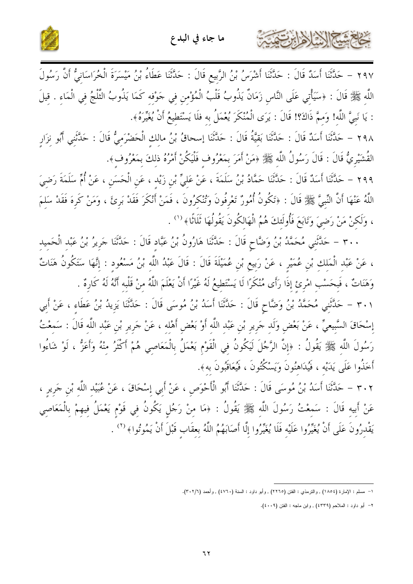



٢٩٧ – حَدَّثَنَا أَسَدٌ قَالَ : حَدَّثَنَا أَشْرَسُ بْنُ الرَّبِيعِ قَالَ : حَدَّثَنَا عَطَاءُ بْنُ مَيْسَرَةَ الْخُرَاسَانِيُّ أَنَّ رَسُولَ اللَّهِ ﷺ قَالَ : ﴿سَيَأْتِي عَلَى النَّاسِ زَمَانٌ يَذُوبُ قَلْبُ الْمُؤْمِنِ فِي حَوْفِهِ كَمَا يَذُوبُ الثَّلْجُ فِي الْمَاءِ . قِيلَ : يَا نَبِيَّ اللَّه! وَممَّ ذَاكَ؟! قَالَ : يَرَى الْمُنْكَرَ يُعْمَلُ به فلَا يَسْتَطيعُ أَنْ يُغَيّرَهُ﴾.

٢٩٨ – حَدَّثَنَا أَسَدٌ قَالَ : حَدَّثَنَا بَقيَّةُ قَالَ : حَدَّثَنَا إسحاقُ بْنُ مالك الْحَضْرَميُّ قَالَ : حَدَّثَني أَبُو نزَار القُشَيْرِيُّ قَالَ : قَالَ رَسُولُ اللَّهِ ﷺ وَمَنْ أَمَرَ بِمَعْرُوفٍ فَلْيَكُنْ أَمْرُهُ ذلكَ بِمَعْرُوفٍ﴾.

٢٩٩ – حَلَّتْنَا أَسَلُا قَالَ : حَلَّتْنَا حَمَّادُ بْنُ سَلَمَةَ ، عَنْ عَليٍّ بْنِ زَيْدِ ، عَنِ الْحَسَنِ ، عَنْ أُمِّ سَلَمَةَ رَضِيَ اللَّهُ عَنْهَا أَنَّ النِّبيَّ ﷺ قَالَ : ﴿تَكُونُ أُمُورٌ تَعْرِفُونَ وَتُنْكِرُونَ ، فَمَنْ أَنْكَرَ فَقَدْ بَرئَ ، وَمَنْ كَرهَ فَقَدْ سَلمَ ، وَلَكنْ مَنْ رَضِيَ وَتَابَعَ فَأُولَئكَ هُمُ الْهَالكُونَ يَقُولُهَا ثَلَاثًا﴾ ('' .

٣٠٠ – حَلَّتَنِي مُحَمَّدُ بْنُ وَضَّاحٍ قَالَ : حَلَّتَنَا هَارُونُ بْنُ عَبَّاد قَالَ : حَلَّتْنَا جَريرُ بْنُ عَبْد الْحَميد ، عَنْ عَبْدِ الْمَلكِ بْنِ عُمَيْرِ ، عَنْ رَبِيعِ بْنِ عُمَيْلَةَ قَالَ : قَالَ عَبْدُ اللَّهِ بْنُ مَسْعُود : إِنَّهَا سَتَكُونُ هَنَاتٌ وَهَنَاتٌ ، فَبحَسْب امْرئ إذَا رَأَى مُنْكَرًا لَا يَسْتَطيعُ لَهُ غَيْرًا أَنْ يَعْلَمَ اللَّهُ منْ قَلْبه أَنَّهُ لَهُ كَارةٌ . ٣٠١ – حَلَّتْنِي مُحَمَّدُ بْنُ وَضَّاحٍ قَالَ : حَلَّتْنَا أَسَدُ بْنُ مُوسَى قَالَ : حَلَّتْنَا يَزيدُ بْنُ عَطَاء ، عَنْ أَبِي إِسْحَاقَ السَّبِيعيِّ ، عَنْ بَعْضٍ وَلَدٍ جَرِيرٍ بْنِ عَبْدِ اللَّهِ أَوْ بَعْضٍ أَهْلِه ، عَنْ جَرِيرٍ بْنِ عَبْدِ اللَّهِ قَالَ : سَمعْتُ

رَسُولَ اللَّه ﷺ يَقُولُ : ﴿إِنَّ الرَّجُلَ لَيَكُونُ فِي الْقَوْمِ يَعْمَلُ بِالْمَعَاصِي هُمْ أَكْثَرُ منْهُ وَأَعَزُّ ، لَوْ شَاءُوا أَخَذُوا عَلَى يَدَيْه ، فَيُدَاهنُونَ وَيَسْكُنُونَ ، فَيُعَاقَبُونَ به﴾.

٣٠٢ – حَلَّتْنَا أَسَدُ بْنُ مُوسَى قَالَ : حَدَّثَنَا أَبُو الْأَحْوَصِ ، عَنْ أَبِي إِسْحَاقَ ، عَنْ عُبَيْد اللّه بْنِ جَرِيرِ ، عَنْ أَبِيه قَالَ : سَمعْتُ رَسُولَ اللَّه ﷺ يَقُولُ : ﴿مَا مِنْ رَجُلٍ يَكُونُ فِي قَوْمٍ يَعْمَلُ فِيهِمْ بِالْمَعَاصِي يَقْدرُونَ عَلَى أَنْ يُغَيِّرُوا عَلَيْه فَلَا يُغَيِّرُوا إِلَّا أَصَابَهُمُ اللَّهُ بعقَاب قَبْلَ أَنْ يَمُوتُوا﴾ <sup>(٢)</sup> .

٢– أبو داود : الملاحم (٤٣٣٩) , وابن ماجه : الفتن (٤٠٠٩).

١– مسلم : الإمارة (١٨٥٤) , والترمذي : الفتن (٢٢٦٥) , وأبو داود : السنة (٤٧٦٠) , وأحمد (٣٠٢/٦).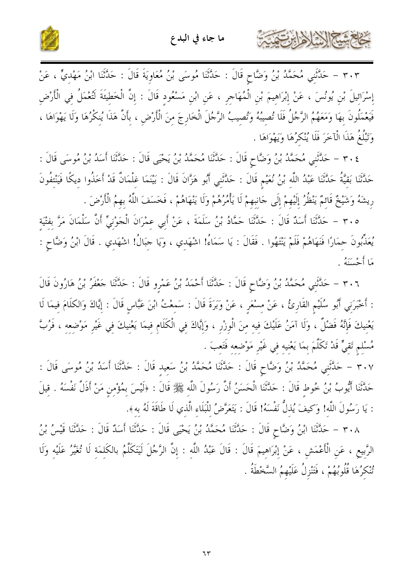



٣٠٣ – حَدَّثَنِي مُحَمَّدُ بْنُ وَضَّاحٍ قَالَ : حَدَّثَنَا مُوسَى بْنُ مُعَاوِيَةَ قَالَ : حَدَّثَنَا ابْنُ مَهْديٍّ ، عَنْ إِسْرَائِيلَ بْنِ يُونُسَ ، عَنْ إِبْرَاهِيمَ بْنِ الْمُهَاجِرِ ، عَنِ ابْنِ مَسْعُودِ قَالَ : إِنَّ الْخَطِيئَةَ لَتُعْمَلُ فِي الْأَرْضِ فَيَعْمَلُونَ بهَا وَمَعَهُمُ الرَّجُلُ فَلَا تُصِيبُهُ وَتُصِيبُ الرَّجُلَ الْخَارِجَ مِنَ الْأَرْضِ ، بِأَنَّ هَذَا يُنِكْرُهَا وَلَا يَهْوَاهَا ،

وَتَبْلُغُ هَذَا الْآخَرَ فَلَا يُنْكَرُهَا وَيَهْوَاهَا .

كالحمشا الشاهايرتفت

٢٠٤ – حَلَّتْنِي مُحَمَّدُ بْنُ وَضَّاحٍ قَالَ : حَلَّتْنَا مُحَمَّدُ بْنُ يَحْيَى قَالَ : حَلَّتْنَا أَسَدُ بْنُ مُوسَى قَالَ : حَلَّتْنَا بَقِيَّةُ حَلَّتْنَا عَبْدُ اللَّهِ بْنُ نُعَيْمٍ قَالَ : حَلَّتْنِي أَبُو هَزَّانَ قَالَ : بَيْنَمَا غلْمَانٌ قَدْ أَخَذُوا ديكًا فَيَنْتفُونَ رِيشَهُ وَشَيْخٌ قَائمٌ يَنْظُرُ إِلَيْهِمْ إِلَى جَانبِهِمْ لَا يَأْمُرُهُمْ وَلَا يَنْهَاهُمْ ، فَخَسَفَ اللَّهُ بهمُ الْأَرْضَ .

٣٠٥ – حَدَّثَنَا أَسَدٌ قَالَ : حَدَّثَنَا حَمَّادُ بْنُ سَلَمَةَ ، عَنْ أَبِي عمْرَانَ الْجَوْنِيِّ أَنَّ سَلْمَانَ مَرَّ بفتْيَة يُعَذِّبُونَ حِمَارًا فَنَهَاهُمْ فَلَمْ يَنْتَهُوا . فَقَالَ : يَا سَمَاءُ! اشْهَدِي ، وَيَا جَبَالُ! اشْهَدِي . قَالَ ابْنُ وَضَّاحٍ : مَا أَحْسَنَهُ .

٣٠٦ – حَلَّتَني مُحَمَّدُ بْنُ وَضَّاحٍ قَالَ : حَلَّتْنَا أَحْمَدُ بْنُ عَمْرِو قَالَ : حَلَّتْنَا جَعْفَرُ بْنُ هَارُونَ قَالَ : أَخْبَرَنِي أَبُو سُلَيْمِ القَارِئُ ، عَنْ مسْعَر ، عَنْ وَبَرَةَ قَالَ : سَمعْتُ ابْنَ عَبَّاسٍ قَالَ : إيَّاكَ وَالكلَامَ فيمَا لَا يَعْنيكَ فَإِنَّهُ فَضْلٌ ، وَلَا آمَنُ عَلَيْكَ فيه منَ الْوزْر ، وَإِيَّاكَ في الْكَلَام فيمَا يَعْنيكَ في غَيْر مَوْضعه ، فَرُبَّ مُسْلم تَقيٍّ قَدْ تَكَلَّمَ بِمَا يَعْنِيهِ فِي غَيْرِ مَوْضِعه فَتَعِبَ .

٣٠٧ – حَلَّثَنِي مُحَمَّدُ بْنُ وَضَّاحٍ قَالَ : حَلَّثَنَا مُحَمَّدُ بْنُ سَعِيدِ قَالَ : حَلَّثَنَا أَسَدُ بْنُ مُوسَى قَالَ : حَدَّثَنَا أَيُّوبُ بْنُ خُوط قَالَ : حَدَّثَنَا الْحَسَنُ أَنَّ رَسُولَ اللَّه ﷺ قَالَ : ﴿لَيْسَ بِمُؤْمن مَنْ أَذَلَّ نَفْسَهُ . قيلَ : يَا رَسُولَ اللَّه! وَكيفَ يُذلُّ نَفْسَهُ! قَالَ : يَتَعَرَّضُ للْبَلَاء الَّذي لَا طَاقَةَ لَهُ به﴾.

٣٠٨ – حَدَّثَنَا ابْنُ وَضَّاحٍ قَالَ : حَدَّثَنَا مُحَمَّدُ بْنُ يَحْيَى قَالَ : حَدَّثَنَا أَسَدٌ قَالَ : حَدَّثَنَا قَيْسُ بْنُ الرَّبِيعِ ، عَنِ الْأَعْمَشِ ، عَنْ إِبْرَاهِيمَ قَالَ : قَالَ عَبْدُ اللَّهِ : إِنَّ الرَّجُلَ لَيَتَكَلَّمُ بالكَلمَة لَا تُغَيَّرُ عَلَيْهِ وَلَا تُنْكَرُهَا قُلُوبُهُمْ ، فَتَنْزِلُ عَلَيْهِمُ السَّخْطَةُ .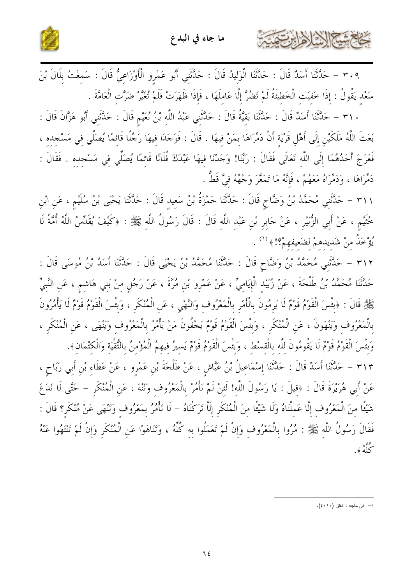

٣٠٩ – حَدَّثَنَا أَسَدٌ قَالَ : حَدَّثَنَا الْوَلِيدُ قَالَ : حَدَّثَنِي أَبُو عَمْرِو الْأَوْزَاعِيُّ قَالَ : سَمعْتُ بلَالَ بْنَ سَعْد يَقُولُ : إذَا خَفيَت الْخَطِيَةُ لَمْ تَضُرَّ إِلَّا عَاملَهَا ، فَإِذَا ظَهَرَتْ فَلَمْ تُغَيَّرْ ضَرَّت الْعَامَّةَ .

٣١٠ – حَدَّثَنَا أَسَدٌ قَالَ : حَدَّثَنَا بَقيَّةُ قَالَ : حَدَّثَني عَبْدُ اللَّه بْنُ نُعَيْم قَالَ : حَدَّثني أَبُو هَزَّانَ قَالَ : بَعَثَ اللَّهُ مَلَكَيْنِ إِلَى أَهْلِ قَرْيَة أَنْ دَمِّرَاهَا بمَنْ فيهَا . قَالَ : فَوَجَدَا فيهَا رَجُلًا قَائمًا يُصَلِّي في مَسْجده ، فَعَرَجَ أَحَدُهُمَا إِلَى اللَّهِ تَعَالَى فَقَالَ : رَبَّنَا! وَجَدْنَا فِيهَا عَبْدَكَ فُلَانًا قَائمًا يُصَلِّي في مَسْجده . فَقَالَ : دَمِّرَاهَا ، وَدَمَّرَاهُ مَعَهُمْ ، فَإِنَّهُ مَا تَمَعَّرَ وَجْهَهُ فيَّ قَطُّ .

٣١١ – حَلَّتَني مُحَمَّدُ بْنُ وَضَّاحٍ قَالَ : حَلَّتْنَا حَمْزَةُ بْنُ سَعيد قَالَ : حَلَّتْنَا يَحْيَى بْنُ سُلَيْم ، عَن ابْن خُتْيْم ، عَنْ أَبِي الزُّبَيْرِ ، عَنْ جَابِر بْنِ عَبْد اللَّه قَالَ : قَالَ رَسُولُ اللَّه ﷺ : ﴿كَيْفَ يُقَلِّسُ اللَّهُ أُمَّةً لَا يُؤْخَذُ منْ شَديدهمْ لضَعيفهمْ؟! ﴾ ( ' ' .

٣١٢ – حَلَّتَنِي مُحَمَّدُ بْنُ وَضَّاحٍ قَالَ : حَلَّتْنَا مُحَمَّدُ بْنُ يَحْيَى قَالَ : حَلَّتْنَا أَسَدُ بْنُ مُوسَى قَالَ : حَدَّثَنَا مُحَمَّدُ بْنُ طَلْحَةَ ، عَنْ زُبَيْد الْإِيَاميِّ ، عَنْ عَمْرو بْن مُرَّةَ ، عَنْ رَجُل منْ بَني هَاشم ، عَن النَّبيِّ ﷺ قَالَ : ﴿بَئْسَ الْقَوْمُ قَوْمٌ لَا يَرِمُونَ بِالْأَمْرِ بِالْمَعْرُوف وَالنَّهْيِ ، عَنِ الْمُنْكَر ، وَبئسَ الْقَوْمُ قَوْمٌ لَا يَأْمُرُونَ بِالْمَعْرُوفِ وَيَنْهَونَ ، عَنِ الْمُنْكَرِ ، وَبَئْسَ الْقَوْمُ قَوْمٌ يَجْفُونَ مَنْ يَأْمُرُ بِالْمَعْرُوفِ وَيَنْهَى ، عَنِ الْمُنْكَرِ ، وَبِئْسَ الْقَوْمُ قَوْمٌ لَا يَقُومُونَ للَّه بِالْقِسْطِ ، وَبِئْسَ الْقَوْمُ قَوْمٌ يَسِيرُ فِيهِمُ الْمُؤْمِنُ بِالتُّقْيَةِ وَالْكِتْمَانِ﴾.

٣١٣ – حَلَّتُنَا أَسَلُهُ قَالَ : حَلَّتْنَا إِسْمَاعِيلُ بْنُ عَيَّاشٍ ، عَنْ طَلْحَةَ بْنِ عَمْرِو ، عَنْ عَطَاءِ بْنِ أَبِي رَبَاحٍ ، عَنْ أَبِي هُرَيْرَةَ قَالَ : ﴿قِيلَ : يَا رَسُولَ اللَّه! لَئِنْ لَمْ نَأْمُرْ بِالْمَعْرُوف وَنَنْهَ ، عَن الْمُنْكَر – حَتَّى لَا نَدَعَ شَيْئًا مِنَ الْمَعْرُوفِ إِلَّا عَمِلْنَاهُ وَلَا شَيْئًا مِنَ الْمُنْكَرِ إِلَّا تَرَكْنَاهُ – لَا نَأْمُرُ بِمَعْرُوفٍ وَنَنْهَى عَنْ مُنْكَرِ؟ قَالَ : فَقَالَ رَسُولُ اللَّهِ ﷺ : مُرُوا بِالْمَعْرُوفِ وَإِنْ لَمْ تَعَمَّلُوا بِهِ كُلِّهُ ، وَتَنَاهَوْا عَنِ الْمُنْكَرِ وَإِنْ لَمْ تَنْتَهُوا عَنْهُ <sup>وس</sup>و<br>ڪله گو.

كخام شيخ الأخ لأحابرت

١- ابن ماجه : الفتن (٤٠١٠).